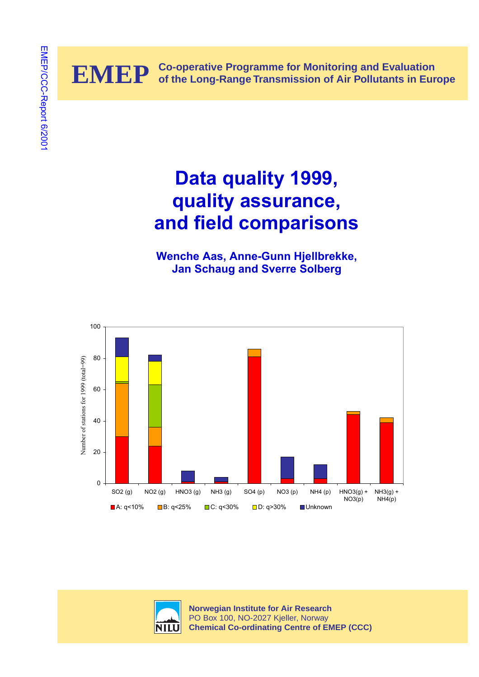

# **Data quality 1999, quality assurance, and field comparisons**

**Wenche Aas, Anne-Gunn Hjellbrekke, Jan Schaug and Sverre Solberg** 





**Norwegian Institute for Air Research** PO Box 100, NO-2027 Kjeller, Norway **Chemical Co-ordinating Centre of EMEP (CCC)**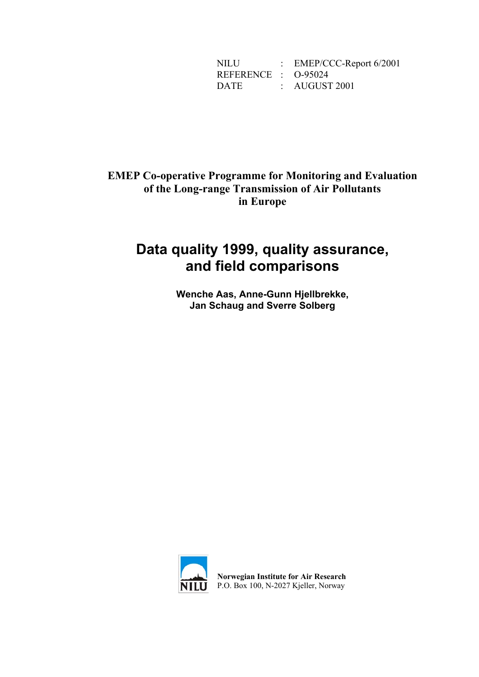NILU : EMEP/CCC-Report 6/2001 REFERENCE : O-95024 DATE : AUGUST 2001

### **EMEP Co-operative Programme for Monitoring and Evaluation of the Long-range Transmission of Air Pollutants in Europe**

# **Data quality 1999, quality assurance, and field comparisons**

**Wenche Aas, Anne-Gunn Hjellbrekke, Jan Schaug and Sverre Solberg** 



**Norwegian Institute for Air Research** P.O. Box 100, N-2027 Kjeller, Norway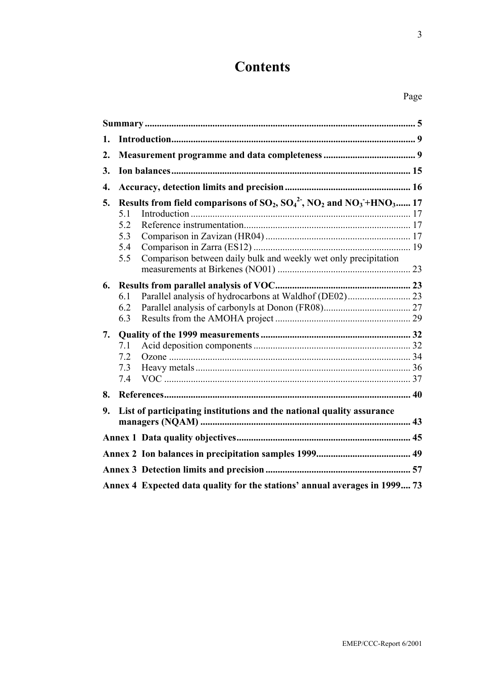# **Contents**

# Page

| 1. |                                                                                                                                                                                                    |  |  |  |  |  |  |  |  |
|----|----------------------------------------------------------------------------------------------------------------------------------------------------------------------------------------------------|--|--|--|--|--|--|--|--|
| 2. |                                                                                                                                                                                                    |  |  |  |  |  |  |  |  |
| 3. |                                                                                                                                                                                                    |  |  |  |  |  |  |  |  |
| 4. |                                                                                                                                                                                                    |  |  |  |  |  |  |  |  |
| 5. | Results from field comparisons of $SO_2$ , $SO_4^2$ , $NO_2$ and $NO_3$ +HNO <sub>3</sub> 17<br>5.1<br>5.2<br>5.3<br>5.4<br>Comparison between daily bulk and weekly wet only precipitation<br>5.5 |  |  |  |  |  |  |  |  |
| 6. | Parallel analysis of hydrocarbons at Waldhof (DE02) 23<br>6.1<br>6.2<br>6.3                                                                                                                        |  |  |  |  |  |  |  |  |
| 7. | 7.1<br>7.2<br>7.3<br>7.4                                                                                                                                                                           |  |  |  |  |  |  |  |  |
| 8. |                                                                                                                                                                                                    |  |  |  |  |  |  |  |  |
| 9. | List of participating institutions and the national quality assurance                                                                                                                              |  |  |  |  |  |  |  |  |
|    |                                                                                                                                                                                                    |  |  |  |  |  |  |  |  |
|    |                                                                                                                                                                                                    |  |  |  |  |  |  |  |  |
|    |                                                                                                                                                                                                    |  |  |  |  |  |  |  |  |
|    | Annex 4 Expected data quality for the stations' annual averages in 1999 73                                                                                                                         |  |  |  |  |  |  |  |  |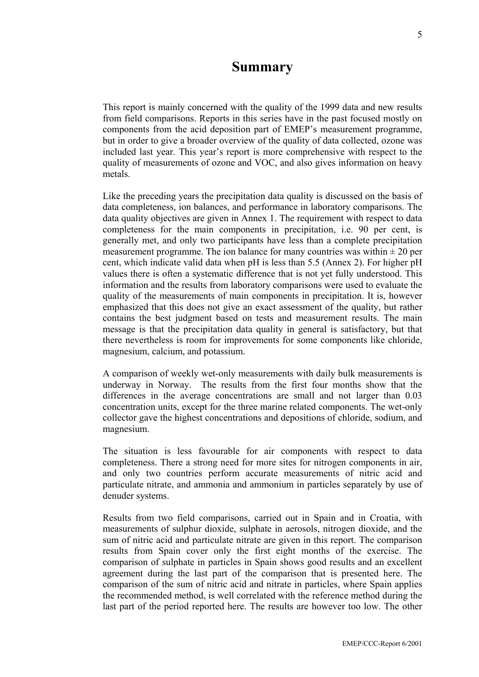# **Summary**

This report is mainly concerned with the quality of the 1999 data and new results from field comparisons. Reports in this series have in the past focused mostly on components from the acid deposition part of EMEP's measurement programme, but in order to give a broader overview of the quality of data collected, ozone was included last year. This year's report is more comprehensive with respect to the quality of measurements of ozone and VOC, and also gives information on heavy metals.

Like the preceding years the precipitation data quality is discussed on the basis of data completeness, ion balances, and performance in laboratory comparisons. The data quality objectives are given in Annex 1. The requirement with respect to data completeness for the main components in precipitation, i.e. 90 per cent, is generally met, and only two participants have less than a complete precipitation measurement programme. The ion balance for many countries was within  $\pm 20$  per cent, which indicate valid data when pH is less than 5.5 (Annex 2). For higher pH values there is often a systematic difference that is not yet fully understood. This information and the results from laboratory comparisons were used to evaluate the quality of the measurements of main components in precipitation. It is, however emphasized that this does not give an exact assessment of the quality, but rather contains the best judgment based on tests and measurement results. The main message is that the precipitation data quality in general is satisfactory, but that there nevertheless is room for improvements for some components like chloride, magnesium, calcium, and potassium.

A comparison of weekly wet-only measurements with daily bulk measurements is underway in Norway. The results from the first four months show that the differences in the average concentrations are small and not larger than 0.03 concentration units, except for the three marine related components. The wet-only collector gave the highest concentrations and depositions of chloride, sodium, and magnesium.

The situation is less favourable for air components with respect to data completeness. There a strong need for more sites for nitrogen components in air, and only two countries perform accurate measurements of nitric acid and particulate nitrate, and ammonia and ammonium in particles separately by use of denuder systems.

Results from two field comparisons, carried out in Spain and in Croatia, with measurements of sulphur dioxide, sulphate in aerosols, nitrogen dioxide, and the sum of nitric acid and particulate nitrate are given in this report. The comparison results from Spain cover only the first eight months of the exercise. The comparison of sulphate in particles in Spain shows good results and an excellent agreement during the last part of the comparison that is presented here. The comparison of the sum of nitric acid and nitrate in particles, where Spain applies the recommended method, is well correlated with the reference method during the last part of the period reported here. The results are however too low. The other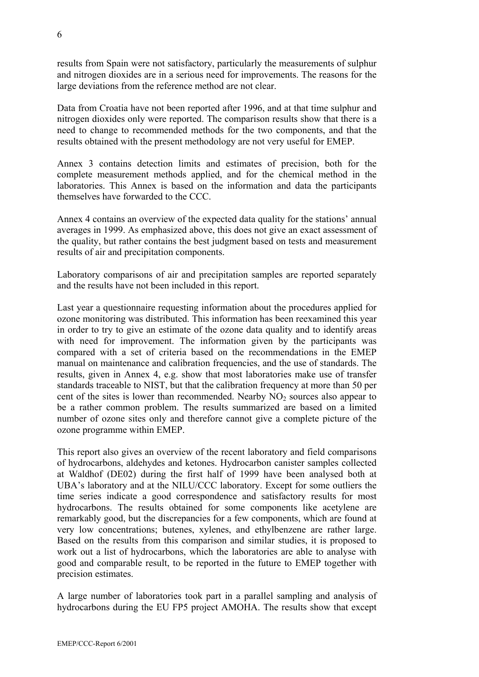results from Spain were not satisfactory, particularly the measurements of sulphur and nitrogen dioxides are in a serious need for improvements. The reasons for the large deviations from the reference method are not clear.

Data from Croatia have not been reported after 1996, and at that time sulphur and nitrogen dioxides only were reported. The comparison results show that there is a need to change to recommended methods for the two components, and that the results obtained with the present methodology are not very useful for EMEP.

Annex 3 contains detection limits and estimates of precision, both for the complete measurement methods applied, and for the chemical method in the laboratories. This Annex is based on the information and data the participants themselves have forwarded to the CCC.

Annex 4 contains an overview of the expected data quality for the stations' annual averages in 1999. As emphasized above, this does not give an exact assessment of the quality, but rather contains the best judgment based on tests and measurement results of air and precipitation components.

Laboratory comparisons of air and precipitation samples are reported separately and the results have not been included in this report.

Last year a questionnaire requesting information about the procedures applied for ozone monitoring was distributed. This information has been reexamined this year in order to try to give an estimate of the ozone data quality and to identify areas with need for improvement. The information given by the participants was compared with a set of criteria based on the recommendations in the EMEP manual on maintenance and calibration frequencies, and the use of standards. The results, given in Annex 4, e.g. show that most laboratories make use of transfer standards traceable to NIST, but that the calibration frequency at more than 50 per cent of the sites is lower than recommended. Nearby  $NO<sub>2</sub>$  sources also appear to be a rather common problem. The results summarized are based on a limited number of ozone sites only and therefore cannot give a complete picture of the ozone programme within EMEP.

This report also gives an overview of the recent laboratory and field comparisons of hydrocarbons, aldehydes and ketones. Hydrocarbon canister samples collected at Waldhof (DE02) during the first half of 1999 have been analysed both at UBA's laboratory and at the NILU/CCC laboratory. Except for some outliers the time series indicate a good correspondence and satisfactory results for most hydrocarbons. The results obtained for some components like acetylene are remarkably good, but the discrepancies for a few components, which are found at very low concentrations; butenes, xylenes, and ethylbenzene are rather large. Based on the results from this comparison and similar studies, it is proposed to work out a list of hydrocarbons, which the laboratories are able to analyse with good and comparable result, to be reported in the future to EMEP together with precision estimates.

A large number of laboratories took part in a parallel sampling and analysis of hydrocarbons during the EU FP5 project AMOHA. The results show that except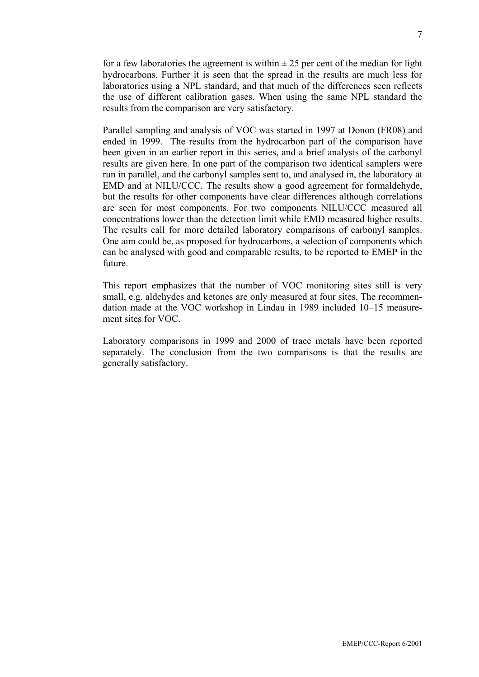for a few laboratories the agreement is within  $\pm 25$  per cent of the median for light hydrocarbons. Further it is seen that the spread in the results are much less for laboratories using a NPL standard, and that much of the differences seen reflects the use of different calibration gases. When using the same NPL standard the results from the comparison are very satisfactory.

Parallel sampling and analysis of VOC was started in 1997 at Donon (FR08) and ended in 1999. The results from the hydrocarbon part of the comparison have been given in an earlier report in this series, and a brief analysis of the carbonyl results are given here. In one part of the comparison two identical samplers were run in parallel, and the carbonyl samples sent to, and analysed in, the laboratory at EMD and at NILU/CCC. The results show a good agreement for formaldehyde, but the results for other components have clear differences although correlations are seen for most components. For two components NILU/CCC measured all concentrations lower than the detection limit while EMD measured higher results. The results call for more detailed laboratory comparisons of carbonyl samples. One aim could be, as proposed for hydrocarbons, a selection of components which can be analysed with good and comparable results, to be reported to EMEP in the future.

This report emphasizes that the number of VOC monitoring sites still is very small, e.g. aldehydes and ketones are only measured at four sites. The recommendation made at the VOC workshop in Lindau in 1989 included 10–15 measurement sites for VOC.

Laboratory comparisons in 1999 and 2000 of trace metals have been reported separately. The conclusion from the two comparisons is that the results are generally satisfactory.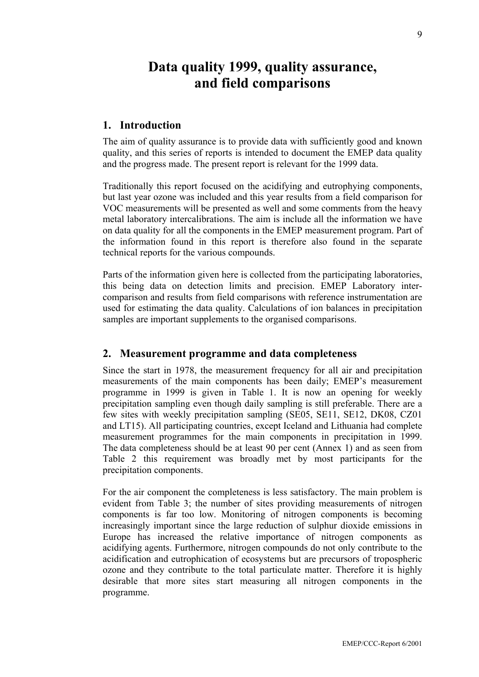# **Data quality 1999, quality assurance, and field comparisons**

### **1. Introduction**

The aim of quality assurance is to provide data with sufficiently good and known quality, and this series of reports is intended to document the EMEP data quality and the progress made. The present report is relevant for the 1999 data.

Traditionally this report focused on the acidifying and eutrophying components, but last year ozone was included and this year results from a field comparison for VOC measurements will be presented as well and some comments from the heavy metal laboratory intercalibrations. The aim is include all the information we have on data quality for all the components in the EMEP measurement program. Part of the information found in this report is therefore also found in the separate technical reports for the various compounds.

Parts of the information given here is collected from the participating laboratories, this being data on detection limits and precision. EMEP Laboratory intercomparison and results from field comparisons with reference instrumentation are used for estimating the data quality. Calculations of ion balances in precipitation samples are important supplements to the organised comparisons.

#### **2. Measurement programme and data completeness**

Since the start in 1978, the measurement frequency for all air and precipitation measurements of the main components has been daily; EMEP's measurement programme in 1999 is given in Table 1. It is now an opening for weekly precipitation sampling even though daily sampling is still preferable. There are a few sites with weekly precipitation sampling (SE05, SE11, SE12, DK08, CZ01 and LT15). All participating countries, except Iceland and Lithuania had complete measurement programmes for the main components in precipitation in 1999. The data completeness should be at least 90 per cent (Annex 1) and as seen from Table 2 this requirement was broadly met by most participants for the precipitation components.

For the air component the completeness is less satisfactory. The main problem is evident from Table 3; the number of sites providing measurements of nitrogen components is far too low. Monitoring of nitrogen components is becoming increasingly important since the large reduction of sulphur dioxide emissions in Europe has increased the relative importance of nitrogen components as acidifying agents. Furthermore, nitrogen compounds do not only contribute to the acidification and eutrophication of ecosystems but are precursors of tropospheric ozone and they contribute to the total particulate matter. Therefore it is highly desirable that more sites start measuring all nitrogen components in the programme.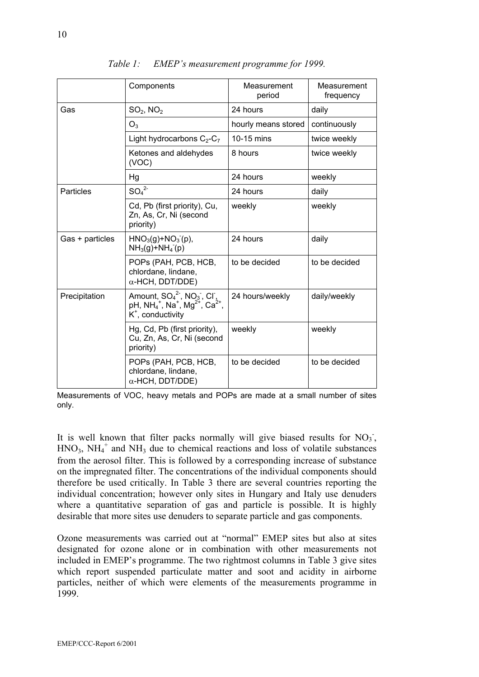|                 | Components                                                                                                                                                     | Measurement<br>period | Measurement<br>frequency |
|-----------------|----------------------------------------------------------------------------------------------------------------------------------------------------------------|-----------------------|--------------------------|
| Gas             | $SO2$ , NO <sub>2</sub>                                                                                                                                        | 24 hours              | daily                    |
|                 | $O_3$                                                                                                                                                          | hourly means stored   | continuously             |
|                 | Light hydrocarbons $C_2-C_7$                                                                                                                                   | 10-15 mins            | twice weekly             |
|                 | Ketones and aldehydes<br>(VOC)                                                                                                                                 | 8 hours               | twice weekly             |
|                 | Hg                                                                                                                                                             | 24 hours              | weekly                   |
| Particles       | SO <sub>4</sub> <sup>2</sup>                                                                                                                                   | 24 hours              | daily                    |
|                 | Cd, Pb (first priority), Cu,<br>Zn, As, Cr, Ni (second<br>priority)                                                                                            | weekly                | weekly                   |
| Gas + particles | $HNO3(g)+NO3(p),$<br>$NH_3(g)+NH_4(g)$                                                                                                                         | 24 hours              | daily                    |
|                 | POPS (PAH, PCB, HCB,<br>chlordane, lindane,<br>$\alpha$ -HCH, DDT/DDE)                                                                                         | to be decided         | to be decided            |
| Precipitation   | Amount, $SO_4^2$ , NO <sub>3</sub> , CI,<br>pH, NH <sub>4</sub> <sup>+</sup> , Na <sup>+</sup> , Mg <sup>2+</sup> , Ca <sup>2+</sup> ,<br>$K^*$ , conductivity | 24 hours/weekly       | daily/weekly             |
|                 | Hg, Cd, Pb (first priority),<br>Cu, Zn, As, Cr, Ni (second<br>priority)                                                                                        | weekly                | weekly                   |
|                 | POPS (PAH, PCB, HCB,<br>chlordane, lindane,<br>$\alpha$ -HCH, DDT/DDE)                                                                                         | to be decided         | to be decided            |

*Table 1: EMEP's measurement programme for 1999.* 

Measurements of VOC, heavy metals and POPs are made at a small number of sites only.

It is well known that filter packs normally will give biased results for  $NO<sub>3</sub>$ ,  $HNO<sub>3</sub>$ ,  $NH<sub>4</sub><sup>+</sup>$  and  $NH<sub>3</sub>$  due to chemical reactions and loss of volatile substances from the aerosol filter. This is followed by a corresponding increase of substance on the impregnated filter. The concentrations of the individual components should therefore be used critically. In Table 3 there are several countries reporting the individual concentration; however only sites in Hungary and Italy use denuders where a quantitative separation of gas and particle is possible. It is highly desirable that more sites use denuders to separate particle and gas components.

Ozone measurements was carried out at "normal" EMEP sites but also at sites designated for ozone alone or in combination with other measurements not included in EMEP's programme. The two rightmost columns in Table 3 give sites which report suspended particulate matter and soot and acidity in airborne particles, neither of which were elements of the measurements programme in 1999.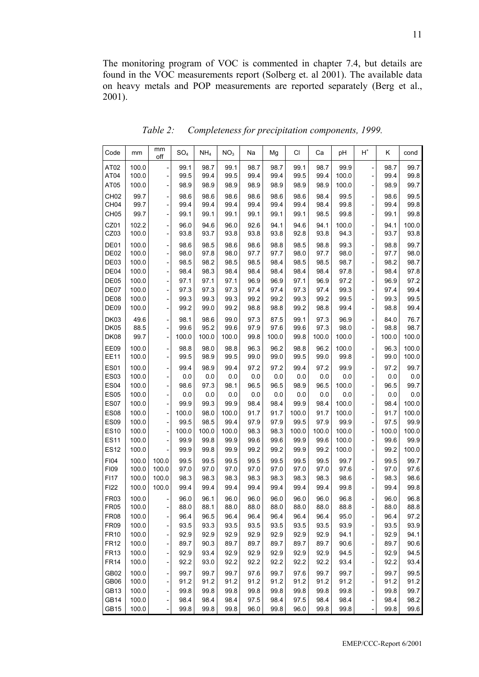The monitoring program of VOC is commented in chapter 7.4, but details are found in the VOC measurements report (Solberg et. al 2001). The available data on heavy metals and POP measurements are reported separately (Berg et al., 2001).

| Code                                 | mm             | mm<br>off                                                    | SO <sub>4</sub> | NH <sub>4</sub> | NO <sub>3</sub> | Na           | Mg           | CI           | Ca           | рH            | $\operatorname{\mathsf{H}}^*$              | κ            | cond          |
|--------------------------------------|----------------|--------------------------------------------------------------|-----------------|-----------------|-----------------|--------------|--------------|--------------|--------------|---------------|--------------------------------------------|--------------|---------------|
| AT <sub>02</sub>                     | 100.0          |                                                              | 99.1            | 98.7            | 99.1            | 98.7         | 98.7         | 99.1         | 98.7         | 99.9          |                                            | 98.7         | 99.7          |
| AT04                                 | 100.0          | $\overline{\phantom{a}}$                                     | 99.5            | 99.4            | 99.5            | 99.4         | 99.4         | 99.5         | 99.4         | 100.0         | $\overline{a}$                             | 99.4         | 99.8          |
| AT05                                 | 100.0          | $\overline{\phantom{0}}$                                     | 98.9            | 98.9            | 98.9            | 98.9         | 98.9         | 98.9         | 98.9         | 100.0         |                                            | 98.9         | 99.7          |
| CH <sub>02</sub>                     | 99.7           | $\overline{\phantom{0}}$                                     | 98.6            | 98.6            | 98.6            | 98.6         | 98.6         | 98.6         | 98.4         | 99.5          | $\overline{a}$                             | 98.6         | 99.5          |
| CH <sub>04</sub><br>CH <sub>05</sub> | 99.7<br>99.7   | $\qquad \qquad \blacksquare$<br>$\overline{\phantom{m}}$     | 99.4<br>99.1    | 99.4<br>99.1    | 99.4<br>99.1    | 99.4<br>99.1 | 99.4<br>99.1 | 99.4<br>99.1 | 98.4<br>98.5 | 99.8<br>99.8  | $\overline{a}$<br>$\overline{\phantom{0}}$ | 99.4<br>99.1 | 99.8<br>99.8  |
|                                      |                |                                                              |                 |                 |                 |              |              |              |              |               |                                            |              |               |
| CZ01<br>CZ03                         | 102.2<br>100.0 | $\qquad \qquad \blacksquare$<br>$\qquad \qquad \blacksquare$ | 96.0<br>93.8    | 94.6<br>93.7    | 96.0<br>93.8    | 92.6<br>93.8 | 94.1<br>93.8 | 94.6<br>92.8 | 94.1<br>93.8 | 100.0<br>94.3 | $\overline{a}$<br>$\overline{a}$           | 94.1<br>93.7 | 100.0<br>93.8 |
| DE01                                 | 100.0          | -                                                            | 98.6            | 98.5            | 98.6            | 98.6         | 98.8         | 98.5         | 98.8         | 99.3          | $\overline{a}$                             | 98.8         | 99.7          |
| DE <sub>02</sub>                     | 100.0          | $\qquad \qquad -$                                            | 98.0            | 97.8            | 98.0            | 97.7         | 97.7         | 98.0         | 97.7         | 98.0          | $\overline{\phantom{0}}$                   | 97.7         | 98.0          |
| DE03                                 | 100.0          | $\qquad \qquad \blacksquare$                                 | 98.5            | 98.2            | 98.5            | 98.5         | 98.4         | 98.5         | 98.5         | 98.7          | $\overline{a}$                             | 98.2         | 98.7          |
| DE04                                 | 100.0          | $\overline{\phantom{m}}$                                     | 98.4            | 98.3            | 98.4            | 98.4         | 98.4         | 98.4         | 98.4         | 97.8          | $\overline{\phantom{0}}$                   | 98.4         | 97.8          |
| DE05                                 | 100.0          | $\qquad \qquad \blacksquare$                                 | 97.1            | 97.1            | 97.1            | 96.9         | 96.9         | 97.1         | 96.9         | 97.2          | $\overline{a}$                             | 96.9         | 97.2          |
| DE07                                 | 100.0          | $\overline{\phantom{0}}$                                     | 97.3            | 97.3            | 97.3            | 97.4         | 97.4         | 97.3         | 97.4         | 99.3          |                                            | 97.4         | 99.4          |
| DE08                                 | 100.0          | $\overline{a}$                                               | 99.3            | 99.3            | 99.3            | 99.2         | 99.2         | 99.3         | 99.2         | 99.5          |                                            | 99.3         | 99.5          |
| DE09                                 | 100.0          | $\overline{\phantom{0}}$                                     | 99.2            | 99.0            | 99.2            | 98.8         | 98.8         | 99.2         | 98.8         | 99.4          |                                            | 98.8         | 99.4          |
| <b>DK03</b><br><b>DK05</b>           | 49.6<br>88.5   |                                                              | 98.1<br>99.6    | 98.6<br>95.2    | 99.0<br>99.6    | 97.3<br>97.9 | 87.5<br>97.6 | 99.1<br>99.6 | 97.3<br>97.3 | 96.9<br>98.0  |                                            | 84.0<br>98.8 | 76.7<br>98.7  |
| <b>DK08</b>                          | 99.7           | $\overline{a}$                                               | 100.0           | 100.0           | 100.0           | 99.8         | 100.0        | 99.8         | 100.0        | 100.0         |                                            | 100.0        | 100.0         |
|                                      |                |                                                              |                 |                 |                 |              |              | 98.8         |              | 100.0         |                                            |              | 100.0         |
| EE09<br><b>EE11</b>                  | 100.0<br>100.0 | $\overline{\phantom{0}}$                                     | 98.8<br>99.5    | 98.0<br>98.9    | 98.8<br>99.5    | 96.3<br>99.0 | 96.2<br>99.0 | 99.5         | 96.2<br>99.0 | 99.8          |                                            | 96.3<br>99.0 | 100.0         |
| <b>ES01</b>                          | 100.0          |                                                              | 99.4            | 98.9            | 99.4            | 97.2         | 97.2         | 99.4         | 97.2         | 99.9          | $\overline{\phantom{0}}$                   | 97.2         | 99.7          |
| <b>ES03</b>                          | 100.0          |                                                              | 0.0             | 0.0             | 0.0             | 0.0          | 0.0          | 0.0          | 0.0          | 0.0           |                                            | 0.0          | 0.0           |
| <b>ES04</b>                          | 100.0          | $\overline{a}$                                               | 98.6            | 97.3            | 98.1            | 96.5         | 96.5         | 98.9         | 96.5         | 100.0         | $\overline{\phantom{0}}$                   | 96.5         | 99.7          |
| <b>ES05</b><br><b>ES07</b>           | 100.0<br>100.0 | $\overline{\phantom{0}}$                                     | 0.0<br>99.9     | 0.0<br>99.3     | 0.0<br>99.9     | 0.0<br>98.4  | 0.0<br>98.4  | 0.0<br>99.9  | 0.0<br>98.4  | 0.0<br>100.0  | $\overline{a}$                             | 0.0<br>98.4  | 0.0<br>100.0  |
| <b>ES08</b>                          | 100.0          | $\overline{\phantom{0}}$                                     | 100.0           | 98.0            | 100.0           | 91.7         | 91.7         | 100.0        | 91.7         | 100.0         |                                            | 91.7         | 100.0         |
| <b>ES09</b>                          | 100.0          | $\overline{a}$                                               | 99.5            | 98.5            | 99.4            | 97.9         | 97.9         | 99.5         | 97.9         | 99.9          | $\overline{\phantom{0}}$                   | 97.5         | 99.9          |
| <b>ES10</b>                          | 100.0          |                                                              | 100.0           | 100.0           | 100.0           | 98.3         | 98.3         | 100.0        | 100.0        | 100.0         | $\overline{\phantom{0}}$                   | 100.0        | 100.0         |
| <b>ES11</b>                          | 100.0          |                                                              | 99.9            | 99.8            | 99.9            | 99.6         | 99.6         | 99.9         | 99.6         | 100.0         |                                            | 99.6         | 99.9          |
| <b>ES12</b>                          | 100.0          |                                                              | 99.9            | 99.8            | 99.9            | 99.2         | 99.2         | 99.9         | 99.2         | 100.0         | $\overline{a}$                             | 99.2         | 100.0         |
| FI04                                 | 100.0          | 100.0                                                        | 99.5            | 99.5            | 99.5            | 99.5         | 99.5         | 99.5         | 99.5         | 99.7          | -                                          | 99.5         | 99.7          |
| <b>FI09</b>                          | 100.0          | 100.0                                                        | 97.0            | 97.0            | 97.0            | 97.0         | 97.0         | 97.0         | 97.0         | 97.6          | $\overline{\phantom{0}}$                   | 97.0         | 97.6          |
| F117                                 | 100.0          | 100.0                                                        | 98.3            | 98.3            | 98.3            | 98.3         | 98.3         | 98.3         | 98.3         | 98.6          |                                            | 98.3         | 98.6          |
| FI22                                 | 100.0          | 100.0                                                        | 99.4            | 99.4            | 99.4            | 99.4         | 99.4         | 99.4         | 99.4         | 99.8          |                                            | 99.4         | 99.8          |
| <b>FR03</b>                          | 100.0          |                                                              | 96.0            | 96.1            | 96.0<br>88.0    | 96.0         | 96.0         | 96.0<br>88.0 | 96.0         | 96.8          |                                            | 96.0         | 96.8          |
| FR05<br><b>FR08</b>                  | 100.0<br>100.0 | -                                                            | 88.0<br>96.4    | 88.1<br>96.5    | 96.4            | 88.0<br>96.4 | 88.0<br>96.4 | 96.4         | 88.0<br>96.4 | 88.8<br>95.0  |                                            | 88.0<br>96.4 | 88.8<br>97.2  |
| <b>FR09</b>                          | 100.0          | $\overline{\phantom{m}}$                                     | 93.5            | 93.3            | 93.5            | 93.5         | 93.5         | 93.5         | 93.5         | 93.9          | $\overline{\phantom{0}}$                   | 93.5         | 93.9          |
| <b>FR10</b>                          | 100.0          | $\overline{\phantom{0}}$                                     | 92.9            | 92.9            | 92.9            | 92.9         | 92.9         | 92.9         | 92.9         | 94.1          |                                            | 92.9         | 94.1          |
| <b>FR12</b>                          | 100.0          | $\overline{\phantom{a}}$                                     | 89.7            | 90.3            | 89.7            | 89.7         | 89.7         | 89.7         | 89.7         | 90.6          | $\overline{\phantom{0}}$                   | 89.7         | 90.6          |
| <b>FR13</b>                          | 100.0          | $\overline{\phantom{0}}$                                     | 92.9            | 93.4            | 92.9            | 92.9         | 92.9         | 92.9         | 92.9         | 94.5          | $\overline{\phantom{0}}$                   | 92.9         | 94.5          |
| <b>FR14</b>                          | 100.0          | $\qquad \qquad -$                                            | 92.2            | 93.0            | 92.2            | 92.2         | 92.2         | 92.2         | 92.2         | 93.4          | $\overline{\phantom{0}}$                   | 92.2         | 93.4          |
| GB02                                 | 100.0          | $\overline{\phantom{0}}$                                     | 99.7            | 99.7            | 99.7            | 97.6         | 99.7         | 97.6         | 99.7         | 99.7          |                                            | 99.7         | 99.5          |
| GB06                                 | 100.0          | $\qquad \qquad -$                                            | 91.2            | 91.2            | 91.2            | 91.2         | 91.2         | 91.2         | 91.2         | 91.2          |                                            | 91.2         | 91.2          |
| GB13                                 | 100.0          | $\qquad \qquad -$                                            | 99.8            | 99.8            | 99.8            | 99.8         | 99.8         | 99.8         | 99.8         | 99.8          | -                                          | 99.8         | 99.7          |
| <b>GB14</b><br><b>GB15</b>           | 100.0<br>100.0 | $\qquad \qquad -$                                            | 98.4<br>99.8    | 98.4<br>99.8    | 98.4<br>99.8    | 97.5<br>96.0 | 98.4<br>99.8 | 97.5<br>96.0 | 98.4<br>99.8 | 98.4<br>99.8  | -                                          | 98.4<br>99.8 | 98.2          |
|                                      |                | -                                                            |                 |                 |                 |              |              |              |              |               | -                                          |              | 99.6          |

*Table 2: Completeness for precipitation components, 1999.*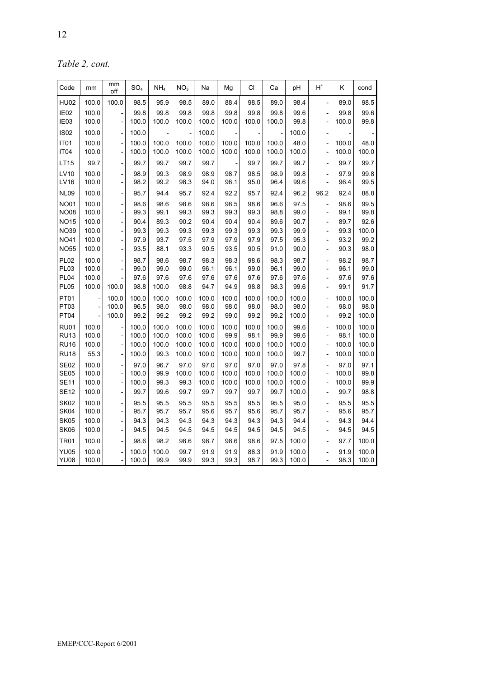*Table 2, cont.* 

| Code                       | mm             | mm<br>off                                            | SO <sub>4</sub> | NH <sub>4</sub> | NO <sub>3</sub> | Na             | Mg             | CI             | Ca             | pH             | $H^*$                                      | Κ              | cond           |
|----------------------------|----------------|------------------------------------------------------|-----------------|-----------------|-----------------|----------------|----------------|----------------|----------------|----------------|--------------------------------------------|----------------|----------------|
| <b>HU02</b>                | 100.0          | 100.0                                                | 98.5            | 95.9            | 98.5            | 89.0           | 88.4           | 98.5           | 89.0           | 98.4           |                                            | 89.0           | 98.5           |
| IE02<br>IE03               | 100.0<br>100.0 | $\overline{a}$                                       | 99.8<br>100.0   | 99.8<br>100.0   | 99.8<br>100.0   | 99.8<br>100.0  | 99.8<br>100.0  | 99.8<br>100.0  | 99.8<br>100.0  | 99.6<br>99.8   | $\overline{a}$                             | 99.8<br>100.0  | 99.6<br>99.8   |
| <b>IS02</b>                | 100.0          | $\overline{a}$                                       | 100.0           |                 |                 | 100.0          |                |                |                | 100.0          |                                            |                |                |
| IT <sub>01</sub><br>IT04   | 100.0<br>100.0 | $\qquad \qquad \blacksquare$<br>$\overline{a}$       | 100.0<br>100.0  | 100.0<br>100.0  | 100.0<br>100.0  | 100.0<br>100.0 | 100.0<br>100.0 | 100.0<br>100.0 | 100.0<br>100.0 | 48.0<br>100.0  | $\overline{a}$                             | 100.0<br>100.0 | 48.0<br>100.0  |
| <b>LT15</b>                | 99.7           | $\overline{a}$                                       | 99.7            | 99.7            | 99.7            | 99.7           |                | 99.7           | 99.7           | 99.7           |                                            | 99.7           | 99.7           |
| <b>LV10</b><br><b>LV16</b> | 100.0<br>100.0 | $\overline{\phantom{0}}$<br>$\overline{\phantom{0}}$ | 98.9<br>98.2    | 99.3<br>99.2    | 98.9<br>98.3    | 98.9<br>94.0   | 98.7<br>96.1   | 98.5<br>95.0   | 98.9<br>96.4   | 99.8<br>99.6   | $\overline{a}$                             | 97.9<br>96.4   | 99.8<br>99.5   |
| NL <sub>09</sub>           | 100.0          | -                                                    | 95.7            | 94.4            | 95.7            | 92.4           | 92.2           | 95.7           | 92.4           | 96.2           | 96.2                                       | 92.4           | 88.8           |
| <b>NO01</b>                | 100.0          | $\overline{a}$                                       | 98.6            | 98.6            | 98.6            | 98.6           | 98.5           | 98.6           | 96.6           | 97.5           |                                            | 98.6           | 99.5           |
| <b>NO08</b>                | 100.0          | $\overline{a}$                                       | 99.3            | 99.1            | 99.3            | 99.3           | 99.3           | 99.3           | 98.8           | 99.0           | $\overline{a}$                             | 99.1           | 99.8           |
| <b>NO15</b><br><b>NO39</b> | 100.0<br>100.0 | $\overline{a}$                                       | 90.4<br>99.3    | 89.3<br>99.3    | 90.2            | 90.4<br>99.3   | 90.4           | 90.4           | 89.6<br>99.3   | 90.7           | $\overline{a}$<br>$\overline{a}$           | 89.7<br>99.3   | 92.6<br>100.0  |
| <b>NO41</b>                | 100.0          | $\overline{a}$<br>$\overline{a}$                     | 97.9            | 93.7            | 99.3<br>97.5    | 97.9           | 99.3<br>97.9   | 99.3<br>97.9   | 97.5           | 99.9<br>95.3   | $\overline{a}$                             | 93.2           | 99.2           |
| <b>NO55</b>                | 100.0          | $\overline{a}$                                       | 93.5            | 88.1            | 93.3            | 90.5           | 93.5           | 90.5           | 91.0           | 90.0           | $\overline{\phantom{0}}$                   | 90.3           | 98.0           |
| PL02<br><b>PL03</b>        | 100.0<br>100.0 | $\overline{a}$<br>$\overline{a}$                     | 98.7<br>99.0    | 98.6<br>99.0    | 98.7<br>99.0    | 98.3<br>96.1   | 98.3<br>96.1   | 98.6<br>99.0   | 98.3<br>96.1   | 98.7<br>99.0   | $\overline{a}$<br>$\overline{a}$           | 98.2<br>96.1   | 98.7<br>99.0   |
| <b>PL04</b>                | 100.0          | $\overline{a}$                                       | 97.6            | 97.6            | 97.6            | 97.6           | 97.6           | 97.6           | 97.6           | 97.6           | $\overline{\phantom{0}}$                   | 97.6           | 97.6           |
| <b>PL05</b>                | 100.0          | 100.0                                                | 98.8            | 100.0           | 98.8            | 94.7           | 94.9           | 98.8           | 98.3           | 99.6           | $\overline{a}$                             | 99.1           | 91.7           |
| PT01                       |                | 100.0                                                | 100.0           | 100.0           | 100.0           | 100.0          | 100.0          | 100.0          | 100.0          | 100.0          | -                                          | 100.0          | 100.0          |
| PT03                       |                | 100.0                                                | 96.5            | 98.0            | 98.0            | 98.0           | 98.0           | 98.0           | 98.0           | 98.0           |                                            | 98.0           | 98.0           |
| <b>PT04</b>                |                | 100.0                                                | 99.2            | 99.2            | 99.2            | 99.2           | 99.0           | 99.2           | 99.2           | 100.0          | $\overline{a}$                             | 99.2           | 100.0          |
| <b>RU01</b><br><b>RU13</b> | 100.0<br>100.0 | $\overline{a}$<br>$\frac{1}{2}$                      | 100.0<br>100.0  | 100.0<br>100.0  | 100.0<br>100.0  | 100.0<br>100.0 | 100.0<br>99.9  | 100.0<br>98.1  | 100.0<br>99.9  | 99.6<br>99.6   | $\overline{\phantom{0}}$<br>$\overline{a}$ | 100.0<br>98.1  | 100.0<br>100.0 |
| <b>RU16</b>                | 100.0          | $\overline{a}$                                       | 100.0           | 100.0           | 100.0           | 100.0          | 100.0          | 100.0          | 100.0          | 100.0          |                                            | 100.0          | 100.0          |
| <b>RU18</b>                | 55.3           | $\qquad \qquad \blacksquare$                         | 100.0           | 99.3            | 100.0           | 100.0          | 100.0          | 100.0          | 100.0          | 99.7           |                                            | 100.0          | 100.0          |
| <b>SE02</b>                | 100.0          |                                                      | 97.0            | 96.7            | 97.0            | 97.0           | 97.0           | 97.0           | 97.0           | 97.8           |                                            | 97.0           | 97.1           |
| <b>SE05</b>                | 100.0          | $\overline{a}$                                       | 100.0           | 99.9            | 100.0           | 100.0          | 100.0          | 100.0          | 100.0          | 100.0          | $\overline{a}$                             | 100.0          | 99.8           |
| <b>SE11</b>                | 100.0          | $\overline{\phantom{a}}$                             | 100.0           | 99.3            | 99.3            | 100.0          | 100.0          | 100.0          | 100.0          | 100.0          | $\overline{a}$                             | 100.0          | 99.9           |
| <b>SE12</b>                | 100.0          | $\qquad \qquad \blacksquare$                         | 99.7            | 99.6            | 99.7            | 99.7           | 99.7           | 99.7           | 99.7           | 100.0          | $\overline{a}$                             | 99.7           | 98.8           |
| <b>SK02</b><br>SK04        | 100.0<br>100.0 | $\centerdot$<br>$\overline{a}$                       | 95.5<br>95.7    | 95.5<br>95.7    | 95.5<br>95.7    | 95.5<br>95.6   | 95.5<br>95.7   | 95.5<br>95.6   | 95.5<br>95.7   | 95.0<br>95.7   | $\overline{\phantom{0}}$<br>$\overline{a}$ | 95.5<br>95.6   | 95.5<br>95.7   |
| SK05                       | 100.0          | $\overline{a}$                                       | 94.3            | 94.3            | 94.3            | 94.3           | 94.3           | 94.3           | 94.3           | 94.4           | $\overline{\phantom{m}}$                   | 94.3           | 94.4           |
| SK06                       | 100.0          | $\overline{\phantom{0}}$                             | 94.5            | 94.5            | 94.5            | 94.5           | 94.5           | 94.5           | 94.5           | 94.5           | $\qquad \qquad \blacksquare$               | 94.5           | 94.5           |
| <b>TR01</b>                | 100.0          | $\overline{\phantom{0}}$                             | 98.6            | 98.2            | 98.6            | 98.7           | 98.6           | 98.6           | 97.5           | 100.0          | $\overline{a}$                             | 97.7           | 100.0          |
| <b>YU05</b><br><b>YU08</b> | 100.0<br>100.0 |                                                      | 100.0<br>100.0  | 100.0<br>99.9   | 99.7<br>99.9    | 91.9<br>99.3   | 91.9<br>99.3   | 88.3<br>98.7   | 91.9<br>99.3   | 100.0<br>100.0 |                                            | 91.9<br>98.3   | 100.0<br>100.0 |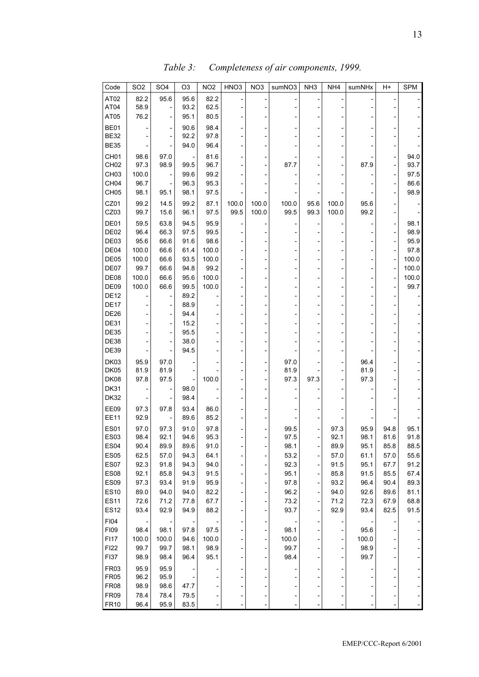| Code                       | SO <sub>2</sub> | SO <sub>4</sub> | O3           | NO <sub>2</sub> | HNO <sub>3</sub> | NO <sub>3</sub> | sumNO3       | NH <sub>3</sub>          | NH <sub>4</sub> | sumNHx       | H+           | <b>SPM</b>   |
|----------------------------|-----------------|-----------------|--------------|-----------------|------------------|-----------------|--------------|--------------------------|-----------------|--------------|--------------|--------------|
| AT02                       | 82.2            | 95.6            | 95.6         | 82.2            |                  |                 |              |                          |                 |              |              |              |
| AT04                       | 58.9            |                 | 93.2         | 62.5            |                  |                 |              |                          |                 |              |              |              |
| AT05                       | 76.2            |                 | 95.1         | 80.5            |                  |                 |              |                          |                 |              |              |              |
| BE01                       |                 |                 | 90.6         | 98.4            |                  |                 |              |                          |                 |              |              |              |
| <b>BE32</b>                |                 |                 | 92.2         | 97.8            |                  |                 |              |                          |                 |              |              |              |
| <b>BE35</b>                |                 |                 | 94.0         | 96.4            |                  |                 |              |                          |                 |              |              |              |
| CH <sub>01</sub>           | 98.6            | 97.0            |              | 81.6            |                  |                 |              |                          |                 |              |              | 94.0         |
| CH <sub>02</sub>           | 97.3            | 98.9            | 99.5         | 96.7            |                  |                 | 87.7         |                          |                 | 879          |              | 93.7         |
| CH <sub>03</sub>           | 100.0           |                 | 99.6         | 99.2            |                  |                 |              |                          |                 |              |              | 97.5         |
| CH <sub>04</sub>           | 96.7            |                 | 96.3         | 95.3            |                  |                 |              |                          |                 |              |              | 86.6         |
| CH <sub>05</sub>           | 98.1            | 95.1            | 98.1         | 97.5            |                  |                 |              |                          |                 |              |              | 98.9         |
| CZ01                       | 99.2            | 14.5            | 99.2         | 87.1            | 100.0            | 100.0           | 100.0        | 95.6                     | 100.0           | 95.6         |              |              |
| CZ03                       | 99.7            | 15.6            | 96.1         | 97.5            | 99.5             | 100.0           | 99.5         | 99.3                     | 100.0           | 99.2         |              |              |
| DE01                       | 59.5            | 63.8            | 94.5         | 95.9            |                  |                 |              |                          |                 |              |              | 98.1         |
| DE <sub>02</sub>           | 96.4            | 66.3            | 97.5         | 99.5            |                  |                 |              |                          |                 |              |              | 98.9         |
| DE03                       | 95.6            | 66.6            | 91.6         | 98.6            |                  |                 |              |                          |                 |              |              | 95.9         |
| DE04                       | 100.0           | 66.6            | 61.4         | 100.0           |                  |                 |              |                          |                 |              |              | 97.8         |
| DE05                       | 100.0           | 66.6            | 93.5         | 100.0           |                  |                 |              |                          |                 |              |              | 100.0        |
| DE07                       | 99.7            | 66.6            | 94.8         | 99.2            |                  |                 |              |                          |                 |              |              | 100.0        |
| DE08                       | 100.0           | 66.6            | 95.6         | 100.0           |                  |                 |              |                          |                 |              |              | 100.0        |
| DE09                       | 100.0           | 66.6            | 99.5         | 100.0           |                  |                 |              |                          |                 |              |              | 99.7         |
| <b>DE12</b>                |                 |                 | 89.2         |                 |                  |                 |              |                          |                 |              |              |              |
| <b>DE17</b>                |                 |                 | 88.9         |                 |                  |                 |              |                          |                 |              |              |              |
| <b>DE26</b>                |                 |                 | 94.4         |                 |                  |                 |              |                          |                 |              |              |              |
| <b>DE31</b>                |                 |                 | 15.2         |                 |                  |                 |              |                          |                 |              |              |              |
| <b>DE35</b>                |                 |                 | 95.5         |                 |                  |                 |              |                          |                 |              |              |              |
| <b>DE38</b>                |                 |                 | 38.0         |                 |                  |                 |              |                          |                 |              |              |              |
| <b>DE39</b>                |                 |                 | 94.5         |                 |                  |                 |              |                          |                 |              |              |              |
| DK03                       | 95.9            | 97.0            |              |                 |                  |                 | 97.0         |                          |                 | 96.4         |              |              |
| DK05<br><b>DK08</b>        | 81.9<br>97.8    | 81.9<br>97.5    |              | 100.0           |                  |                 | 81.9<br>97.3 | 97.3                     |                 | 81.9<br>97.3 |              |              |
| <b>DK31</b>                |                 |                 | 98.0         |                 |                  |                 |              |                          |                 |              |              |              |
| <b>DK32</b>                |                 |                 | 98.4         |                 |                  |                 |              |                          |                 |              |              |              |
|                            |                 |                 |              |                 |                  |                 |              |                          |                 |              |              |              |
| EE09<br><b>EE11</b>        | 97.3<br>92.9    | 97.8            | 93.4<br>89.6 | 86.0<br>85.2    |                  |                 |              |                          |                 |              |              |              |
|                            |                 |                 |              |                 |                  |                 |              |                          |                 |              |              |              |
| <b>ES01</b><br><b>ES03</b> | 97.0<br>98.4    | 97.3<br>92.1    | 91.0<br>94.6 | 97.8<br>95.3    |                  |                 | 99.5<br>97.5 |                          | 97.3<br>92.1    | 95.9<br>98.1 | 94.8<br>81.6 | 95.1<br>91.8 |
| <b>ES04</b>                | 90.4            | 89.9            | 89.6         | 91.0            |                  |                 | 98.1         | -                        | 89.9            | 95.1         | 85.8         | 88.5         |
| <b>ES05</b>                | 62.5            | 57.0            | 94.3         | 64.1            |                  |                 | 53.2         |                          | 57.0            | 61.1         | 57.0         | 55.6         |
| ES07                       | 92.3            | 91.8            | 94.3         | 94.0            |                  |                 | 92.3         |                          | 91.5            | 95.1         | 67.7         | 91.2         |
| <b>ES08</b>                | 92.1            | 85.8            | 94.3         | 91.5            |                  |                 | 95.1         |                          | 85.8            | 91.5         | 85.5         | 67.4         |
| <b>ES09</b>                | 97.3            | 93.4            | 91.9         | 95.9            |                  |                 | 97.8         |                          | 93.2            | 96.4         | 90.4         | 89.3         |
| <b>ES10</b>                | 89.0            | 94.0            | 94.0         | 82.2            |                  |                 | 96.2         |                          | 94.0            | 92.6         | 89.6         | 81.1         |
| <b>ES11</b>                | 72.6            | 71.2            | 77.8         | 67.7            |                  |                 | 73.2         | $\overline{\phantom{0}}$ | 71.2            | 72.3         | 67.9         | 68.8         |
| <b>ES12</b>                | 93.4            | 92.9            | 94.9         | 88.2            |                  |                 | 93.7         | $\overline{\phantom{0}}$ | 92.9            | 93.4         | 82.5         | 91.5         |
| FI04                       |                 |                 |              |                 |                  |                 |              |                          |                 |              |              |              |
| F109                       | 98.4            | 98.1            | 97.8         | 97.5            |                  |                 | 98.1         |                          |                 | 95.6         |              |              |
| <b>FI17</b>                | 100.0           | 100.0           | 94.6         | 100.0           |                  |                 | 100.0        |                          |                 | 100.0        |              |              |
| FI22                       | 99.7            | 99.7            | 98.1         | 98.9            |                  |                 | 99.7         |                          |                 | 98.9         |              |              |
| F137                       | 98.9            | 98.4            | 96.4         | 95.1            |                  |                 | 98.4         |                          |                 | 99.7         |              |              |
| <b>FR03</b>                | 95.9            | 95.9            |              |                 |                  |                 |              |                          |                 |              |              |              |
| <b>FR05</b>                | 96.2            | 95.9            |              |                 |                  |                 |              |                          |                 |              |              |              |
| <b>FR08</b>                | 98.9            | 98.6            | 47.7         |                 |                  |                 |              |                          |                 |              |              |              |
| <b>FR09</b>                | 78.4            | 78.4            | 79.5         |                 |                  |                 |              |                          |                 |              |              |              |
| <b>FR10</b>                | 96.4            | 95.9            | 83.5         |                 |                  |                 |              |                          |                 |              |              |              |

*Table 3: Completeness of air components, 1999.*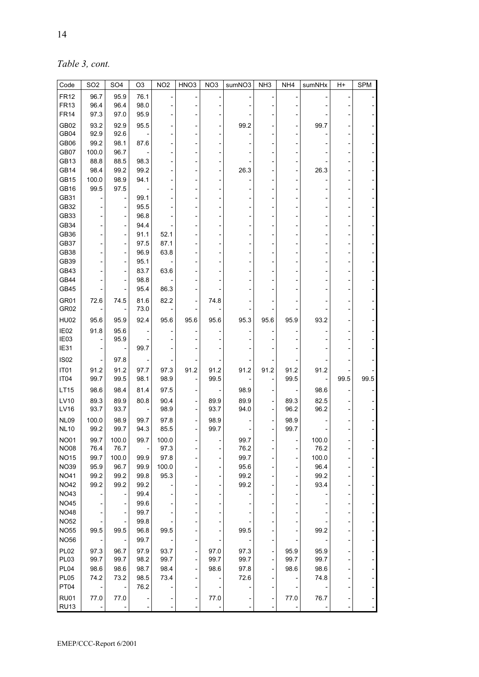*Table 3, cont.* 

| Code                       | SO <sub>2</sub> | SO <sub>4</sub> | O <sub>3</sub> | NO <sub>2</sub> | HNO <sub>3</sub> | NO <sub>3</sub> | sumNO3       | NH <sub>3</sub>          | NH4          | sumNHx       | H+   | <b>SPM</b> |
|----------------------------|-----------------|-----------------|----------------|-----------------|------------------|-----------------|--------------|--------------------------|--------------|--------------|------|------------|
| <b>FR12</b>                | 96.7            | 95.9            | 76.1           |                 |                  |                 |              |                          |              |              |      |            |
| <b>FR13</b>                | 96.4            | 96.4            | 98.0           |                 |                  |                 |              |                          |              |              |      |            |
| <b>FR14</b>                | 97.3            | 97.0            | 95.9           |                 |                  |                 |              |                          |              |              |      |            |
| GB02                       | 93.2            | 92.9            | 95.5           |                 |                  |                 | 99.2         |                          |              | 99.7         |      |            |
| GB04                       | 92.9            | 92.6            |                |                 |                  |                 |              |                          |              |              |      |            |
| GB06                       | 99.2            | 98.1            | 87.6           |                 |                  |                 |              |                          |              |              |      |            |
| GB07                       | 100.0           | 96.7            |                |                 |                  |                 |              |                          |              |              |      |            |
| GB13                       | 88.8            | 88.5            | 98.3           |                 |                  |                 |              |                          |              |              |      |            |
| GB14                       | 98.4            | 99.2            | 99.2           |                 |                  |                 | 26.3         |                          |              | 26.3         |      |            |
| GB15                       | 100.0           | 98.9            | 94.1           |                 |                  |                 |              |                          |              |              |      |            |
| GB16                       | 99.5            | 97.5            |                |                 |                  |                 |              |                          |              |              |      |            |
| GB31                       |                 |                 | 99.1           |                 |                  |                 |              |                          |              |              |      |            |
| GB32<br>GB33               |                 |                 | 95.5<br>96.8   |                 |                  |                 |              |                          |              |              |      |            |
| GB34                       |                 |                 | 94.4           |                 |                  |                 |              |                          |              |              |      |            |
| GB36                       |                 |                 | 91.1           | 52.1            |                  |                 |              |                          |              |              |      |            |
| GB37                       |                 |                 | 97.5           | 87.1            |                  |                 |              |                          |              |              |      |            |
| GB38                       |                 |                 | 96.9           | 63.8            |                  |                 |              |                          |              |              |      |            |
| GB39                       |                 |                 | 95.1           |                 |                  |                 |              |                          |              |              |      |            |
| GB43                       |                 |                 | 83.7           | 63.6            |                  |                 |              |                          |              |              |      |            |
| GB44                       |                 |                 | 98.8           |                 |                  |                 |              |                          |              |              |      |            |
| GB45                       |                 |                 | 95.4           | 86.3            |                  |                 |              |                          |              |              |      |            |
| GR01                       | 72.6            | 74.5            | 81.6           | 82.2            |                  | 74.8            |              |                          |              |              |      |            |
| GR02                       |                 |                 | 73.0           |                 |                  |                 |              |                          |              |              |      |            |
| <b>HU02</b>                | 95.6            | 95.9            | 92.4           | 95.6            | 95.6             | 95.6            | 95.3         | 95.6                     | 95.9         | 93.2         |      |            |
| IE02                       | 91.8            | 95.6            |                |                 |                  |                 |              |                          |              |              |      |            |
| IE03                       |                 | 95.9            |                |                 |                  |                 |              |                          |              |              |      |            |
| IE31                       |                 |                 | 99.7           |                 |                  |                 |              |                          |              |              |      |            |
| <b>IS02</b>                |                 | 97.8            |                |                 |                  |                 |              |                          |              |              |      |            |
| IT <sub>01</sub>           | 91.2            | 91.2            | 97.7           | 97.3            | 91.2             | 91.2            | 91.2         | 91.2                     | 91.2         | 91.2         |      |            |
| IT04                       | 99.7            | 99.5            | 98.1           | 98.9            |                  | 99.5            |              |                          | 99.5         |              | 99.5 | 99.5       |
| LT15                       | 98.6            | 98.4            | 81.4           | 97.5            |                  |                 | 98.9         |                          |              | 98.6         |      |            |
| LV10                       | 89.3            | 89.9            | 80.8           | 90.4            |                  | 89.9            | 89.9         |                          | 89.3         | 82.5         |      |            |
| LV16                       | 93.7            | 93.7            |                | 98.9            |                  | 93.7            | 94.0         |                          | 96.2         | 96.2         |      |            |
| <b>NL09</b>                | 100.0           | 98.9            | 99.7           | 97.8            |                  | 98.9            |              |                          | 98.9         |              |      |            |
| <b>NL10</b>                | 99.2            | 99.7            | 94.3           | 85.5            |                  | 99.7            |              |                          | 99.7         |              |      |            |
| <b>NO01</b>                | 99.7            | 100.0           | 99.7           | 100.0           |                  |                 | 99.7         |                          |              | 100.0        |      |            |
| <b>NO08</b>                | 76.4            | 76.7            |                | 97.3            |                  |                 | 76.2         |                          |              | 76.2         |      |            |
| <b>NO15</b>                | 99.7            | 100.0           | 99.9           | 97.8            |                  |                 | 99.7         |                          |              | 100.0        |      |            |
| <b>NO39</b>                | 95.9            | 96.7            | 99.9           | 100.0           |                  |                 | 95.6         |                          |              | 96.4         |      |            |
| <b>NO41</b>                | 99.2            | 99.2            | 99.8           | 95.3            |                  | $\overline{a}$  | 99.2         |                          |              | 99.2         |      |            |
| <b>NO42</b>                | 99.2            | 99.2            | 99.2           |                 |                  |                 | 99.2         |                          |              | 93.4         |      |            |
| <b>NO43</b>                |                 |                 | 99.4           |                 |                  |                 |              |                          |              |              |      |            |
| <b>NO45</b>                |                 |                 | 99.6           |                 |                  |                 |              |                          |              |              |      |            |
| <b>NO48</b>                |                 |                 | 99.7           |                 |                  |                 |              |                          |              |              |      |            |
| <b>NO52</b>                |                 |                 | 99.8           |                 |                  |                 |              |                          |              |              |      |            |
| <b>NO55</b>                | 99.5            | 99.5            | 96.8           | 99.5            |                  |                 | 99.5         |                          |              | 99.2         |      |            |
| <b>NO56</b>                |                 |                 | 99.7           |                 |                  |                 |              |                          |              |              |      |            |
| <b>PL02</b>                | 97.3            | 96.7            | 97.9           | 93.7            |                  | 97.0            | 97.3         | -                        | 95.9         | 95.9         |      |            |
| PL03<br>PL04               | 99.7<br>98.6    | 99.7<br>98.6    | 98.2<br>98.7   | 99.7<br>98.4    | -                | 99.7<br>98.6    | 99.7<br>97.8 | $\overline{\phantom{0}}$ | 99.7<br>98.6 | 99.7<br>98.6 |      |            |
| PL05                       | 74.2            | 73.2            | 98.5           | 73.4            |                  |                 | 72.6         | $\overline{\phantom{0}}$ |              | 74.8         |      |            |
| PT04                       |                 |                 | 76.2           |                 |                  |                 |              |                          |              |              |      |            |
|                            |                 |                 |                |                 |                  |                 |              |                          |              |              |      |            |
| <b>RU01</b><br><b>RU13</b> | 77.0            | 77.0            |                |                 | -                | 77.0            |              | -                        | 77.0         | 76.7         |      |            |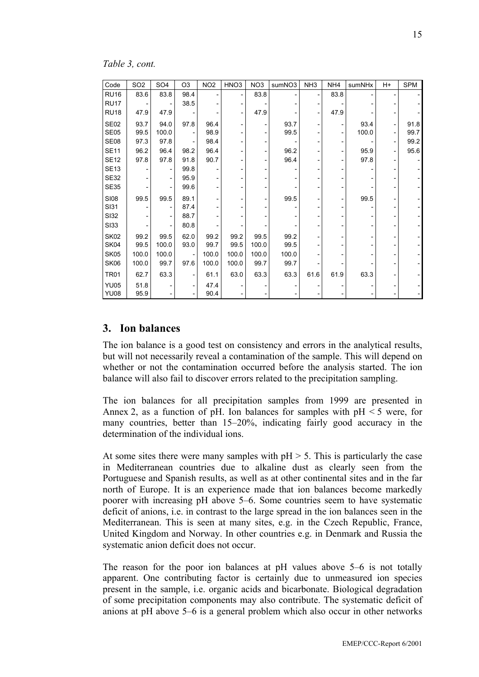*Table 3, cont.* 

| Code        | SO <sub>2</sub> | SO <sub>4</sub> | O <sub>3</sub> | NO <sub>2</sub> | HNO <sub>3</sub>         | NO <sub>3</sub> | sumNO3 | NH <sub>3</sub> | NH <sub>4</sub> | sumNHx | H+ | <b>SPM</b> |
|-------------|-----------------|-----------------|----------------|-----------------|--------------------------|-----------------|--------|-----------------|-----------------|--------|----|------------|
| <b>RU16</b> | 83.6            | 83.8            | 98.4           |                 | $\overline{\phantom{a}}$ | 83.8            |        |                 | 83.8            |        |    |            |
| <b>RU17</b> |                 |                 | 38.5           |                 |                          |                 |        |                 |                 |        |    |            |
| <b>RU18</b> | 47.9            | 47.9            |                |                 |                          | 47.9            |        |                 | 47.9            |        |    |            |
| <b>SE02</b> | 93.7            | 94.0            | 97.8           | 96.4            | -                        |                 | 93.7   |                 |                 | 93.4   |    | 91.8       |
| <b>SE05</b> | 99.5            | 100.0           |                | 98.9            |                          |                 | 99.5   |                 |                 | 100.0  |    | 99.7       |
| SE08        | 97.3            | 97.8            |                | 98.4            |                          |                 |        |                 |                 |        |    | 99.2       |
| <b>SE11</b> | 96.2            | 96.4            | 98.2           | 96.4            |                          |                 | 96.2   |                 |                 | 95.9   |    | 95.6       |
| <b>SE12</b> | 97.8            | 97.8            | 91.8           | 90.7            |                          |                 | 96.4   |                 |                 | 97.8   |    |            |
| <b>SE13</b> |                 |                 | 99.8           |                 |                          |                 |        |                 |                 |        |    |            |
| <b>SE32</b> |                 |                 | 95.9           |                 |                          |                 |        |                 |                 |        |    |            |
| <b>SE35</b> |                 |                 | 99.6           |                 |                          |                 |        |                 |                 |        |    |            |
| <b>SI08</b> | 99.5            | 99.5            | 89.1           |                 |                          |                 | 99.5   |                 |                 | 99.5   |    |            |
| <b>SI31</b> |                 |                 | 87.4           |                 |                          |                 |        |                 |                 |        |    |            |
| <b>SI32</b> |                 |                 | 88.7           |                 |                          |                 |        |                 |                 |        |    |            |
| <b>SI33</b> |                 |                 | 80.8           |                 |                          |                 |        |                 |                 |        |    |            |
| <b>SK02</b> | 99.2            | 99.5            | 62.0           | 99.2            | 99.2                     | 99.5            | 99.2   |                 |                 |        |    |            |
| SK04        | 99.5            | 100.0           | 93.0           | 99.7            | 99.5                     | 100.0           | 99.5   |                 |                 |        |    |            |
| <b>SK05</b> | 100.0           | 100.0           |                | 100.0           | 100.0                    | 100.0           | 100.0  |                 |                 |        |    |            |
| SK06        | 100.0           | 99.7            | 97.6           | 100.0           | 100.0                    | 99.7            | 99.7   |                 |                 |        |    |            |
| <b>TR01</b> | 62.7            | 63.3            | -              | 61.1            | 63.0                     | 63.3            | 63.3   | 61.6            | 61.9            | 63.3   |    |            |
| <b>YU05</b> | 51.8            |                 |                | 47.4            |                          |                 |        |                 |                 |        |    |            |
| <b>YU08</b> | 95.9            |                 |                | 90.4            |                          |                 |        |                 |                 |        |    |            |

#### **3. Ion balances**

The ion balance is a good test on consistency and errors in the analytical results, but will not necessarily reveal a contamination of the sample. This will depend on whether or not the contamination occurred before the analysis started. The ion balance will also fail to discover errors related to the precipitation sampling.

The ion balances for all precipitation samples from 1999 are presented in Annex 2, as a function of pH. Ion balances for samples with  $pH < 5$  were, for many countries, better than 15–20%, indicating fairly good accuracy in the determination of the individual ions.

At some sites there were many samples with  $pH > 5$ . This is particularly the case in Mediterranean countries due to alkaline dust as clearly seen from the Portuguese and Spanish results, as well as at other continental sites and in the far north of Europe. It is an experience made that ion balances become markedly poorer with increasing pH above 5–6. Some countries seem to have systematic deficit of anions, i.e. in contrast to the large spread in the ion balances seen in the Mediterranean. This is seen at many sites, e.g. in the Czech Republic, France, United Kingdom and Norway. In other countries e.g. in Denmark and Russia the systematic anion deficit does not occur.

The reason for the poor ion balances at pH values above 5–6 is not totally apparent. One contributing factor is certainly due to unmeasured ion species present in the sample, i.e. organic acids and bicarbonate. Biological degradation of some precipitation components may also contribute. The systematic deficit of anions at pH above 5–6 is a general problem which also occur in other networks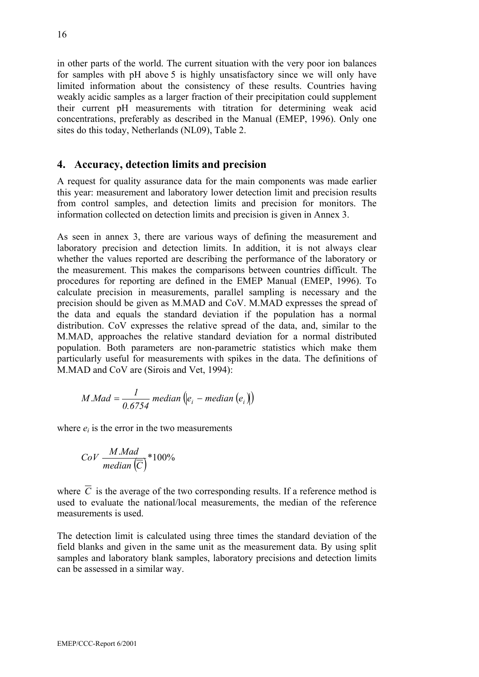in other parts of the world. The current situation with the very poor ion balances for samples with pH above 5 is highly unsatisfactory since we will only have limited information about the consistency of these results. Countries having weakly acidic samples as a larger fraction of their precipitation could supplement their current pH measurements with titration for determining weak acid concentrations, preferably as described in the Manual (EMEP, 1996). Only one sites do this today, Netherlands (NL09), Table 2.

#### **4. Accuracy, detection limits and precision**

A request for quality assurance data for the main components was made earlier this year: measurement and laboratory lower detection limit and precision results from control samples, and detection limits and precision for monitors. The information collected on detection limits and precision is given in Annex 3.

As seen in annex 3, there are various ways of defining the measurement and laboratory precision and detection limits. In addition, it is not always clear whether the values reported are describing the performance of the laboratory or the measurement. This makes the comparisons between countries difficult. The procedures for reporting are defined in the EMEP Manual (EMEP, 1996). To calculate precision in measurements, parallel sampling is necessary and the precision should be given as M.MAD and CoV. M.MAD expresses the spread of the data and equals the standard deviation if the population has a normal distribution. CoV expresses the relative spread of the data, and, similar to the M.MAD, approaches the relative standard deviation for a normal distributed population. Both parameters are non-parametric statistics which make them particularly useful for measurements with spikes in the data. The definitions of M.MAD and CoV are (Sirois and Vet, 1994):

$$
M.Mad = \frac{1}{0.6754} \text{ median} (e_i - \text{median} (e_i))
$$

where  $e_i$  is the error in the two measurements

$$
CoV \frac{M.Mad}{median(\overline{C})} * 100\%
$$

where  $\overline{C}$  is the average of the two corresponding results. If a reference method is used to evaluate the national/local measurements, the median of the reference measurements is used.

The detection limit is calculated using three times the standard deviation of the field blanks and given in the same unit as the measurement data. By using split samples and laboratory blank samples, laboratory precisions and detection limits can be assessed in a similar way.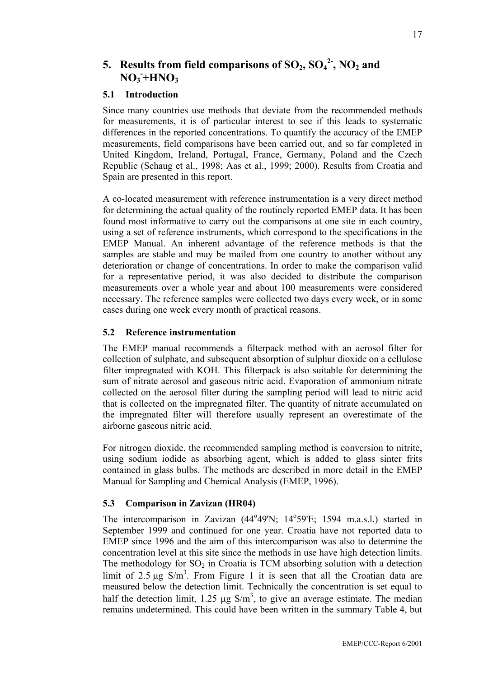# **5.** Results from field comparisons of  $SO_2$ ,  $SO_4^2$ ,  $NO_2$  and  $NO_3$ <sup> $-+$ </sup> $HNO_3$

#### **5.1 Introduction**

Since many countries use methods that deviate from the recommended methods for measurements, it is of particular interest to see if this leads to systematic differences in the reported concentrations. To quantify the accuracy of the EMEP measurements, field comparisons have been carried out, and so far completed in United Kingdom, Ireland, Portugal, France, Germany, Poland and the Czech Republic (Schaug et al., 1998; Aas et al., 1999; 2000). Results from Croatia and Spain are presented in this report.

A co-located measurement with reference instrumentation is a very direct method for determining the actual quality of the routinely reported EMEP data. It has been found most informative to carry out the comparisons at one site in each country, using a set of reference instruments, which correspond to the specifications in the EMEP Manual. An inherent advantage of the reference methods is that the samples are stable and may be mailed from one country to another without any deterioration or change of concentrations. In order to make the comparison valid for a representative period, it was also decided to distribute the comparison measurements over a whole year and about 100 measurements were considered necessary. The reference samples were collected two days every week, or in some cases during one week every month of practical reasons.

#### **5.2 Reference instrumentation**

The EMEP manual recommends a filterpack method with an aerosol filter for collection of sulphate, and subsequent absorption of sulphur dioxide on a cellulose filter impregnated with KOH. This filterpack is also suitable for determining the sum of nitrate aerosol and gaseous nitric acid. Evaporation of ammonium nitrate collected on the aerosol filter during the sampling period will lead to nitric acid that is collected on the impregnated filter. The quantity of nitrate accumulated on the impregnated filter will therefore usually represent an overestimate of the airborne gaseous nitric acid.

For nitrogen dioxide, the recommended sampling method is conversion to nitrite, using sodium iodide as absorbing agent, which is added to glass sinter frits contained in glass bulbs. The methods are described in more detail in the EMEP Manual for Sampling and Chemical Analysis (EMEP, 1996).

#### **5.3 Comparison in Zavizan (HR04)**

The intercomparison in Zavizan (44°49'N; 14°59'E; 1594 m.a.s.l.) started in September 1999 and continued for one year. Croatia have not reported data to EMEP since 1996 and the aim of this intercomparison was also to determine the concentration level at this site since the methods in use have high detection limits. The methodology for  $SO_2$  in Croatia is TCM absorbing solution with a detection limit of 2.5  $\mu$ g S/m<sup>3</sup>. From Figure 1 it is seen that all the Croatian data are measured below the detection limit. Technically the concentration is set equal to half the detection limit, 1.25  $\mu$ g S/m<sup>3</sup>, to give an average estimate. The median remains undetermined. This could have been written in the summary Table 4, but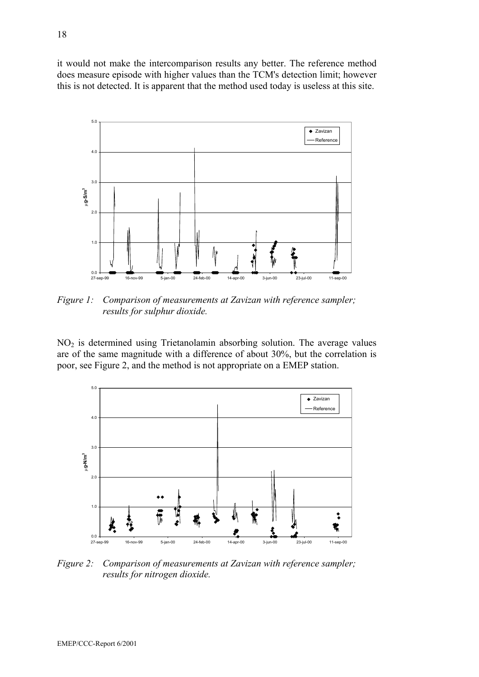it would not make the intercomparison results any better. The reference method does measure episode with higher values than the TCM's detection limit; however this is not detected. It is apparent that the method used today is useless at this site.



*Figure 1: Comparison of measurements at Zavizan with reference sampler; results for sulphur dioxide.* 

NO2 is determined using Trietanolamin absorbing solution. The average values are of the same magnitude with a difference of about 30%, but the correlation is poor, see Figure 2, and the method is not appropriate on a EMEP station.



*Figure 2: Comparison of measurements at Zavizan with reference sampler; results for nitrogen dioxide.*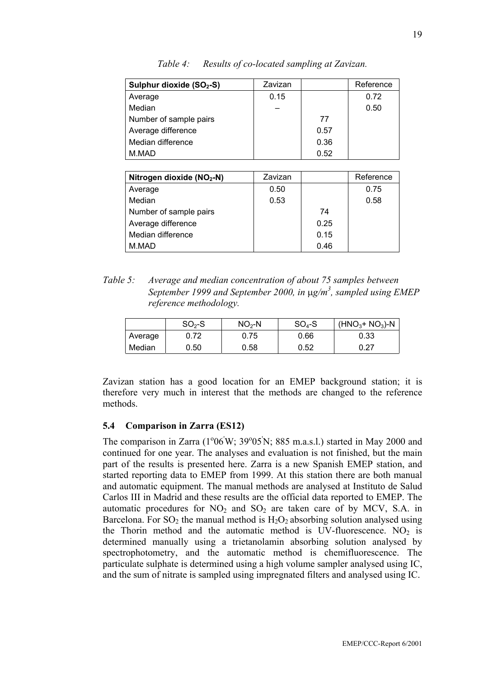| Sulphur dioxide (SO <sub>2</sub> -S)  | Zavizan |      | Reference |
|---------------------------------------|---------|------|-----------|
| Average                               | 0.15    |      | 0.72      |
| Median                                |         |      | 0.50      |
| Number of sample pairs                |         | 77   |           |
| Average difference                    |         | 0.57 |           |
| Median difference                     |         | 0.36 |           |
| M.MAD                                 |         | 0.52 |           |
|                                       |         |      |           |
| Nitrogen dioxide (NO <sub>2</sub> -N) | Zavizan |      | Reference |
| Average                               | 0.50    |      | 0.75      |
| Median                                | 0.53    |      | 0.58      |
| Number of sample pairs                |         | 74   |           |
| Average difference                    |         | 0.25 |           |
| Median difference                     |         | 0.15 |           |

*Table 4: Results of co-located sampling at Zavizan.*

*Table 5: Average and median concentration of about 75 samples between*  September 1999 and September 2000, in  $\mu$ g/m<sup>3</sup>, sampled using EMEP *reference methodology.* 

M.MAD 0.46

|         | $SO2-S$ | $NO2-N$ | $SO4-S$ | $(HNO3+ NO3)-N$ |
|---------|---------|---------|---------|-----------------|
| Average | 0.72    | 0.75    | 0.66    | 0.33            |
| Median  | 0.50    | 0.58    | 0.52    | 0.27            |

Zavizan station has a good location for an EMEP background station; it is therefore very much in interest that the methods are changed to the reference methods.

#### **5.4 Comparison in Zarra (ES12)**

The comparison in Zarra  $(1^{\circ}06'W; 39^{\circ}05'N; 885 m.a.s.l.)$  started in May 2000 and continued for one year. The analyses and evaluation is not finished, but the main part of the results is presented here. Zarra is a new Spanish EMEP station, and started reporting data to EMEP from 1999. At this station there are both manual and automatic equipment. The manual methods are analysed at Instituto de Salud Carlos III in Madrid and these results are the official data reported to EMEP. The automatic procedures for  $NO<sub>2</sub>$  and  $SO<sub>2</sub>$  are taken care of by MCV, S.A. in Barcelona. For  $SO_2$  the manual method is  $H_2O_2$  absorbing solution analysed using the Thorin method and the automatic method is UV-fluorescence.  $NO<sub>2</sub>$  is determined manually using a trietanolamin absorbing solution analysed by spectrophotometry, and the automatic method is chemifluorescence. The particulate sulphate is determined using a high volume sampler analysed using IC, and the sum of nitrate is sampled using impregnated filters and analysed using IC.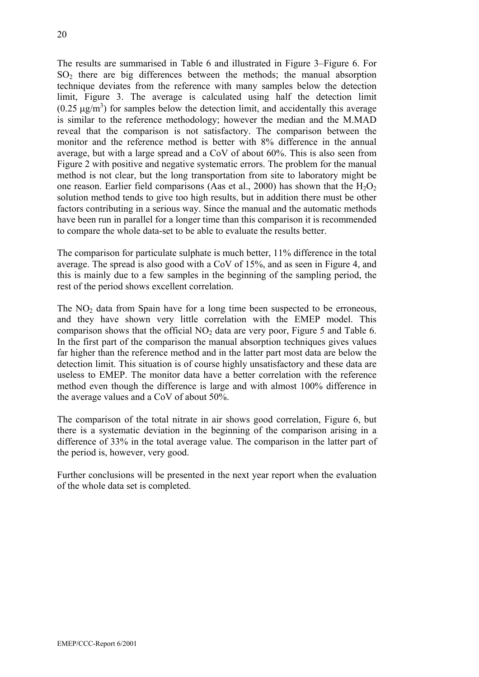The results are summarised in Table 6 and illustrated in Figure 3–Figure 6. For SO2 there are big differences between the methods; the manual absorption technique deviates from the reference with many samples below the detection limit, Figure 3. The average is calculated using half the detection limit  $(0.25 \,\mu\text{g/m}^3)$  for samples below the detection limit, and accidentally this average is similar to the reference methodology; however the median and the M.MAD reveal that the comparison is not satisfactory. The comparison between the monitor and the reference method is better with 8% difference in the annual average, but with a large spread and a CoV of about 60%. This is also seen from Figure 2 with positive and negative systematic errors. The problem for the manual method is not clear, but the long transportation from site to laboratory might be one reason. Earlier field comparisons (Aas et al., 2000) has shown that the  $H_2O_2$ solution method tends to give too high results, but in addition there must be other factors contributing in a serious way. Since the manual and the automatic methods have been run in parallel for a longer time than this comparison it is recommended to compare the whole data-set to be able to evaluate the results better.

The comparison for particulate sulphate is much better, 11% difference in the total average. The spread is also good with a CoV of 15%, and as seen in Figure 4, and this is mainly due to a few samples in the beginning of the sampling period, the rest of the period shows excellent correlation.

The  $NO<sub>2</sub>$  data from Spain have for a long time been suspected to be erroneous, and they have shown very little correlation with the EMEP model. This comparison shows that the official  $NO<sub>2</sub>$  data are very poor, Figure 5 and Table 6. In the first part of the comparison the manual absorption techniques gives values far higher than the reference method and in the latter part most data are below the detection limit. This situation is of course highly unsatisfactory and these data are useless to EMEP. The monitor data have a better correlation with the reference method even though the difference is large and with almost 100% difference in the average values and a CoV of about 50%.

The comparison of the total nitrate in air shows good correlation, Figure 6, but there is a systematic deviation in the beginning of the comparison arising in a difference of 33% in the total average value. The comparison in the latter part of the period is, however, very good.

Further conclusions will be presented in the next year report when the evaluation of the whole data set is completed.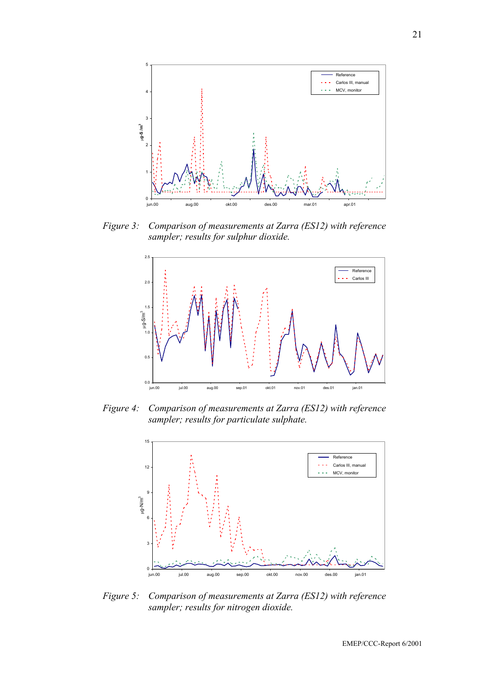

*Figure 3: Comparison of measurements at Zarra (ES12) with reference sampler; results for sulphur dioxide.* 



*Figure 4: Comparison of measurements at Zarra (ES12) with reference sampler; results for particulate sulphate.* 



*Figure 5: Comparison of measurements at Zarra (ES12) with reference sampler; results for nitrogen dioxide.*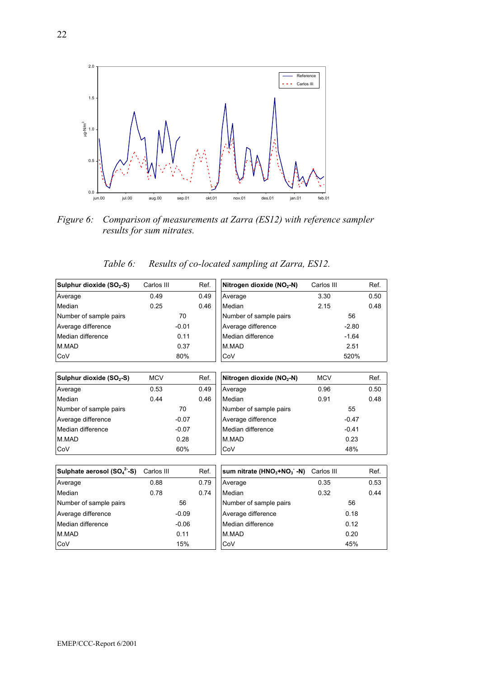

*Figure 6: Comparison of measurements at Zarra (ES12) with reference sampler results for sum nitrates.* 

| Table 6: | Results of co-located sampling at Zarra, ES12. |  |  |
|----------|------------------------------------------------|--|--|
|          |                                                |  |  |

| Sulphur dioxide (SO <sub>2</sub> -S) | Carlos III |         | Ref. | Nitrogen dioxide (NO <sub>2</sub> -N) | Carlos III |         | Ref. |
|--------------------------------------|------------|---------|------|---------------------------------------|------------|---------|------|
| Average                              | 0.49       |         | 0.49 | Average                               | 3.30       |         | 0.50 |
| Median                               | 0.25       |         | 0.46 | Median                                | 2.15       |         | 0.48 |
| Number of sample pairs               |            | 70      |      | Number of sample pairs                |            | 56      |      |
| Average difference                   |            | $-0.01$ |      | Average difference                    |            | $-2.80$ |      |
| Median difference                    |            | 0.11    |      | Median difference                     |            | $-1.64$ |      |
| M.MAD                                |            | 0.37    |      | M.MAD                                 |            | 2.51    |      |
| CoV                                  |            | 80%     |      | CoV                                   |            | 520%    |      |
|                                      |            |         |      |                                       |            |         |      |
| Sulphur dioxide (SO <sub>2</sub> -S) | <b>MCV</b> |         | Ref. | Nitrogen dioxide $(NO2-N)$            | <b>MCV</b> |         | Ref. |
| Average                              | 0.53       |         | 0.49 | Average                               | 0.96       |         | 0.50 |
| Median                               | 0.44       |         | 0.46 | Median                                | 0.91       |         | 0.48 |
| Number of sample pairs               |            | 70      |      | Number of sample pairs                |            | 55      |      |
| Average difference                   |            | $-0.07$ |      | Average difference                    |            | $-0.47$ |      |
| Median difference                    |            | $-0.07$ |      | Median difference                     |            | $-0.41$ |      |
| M.MAD                                |            | 0.28    |      | M.MAD                                 |            | 0.23    |      |
| CoV                                  |            | 60%     |      | CoV                                   |            | 48%     |      |

| Sulphate aerosol (SO <sub>4</sub> <sup>2</sup> -S) | Carlos III |         | Ref. | sum nitrate (HNO <sub>3</sub> +NO <sub>3</sub> -N) | Carlos III |      |
|----------------------------------------------------|------------|---------|------|----------------------------------------------------|------------|------|
| Average                                            | 0.88       |         | 0.79 | Average                                            | 0.35       |      |
| Median                                             | 0.78       |         | 0.74 | Median                                             | 0.32       |      |
| Number of sample pairs                             |            | 56      |      | Number of sample pairs                             |            | 56   |
| Average difference                                 |            | $-0.09$ |      | Average difference                                 |            | 0.18 |
| Median difference                                  |            | $-0.06$ |      | Median difference                                  |            | 0.12 |
| M.MAD                                              |            | 0.11    |      | M.MAD                                              |            | 0.20 |
| CoV                                                |            | 15%     |      | CoV                                                |            | 45%  |

| Sulphate aerosol $(SO_4^2-S)$ | Carlos III |         | Ref. | sum nitrate (HNO <sub>3</sub> +NO <sub>3</sub> -N) | Carlos III |      | Ref. |
|-------------------------------|------------|---------|------|----------------------------------------------------|------------|------|------|
| Average                       | 0.88       |         | 0.79 | Average                                            | 0.35       |      | 0.53 |
| Median                        | 0.78       |         | 0.74 | Median                                             | 0.32       |      | 0.44 |
| Number of sample pairs        |            | 56      |      | Number of sample pairs                             |            | 56   |      |
| Average difference            |            | $-0.09$ |      | Average difference                                 |            | 0.18 |      |
| Median difference             |            | $-0.06$ |      | Median difference                                  |            | 0.12 |      |
| M.MAD                         |            | 0.11    |      | M.MAD                                              |            | 0.20 |      |
| CoV                           |            | 15%     |      | <b>ICoV</b>                                        |            | 45%  |      |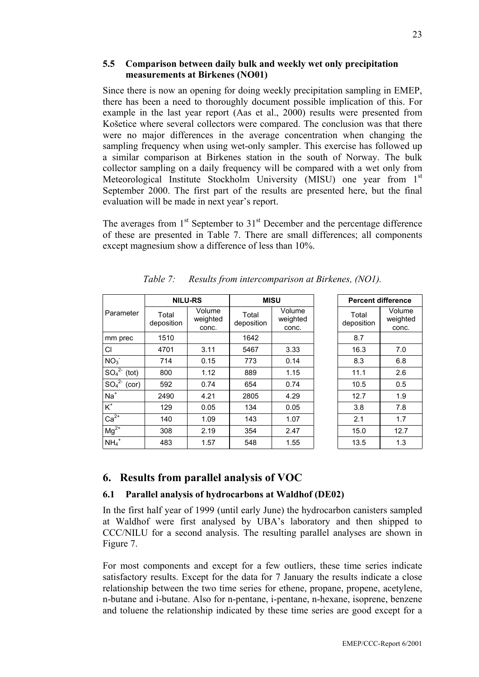#### **5.5 Comparison between daily bulk and weekly wet only precipitation measurements at Birkenes (NO01)**

Since there is now an opening for doing weekly precipitation sampling in EMEP, there has been a need to thoroughly document possible implication of this. For example in the last year report (Aas et al., 2000) results were presented from Košetice where several collectors were compared. The conclusion was that there were no major differences in the average concentration when changing the sampling frequency when using wet-only sampler. This exercise has followed up a similar comparison at Birkenes station in the south of Norway. The bulk collector sampling on a daily frequency will be compared with a wet only from Meteorological Institute Stockholm University (MISU) one year from 1<sup>st</sup> September 2000. The first part of the results are presented here, but the final evaluation will be made in next year's report.

The averages from  $1<sup>st</sup>$  September to  $31<sup>st</sup>$  December and the percentage difference of these are presented in Table 7. There are small differences; all components except magnesium show a difference of less than 10%.

|                     | <b>NILU-RS</b>      |                             |                     | <b>MISU</b>                 | <b>Percent difference</b> |                            |
|---------------------|---------------------|-----------------------------|---------------------|-----------------------------|---------------------------|----------------------------|
| Parameter           | Total<br>deposition | Volume<br>weighted<br>conc. | Total<br>deposition | Volume<br>weighted<br>conc. | Total<br>deposition       | Volume<br>weighte<br>conc. |
| mm prec             | 1510                |                             | 1642                |                             | 8.7                       |                            |
| <b>CI</b>           | 4701                | 3.11                        | 5467                | 3.33                        | 16.3                      | 7.0                        |
| NO <sub>3</sub>     | 714                 | 0.15                        | 773                 | 0.14                        | 8.3                       | 6.8                        |
| $SO_4^{2-}$ (tot)   | 800                 | 1.12                        | 889                 | 1.15                        | 11.1                      | 2.6                        |
| $SO_4^{2-}$ (cor)   | 592                 | 0.74                        | 654                 | 0.74                        | 10.5                      | 0.5                        |
| $Na+$               | 2490                | 4.21                        | 2805                | 4.29                        | 12.7                      | 1.9                        |
| $K^+$               | 129                 | 0.05                        | 134                 | 0.05                        | 3.8                       | 7.8                        |
| $Ca2+$              | 140                 | 1.09                        | 143                 | 1.07                        | 2.1                       | 1.7                        |
| $Mg^{2+}$           | 308                 | 2.19                        | 354                 | 2.47                        | 15.0                      | 12.7                       |
| $NH_4$ <sup>+</sup> | 483                 | 1.57                        | 548                 | 1.55                        | 13.5                      | 1.3                        |

*Table 7: Results from intercomparison at Birkenes, (NO1).* 

### **6. Results from parallel analysis of VOC**

#### **6.1 Parallel analysis of hydrocarbons at Waldhof (DE02)**

In the first half year of 1999 (until early June) the hydrocarbon canisters sampled at Waldhof were first analysed by UBA's laboratory and then shipped to CCC/NILU for a second analysis. The resulting parallel analyses are shown in Figure 7.

For most components and except for a few outliers, these time series indicate satisfactory results. Except for the data for 7 January the results indicate a close relationship between the two time series for ethene, propane, propene, acetylene, n-butane and i-butane. Also for n-pentane, i-pentane, n-hexane, isoprene, benzene and toluene the relationship indicated by these time series are good except for a

Volume weighted conc.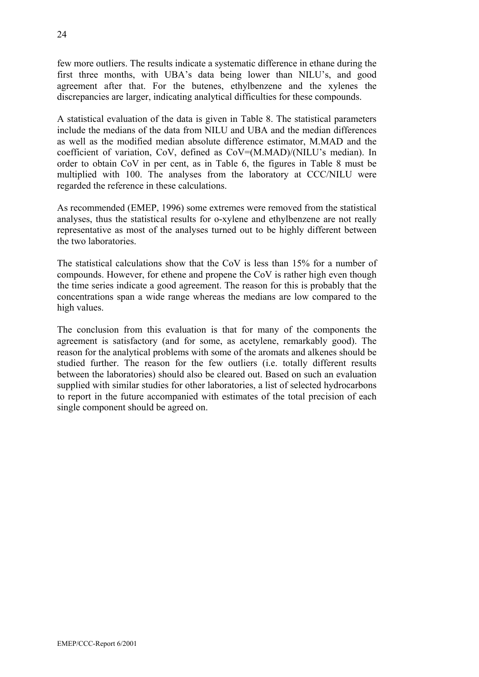few more outliers. The results indicate a systematic difference in ethane during the first three months, with UBA's data being lower than NILU's, and good agreement after that. For the butenes, ethylbenzene and the xylenes the discrepancies are larger, indicating analytical difficulties for these compounds.

A statistical evaluation of the data is given in Table 8. The statistical parameters include the medians of the data from NILU and UBA and the median differences as well as the modified median absolute difference estimator, M.MAD and the coefficient of variation, CoV, defined as CoV=(M.MAD)/(NILU's median). In order to obtain CoV in per cent, as in Table 6, the figures in Table 8 must be multiplied with 100. The analyses from the laboratory at CCC/NILU were regarded the reference in these calculations.

As recommended (EMEP, 1996) some extremes were removed from the statistical analyses, thus the statistical results for o-xylene and ethylbenzene are not really representative as most of the analyses turned out to be highly different between the two laboratories.

The statistical calculations show that the CoV is less than 15% for a number of compounds. However, for ethene and propene the CoV is rather high even though the time series indicate a good agreement. The reason for this is probably that the concentrations span a wide range whereas the medians are low compared to the high values.

The conclusion from this evaluation is that for many of the components the agreement is satisfactory (and for some, as acetylene, remarkably good). The reason for the analytical problems with some of the aromats and alkenes should be studied further. The reason for the few outliers (i.e. totally different results between the laboratories) should also be cleared out. Based on such an evaluation supplied with similar studies for other laboratories, a list of selected hydrocarbons to report in the future accompanied with estimates of the total precision of each single component should be agreed on.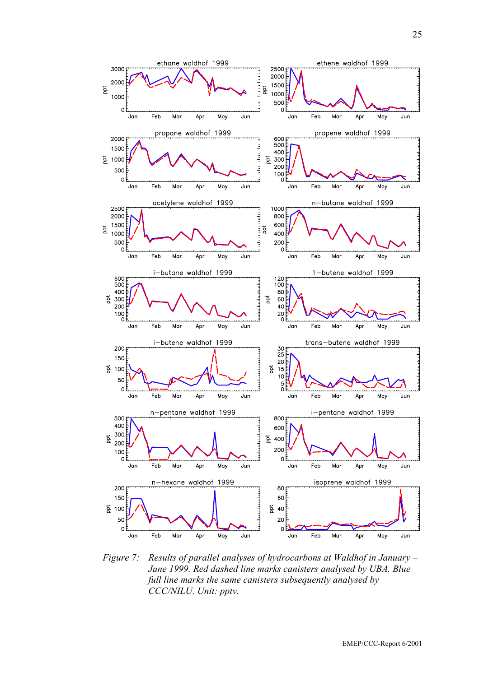

*Figure 7: Results of parallel analyses of hydrocarbons at Waldhof in January – June 1999. Red dashed line marks canisters analysed by UBA. Blue full line marks the same canisters subsequently analysed by CCC/NILU. Unit: pptv.*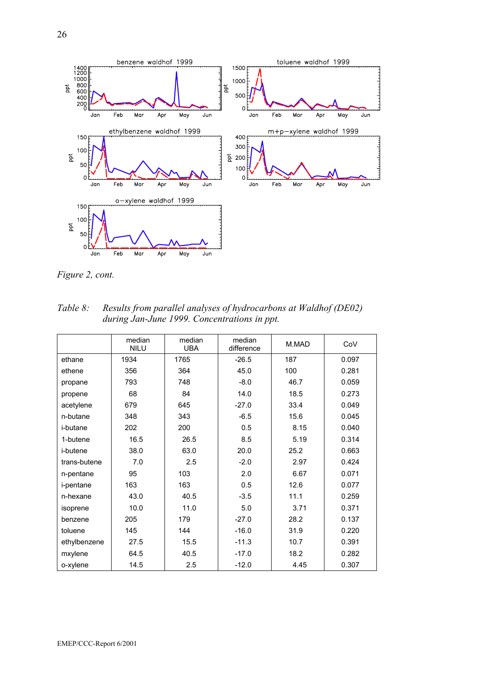

*Figure 2, cont.* 

| Table 8: | Results from parallel analyses of hydrocarbons at Waldhof (DE02) |
|----------|------------------------------------------------------------------|
|          | during Jan-June 1999. Concentrations in ppt.                     |

|                  | median<br><b>NILU</b> | median<br><b>UBA</b> | median<br>difference | M.MAD | CoV   |
|------------------|-----------------------|----------------------|----------------------|-------|-------|
| ethane           | 1934                  | 1765                 | $-26.5$              | 187   | 0.097 |
| ethene           | 356                   | 364                  | 45.0                 | 100   | 0.281 |
| propane          | 793                   | 748                  | $-8.0$               | 46.7  | 0.059 |
| propene          | 68                    | 84                   | 14.0                 | 18.5  | 0.273 |
| acetylene        | 679                   | 645                  | $-27.0$              | 33.4  | 0.049 |
| n-butane         | 348                   | 343                  | $-6.5$               | 15.6  | 0.045 |
| <i>i</i> -butane | 202                   | 200                  | 0.5                  | 8.15  | 0.040 |
| 1-butene         | 16.5                  | 26.5                 | 8.5                  | 5.19  | 0.314 |
| <i>i</i> -butene | 38.0                  | 63.0                 | 20.0                 | 25.2  | 0.663 |
| trans-butene     | 7.0                   | 2.5                  | $-2.0$               | 2.97  | 0.424 |
| n-pentane        | 95                    | 103                  | 2.0                  | 6.67  | 0.071 |
| <i>i-pentane</i> | 163                   | 163                  | 0.5                  | 12.6  | 0.077 |
| n-hexane         | 43.0                  | 40.5                 | $-3.5$               | 11.1  | 0.259 |
| isoprene         | 10.0                  | 11.0                 | 5.0                  | 3.71  | 0.371 |
| benzene          | 205                   | 179                  | $-27.0$              | 28.2  | 0.137 |
| toluene          | 145                   | 144                  | $-16.0$              | 31.9  | 0.220 |
| ethylbenzene     | 27.5                  | 15.5                 | $-11.3$              | 10.7  | 0.391 |
| mxylene          | 64.5                  | 40.5                 | $-17.0$              | 18.2  | 0.282 |
| o-xylene         | 14.5                  | 2.5                  | $-12.0$              | 4.45  | 0.307 |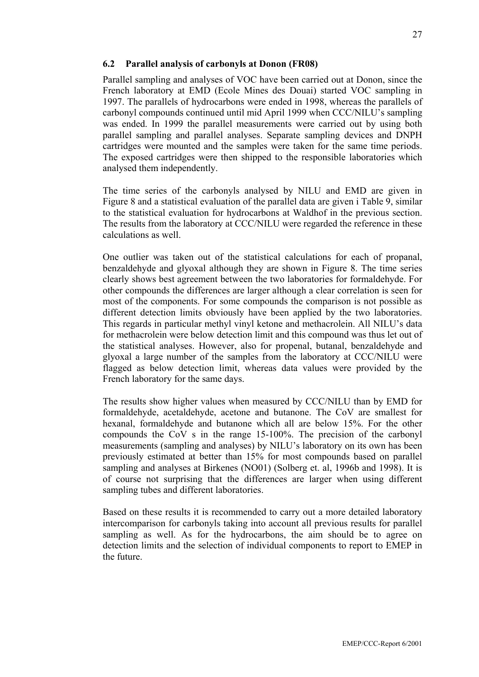#### **6.2 Parallel analysis of carbonyls at Donon (FR08)**

Parallel sampling and analyses of VOC have been carried out at Donon, since the French laboratory at EMD (Ecole Mines des Douai) started VOC sampling in 1997. The parallels of hydrocarbons were ended in 1998, whereas the parallels of carbonyl compounds continued until mid April 1999 when CCC/NILU's sampling was ended. In 1999 the parallel measurements were carried out by using both parallel sampling and parallel analyses. Separate sampling devices and DNPH cartridges were mounted and the samples were taken for the same time periods. The exposed cartridges were then shipped to the responsible laboratories which analysed them independently.

The time series of the carbonyls analysed by NILU and EMD are given in Figure 8 and a statistical evaluation of the parallel data are given i Table 9, similar to the statistical evaluation for hydrocarbons at Waldhof in the previous section. The results from the laboratory at CCC/NILU were regarded the reference in these calculations as well.

One outlier was taken out of the statistical calculations for each of propanal, benzaldehyde and glyoxal although they are shown in Figure 8. The time series clearly shows best agreement between the two laboratories for formaldehyde. For other compounds the differences are larger although a clear correlation is seen for most of the components. For some compounds the comparison is not possible as different detection limits obviously have been applied by the two laboratories. This regards in particular methyl vinyl ketone and methacrolein. All NILU's data for methacrolein were below detection limit and this compound was thus let out of the statistical analyses. However, also for propenal, butanal, benzaldehyde and glyoxal a large number of the samples from the laboratory at CCC/NILU were flagged as below detection limit, whereas data values were provided by the French laboratory for the same days.

The results show higher values when measured by CCC/NILU than by EMD for formaldehyde, acetaldehyde, acetone and butanone. The CoV are smallest for hexanal, formaldehyde and butanone which all are below 15%. For the other compounds the CoV s in the range 15-100%. The precision of the carbonyl measurements (sampling and analyses) by NILU's laboratory on its own has been previously estimated at better than 15% for most compounds based on parallel sampling and analyses at Birkenes (NO01) (Solberg et. al, 1996b and 1998). It is of course not surprising that the differences are larger when using different sampling tubes and different laboratories.

Based on these results it is recommended to carry out a more detailed laboratory intercomparison for carbonyls taking into account all previous results for parallel sampling as well. As for the hydrocarbons, the aim should be to agree on detection limits and the selection of individual components to report to EMEP in the future.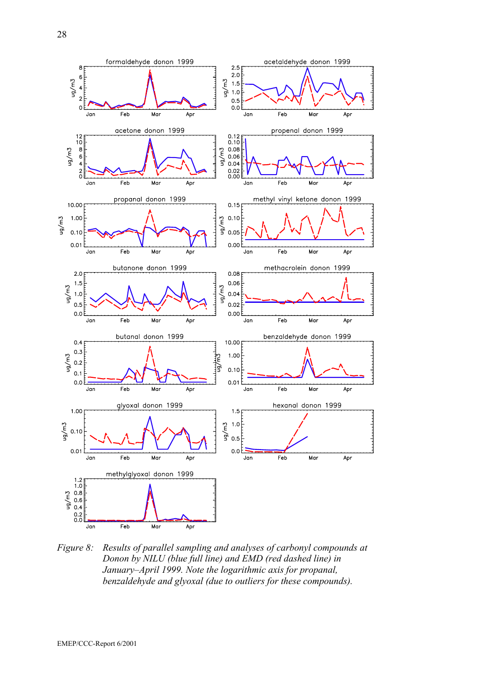

*Figure 8: Results of parallel sampling and analyses of carbonyl compounds at Donon by NILU (blue full line) and EMD (red dashed line) in January–April 1999. Note the logarithmic axis for propanal, benzaldehyde and glyoxal (due to outliers for these compounds).*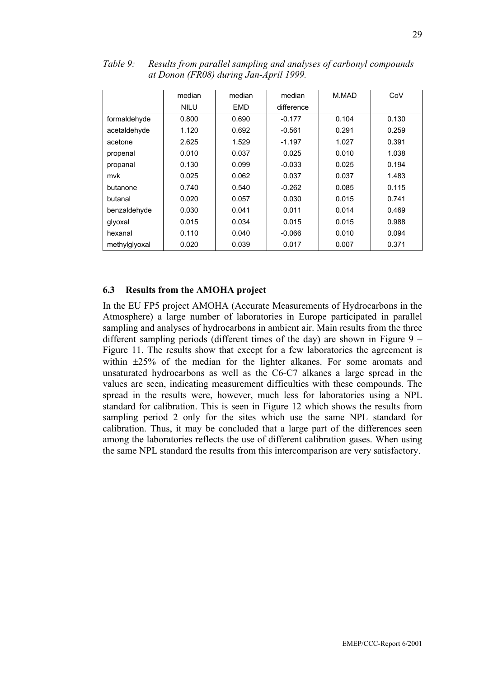|               | median      | median     | median     | M.MAD | CoV   |
|---------------|-------------|------------|------------|-------|-------|
|               | <b>NILU</b> | <b>EMD</b> | difference |       |       |
| formaldehyde  | 0.800       | 0.690      | $-0.177$   | 0.104 | 0.130 |
| acetaldehyde  | 1.120       | 0.692      | $-0.561$   | 0.291 | 0.259 |
| acetone       | 2.625       | 1.529      | $-1.197$   | 1.027 | 0.391 |
| propenal      | 0.010       | 0.037      | 0.025      | 0.010 | 1.038 |
| propanal      | 0.130       | 0.099      | $-0.033$   | 0.025 | 0.194 |
| mvk           | 0.025       | 0.062      | 0.037      | 0.037 | 1.483 |
| butanone      | 0.740       | 0.540      | $-0.262$   | 0.085 | 0.115 |
| butanal       | 0.020       | 0.057      | 0.030      | 0.015 | 0.741 |
| benzaldehyde  | 0.030       | 0.041      | 0.011      | 0.014 | 0.469 |
| glyoxal       | 0.015       | 0.034      | 0.015      | 0.015 | 0.988 |
| hexanal       | 0.110       | 0.040      | $-0.066$   | 0.010 | 0.094 |
| methylglyoxal | 0.020       | 0.039      | 0.017      | 0.007 | 0.371 |

*Table 9: Results from parallel sampling and analyses of carbonyl compounds at Donon (FR08) during Jan-April 1999.* 

#### **6.3 Results from the AMOHA project**

In the EU FP5 project AMOHA (Accurate Measurements of Hydrocarbons in the Atmosphere) a large number of laboratories in Europe participated in parallel sampling and analyses of hydrocarbons in ambient air. Main results from the three different sampling periods (different times of the day) are shown in Figure 9 – Figure 11. The results show that except for a few laboratories the agreement is within ±25% of the median for the lighter alkanes. For some aromats and unsaturated hydrocarbons as well as the C6-C7 alkanes a large spread in the values are seen, indicating measurement difficulties with these compounds. The spread in the results were, however, much less for laboratories using a NPL standard for calibration. This is seen in Figure 12 which shows the results from sampling period 2 only for the sites which use the same NPL standard for calibration. Thus, it may be concluded that a large part of the differences seen among the laboratories reflects the use of different calibration gases. When using the same NPL standard the results from this intercomparison are very satisfactory.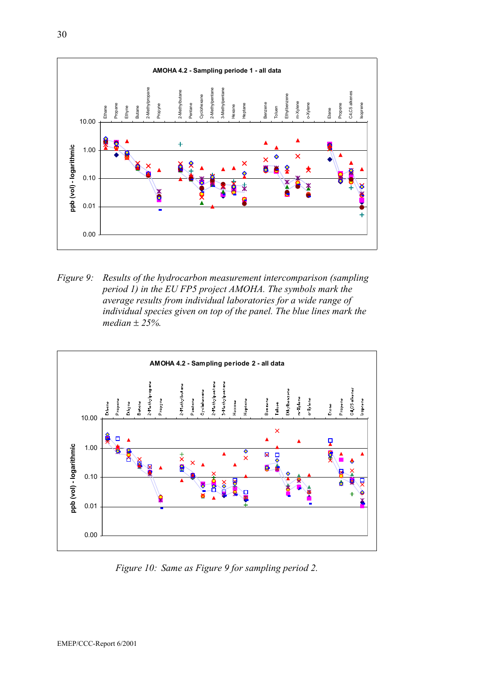

*Figure 9: Results of the hydrocarbon measurement intercomparison (sampling period 1) in the EU FP5 project AMOHA. The symbols mark the average results from individual laboratories for a wide range of individual species given on top of the panel. The blue lines mark the median* ± *25%.* 



*Figure 10: Same as Figure 9 for sampling period 2.*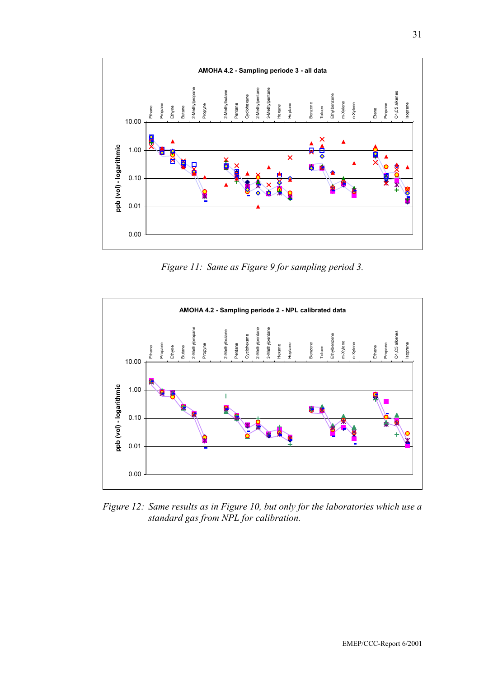

*Figure 11: Same as Figure 9 for sampling period 3.* 



*Figure 12: Same results as in Figure 10, but only for the laboratories which use a standard gas from NPL for calibration.*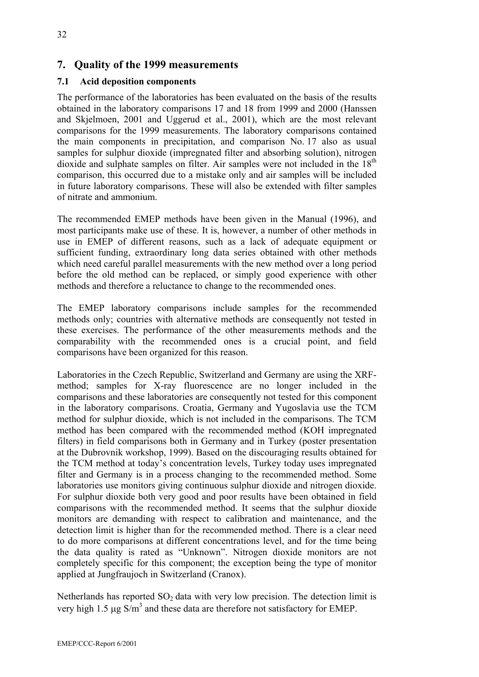### **7. Quality of the 1999 measurements**

#### **7.1 Acid deposition components**

The performance of the laboratories has been evaluated on the basis of the results obtained in the laboratory comparisons 17 and 18 from 1999 and 2000 (Hanssen and Skjelmoen, 2001 and Uggerud et al., 2001), which are the most relevant comparisons for the 1999 measurements. The laboratory comparisons contained the main components in precipitation, and comparison No. 17 also as usual samples for sulphur dioxide (impregnated filter and absorbing solution), nitrogen dioxide and sulphate samples on filter. Air samples were not included in the  $18<sup>th</sup>$ comparison, this occurred due to a mistake only and air samples will be included in future laboratory comparisons. These will also be extended with filter samples of nitrate and ammonium.

The recommended EMEP methods have been given in the Manual (1996), and most participants make use of these. It is, however, a number of other methods in use in EMEP of different reasons, such as a lack of adequate equipment or sufficient funding, extraordinary long data series obtained with other methods which need careful parallel measurements with the new method over a long period before the old method can be replaced, or simply good experience with other methods and therefore a reluctance to change to the recommended ones.

The EMEP laboratory comparisons include samples for the recommended methods only; countries with alternative methods are consequently not tested in these exercises. The performance of the other measurements methods and the comparability with the recommended ones is a crucial point, and field comparisons have been organized for this reason.

Laboratories in the Czech Republic, Switzerland and Germany are using the XRFmethod; samples for X-ray fluorescence are no longer included in the comparisons and these laboratories are consequently not tested for this component in the laboratory comparisons. Croatia, Germany and Yugoslavia use the TCM method for sulphur dioxide, which is not included in the comparisons. The TCM method has been compared with the recommended method (KOH impregnated filters) in field comparisons both in Germany and in Turkey (poster presentation at the Dubrovnik workshop, 1999). Based on the discouraging results obtained for the TCM method at today's concentration levels, Turkey today uses impregnated filter and Germany is in a process changing to the recommended method. Some laboratories use monitors giving continuous sulphur dioxide and nitrogen dioxide. For sulphur dioxide both very good and poor results have been obtained in field comparisons with the recommended method. It seems that the sulphur dioxide monitors are demanding with respect to calibration and maintenance, and the detection limit is higher than for the recommended method. There is a clear need to do more comparisons at different concentrations level, and for the time being the data quality is rated as "Unknown". Nitrogen dioxide monitors are not completely specific for this component; the exception being the type of monitor applied at Jungfraujoch in Switzerland (Cranox).

Netherlands has reported  $SO<sub>2</sub>$  data with very low precision. The detection limit is very high 1.5  $\mu$ g S/m<sup>3</sup> and these data are therefore not satisfactory for EMEP.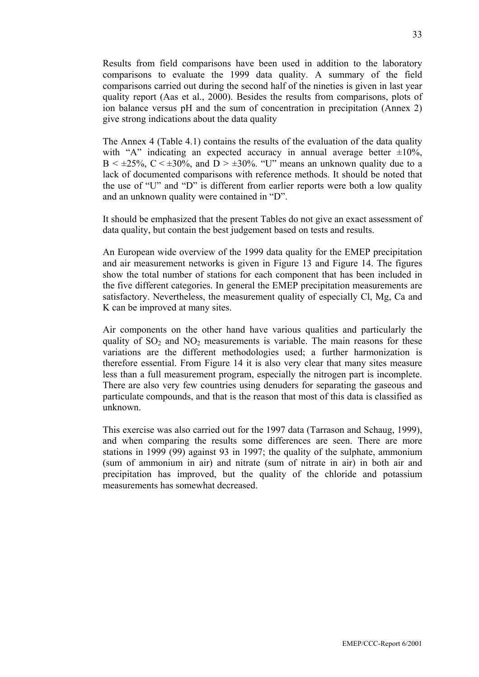Results from field comparisons have been used in addition to the laboratory comparisons to evaluate the 1999 data quality. A summary of the field comparisons carried out during the second half of the nineties is given in last year quality report (Aas et al., 2000). Besides the results from comparisons, plots of ion balance versus pH and the sum of concentration in precipitation (Annex 2) give strong indications about the data quality

The Annex 4 (Table 4.1) contains the results of the evaluation of the data quality with "A" indicating an expected accuracy in annual average better  $\pm 10\%$ ,  $B < \pm 25\%$ ,  $C < \pm 30\%$ , and  $D > \pm 30\%$ . "U" means an unknown quality due to a lack of documented comparisons with reference methods. It should be noted that the use of "U" and "D" is different from earlier reports were both a low quality and an unknown quality were contained in "D".

It should be emphasized that the present Tables do not give an exact assessment of data quality, but contain the best judgement based on tests and results.

An European wide overview of the 1999 data quality for the EMEP precipitation and air measurement networks is given in Figure 13 and Figure 14. The figures show the total number of stations for each component that has been included in the five different categories. In general the EMEP precipitation measurements are satisfactory. Nevertheless, the measurement quality of especially Cl, Mg, Ca and K can be improved at many sites.

Air components on the other hand have various qualities and particularly the quality of  $SO_2$  and  $NO_2$  measurements is variable. The main reasons for these variations are the different methodologies used; a further harmonization is therefore essential. From Figure 14 it is also very clear that many sites measure less than a full measurement program, especially the nitrogen part is incomplete. There are also very few countries using denuders for separating the gaseous and particulate compounds, and that is the reason that most of this data is classified as unknown.

This exercise was also carried out for the 1997 data (Tarrason and Schaug, 1999), and when comparing the results some differences are seen. There are more stations in 1999 (99) against 93 in 1997; the quality of the sulphate, ammonium (sum of ammonium in air) and nitrate (sum of nitrate in air) in both air and precipitation has improved, but the quality of the chloride and potassium measurements has somewhat decreased.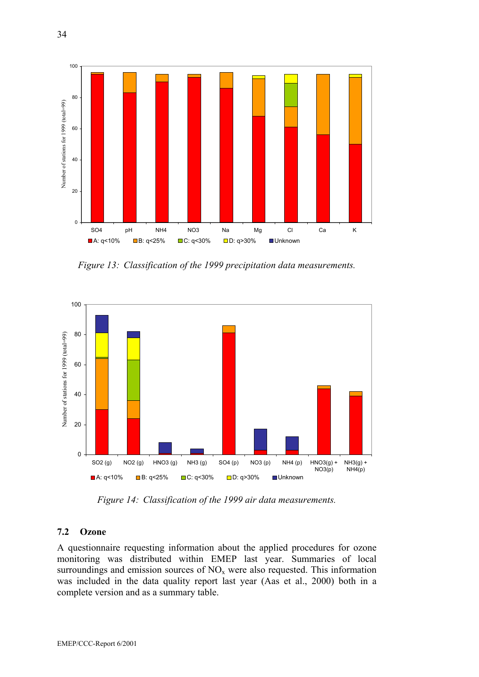

*Figure 13: Classification of the 1999 precipitation data measurements.* 



*Figure 14: Classification of the 1999 air data measurements.* 

#### **7.2 Ozone**

A questionnaire requesting information about the applied procedures for ozone monitoring was distributed within EMEP last year. Summaries of local surroundings and emission sources of  $NO<sub>x</sub>$  were also requested. This information was included in the data quality report last year (Aas et al., 2000) both in a complete version and as a summary table.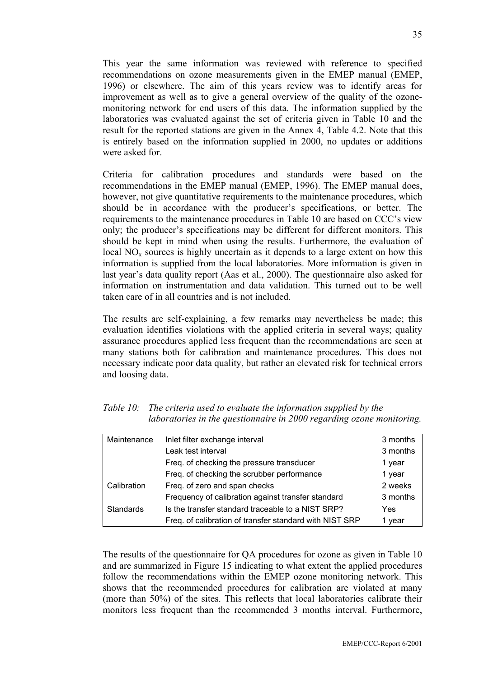This year the same information was reviewed with reference to specified recommendations on ozone measurements given in the EMEP manual (EMEP, 1996) or elsewhere. The aim of this years review was to identify areas for improvement as well as to give a general overview of the quality of the ozonemonitoring network for end users of this data. The information supplied by the laboratories was evaluated against the set of criteria given in Table 10 and the result for the reported stations are given in the Annex 4, Table 4.2. Note that this is entirely based on the information supplied in 2000, no updates or additions were asked for.

Criteria for calibration procedures and standards were based on the recommendations in the EMEP manual (EMEP, 1996). The EMEP manual does, however, not give quantitative requirements to the maintenance procedures, which should be in accordance with the producer's specifications, or better. The requirements to the maintenance procedures in Table 10 are based on CCC's view only; the producer's specifications may be different for different monitors. This should be kept in mind when using the results. Furthermore, the evaluation of local  $NO<sub>x</sub>$  sources is highly uncertain as it depends to a large extent on how this information is supplied from the local laboratories. More information is given in last year's data quality report (Aas et al., 2000). The questionnaire also asked for information on instrumentation and data validation. This turned out to be well taken care of in all countries and is not included.

The results are self-explaining, a few remarks may nevertheless be made; this evaluation identifies violations with the applied criteria in several ways; quality assurance procedures applied less frequent than the recommendations are seen at many stations both for calibration and maintenance procedures. This does not necessary indicate poor data quality, but rather an elevated risk for technical errors and loosing data.

| Maintenance | Inlet filter exchange interval                          | 3 months |
|-------------|---------------------------------------------------------|----------|
|             | Leak test interval                                      | 3 months |
|             | Freq. of checking the pressure transducer               | 1 year   |
|             | Freq. of checking the scrubber performance              | 1 year   |
| Calibration | Freq. of zero and span checks                           | 2 weeks  |
|             | Frequency of calibration against transfer standard      | 3 months |
| Standards   | Is the transfer standard traceable to a NIST SRP?       | Yes      |
|             | Freq. of calibration of transfer standard with NIST SRP | vear     |

*Table 10: The criteria used to evaluate the information supplied by the laboratories in the questionnaire in 2000 regarding ozone monitoring.* 

The results of the questionnaire for QA procedures for ozone as given in Table 10 and are summarized in Figure 15 indicating to what extent the applied procedures follow the recommendations within the EMEP ozone monitoring network. This shows that the recommended procedures for calibration are violated at many (more than 50%) of the sites. This reflects that local laboratories calibrate their monitors less frequent than the recommended 3 months interval. Furthermore,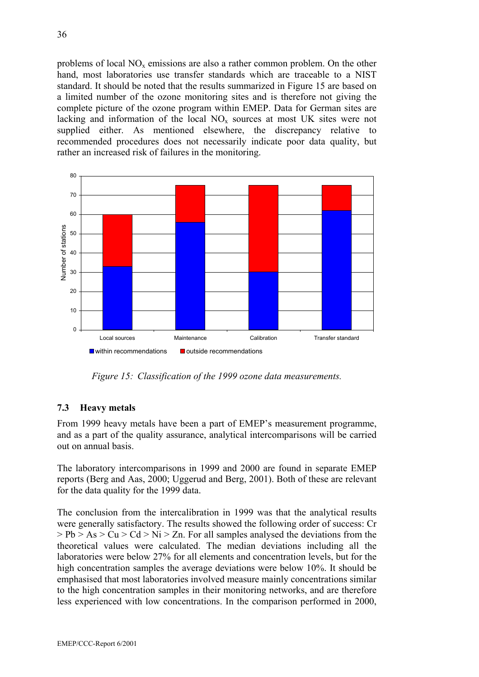problems of local  $NO<sub>x</sub>$  emissions are also a rather common problem. On the other hand, most laboratories use transfer standards which are traceable to a NIST standard. It should be noted that the results summarized in Figure 15 are based on a limited number of the ozone monitoring sites and is therefore not giving the complete picture of the ozone program within EMEP. Data for German sites are lacking and information of the local  $NO<sub>x</sub>$  sources at most UK sites were not supplied either. As mentioned elsewhere, the discrepancy relative to recommended procedures does not necessarily indicate poor data quality, but rather an increased risk of failures in the monitoring.



*Figure 15: Classification of the 1999 ozone data measurements.* 

### **7.3 Heavy metals**

From 1999 heavy metals have been a part of EMEP's measurement programme, and as a part of the quality assurance, analytical intercomparisons will be carried out on annual basis.

The laboratory intercomparisons in 1999 and 2000 are found in separate EMEP reports (Berg and Aas, 2000; Uggerud and Berg, 2001). Both of these are relevant for the data quality for the 1999 data.

The conclusion from the intercalibration in 1999 was that the analytical results were generally satisfactory. The results showed the following order of success: Cr  $> Pb > As > Cu > Cd > Ni > Zn$ . For all samples analysed the deviations from the theoretical values were calculated. The median deviations including all the laboratories were below 27% for all elements and concentration levels, but for the high concentration samples the average deviations were below 10%. It should be emphasised that most laboratories involved measure mainly concentrations similar to the high concentration samples in their monitoring networks, and are therefore less experienced with low concentrations. In the comparison performed in 2000,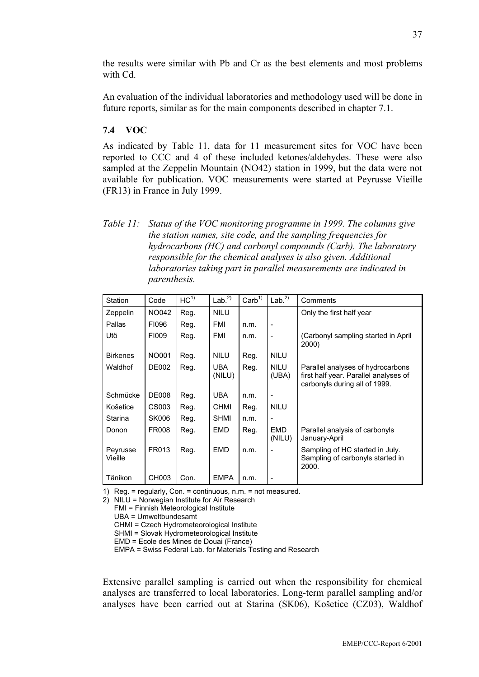the results were similar with Pb and Cr as the best elements and most problems with Cd.

An evaluation of the individual laboratories and methodology used will be done in future reports, similar as for the main components described in chapter 7.1.

#### **7.4 VOC**

As indicated by Table 11, data for 11 measurement sites for VOC have been reported to CCC and 4 of these included ketones/aldehydes. These were also sampled at the Zeppelin Mountain (NO42) station in 1999, but the data were not available for publication. VOC measurements were started at Peyrusse Vieille (FR13) in France in July 1999.

*Table 11: Status of the VOC monitoring programme in 1999. The columns give the station names, site code, and the sampling frequencies for hydrocarbons (HC) and carbonyl compounds (Carb). The laboratory responsible for the chemical analyses is also given. Additional laboratories taking part in parallel measurements are indicated in parenthesis.* 

| Station             | Code         | HC <sup>1</sup> | Lab <sup>2</sup> | $\text{Carb}^{1}$ | Lab <sup>2</sup>     | Comments                                                                                                    |
|---------------------|--------------|-----------------|------------------|-------------------|----------------------|-------------------------------------------------------------------------------------------------------------|
| Zeppelin            | NO042        | Reg.            | <b>NILU</b>      |                   |                      | Only the first half year                                                                                    |
| Pallas              | FI096        | Reg.            | FMI              | n.m.              |                      |                                                                                                             |
| Utö                 | FI009        | Reg.            | <b>FMI</b>       | n.m.              | $\overline{a}$       | (Carbonyl sampling started in April)<br>2000)                                                               |
| <b>Birkenes</b>     | <b>NO001</b> | Reg.            | <b>NILU</b>      | Reg.              | <b>NILU</b>          |                                                                                                             |
| Waldhof             | <b>DE002</b> | Reg.            | UBA.<br>(NILU)   | Reg.              | <b>NILU</b><br>(UBA) | Parallel analyses of hydrocarbons<br>first half year. Parallel analyses of<br>carbonyls during all of 1999. |
| Schmücke            | <b>DE008</b> | Reg.            | <b>UBA</b>       | n.m.              |                      |                                                                                                             |
| Košetice            | CS003        | Reg.            | <b>CHMI</b>      | Reg.              | <b>NILU</b>          |                                                                                                             |
| Starina             | <b>SK006</b> | Reg.            | <b>SHMI</b>      | n.m.              |                      |                                                                                                             |
| Donon               | <b>FR008</b> | Reg.            | <b>EMD</b>       | Reg.              | <b>EMD</b><br>(NILU) | Parallel analysis of carbonyls<br>January-April                                                             |
| Peyrusse<br>Vieille | FR013        | Reg.            | <b>EMD</b>       | n.m.              |                      | Sampling of HC started in July.<br>Sampling of carbonyls started in<br>2000.                                |
| Tänikon             | CH003        | Con.            | <b>EMPA</b>      | n.m.              |                      |                                                                                                             |

1) Reg. = regularly, Con. = continuous, n.m. = not measured.

2) NILU = Norwegian Institute for Air Research

FMI = Finnish Meteorological Institute

UBA = Umweltbundesamt

CHMI = Czech Hydrometeorological Institute

SHMI = Slovak Hydrometeorological Institute

EMD = Ecole des Mines de Douai (France)

EMPA = Swiss Federal Lab. for Materials Testing and Research

Extensive parallel sampling is carried out when the responsibility for chemical analyses are transferred to local laboratories. Long-term parallel sampling and/or analyses have been carried out at Starina (SK06), Košetice (CZ03), Waldhof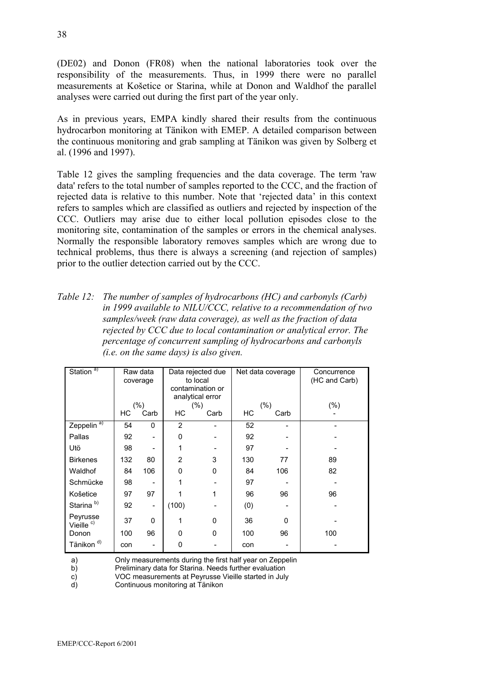(DE02) and Donon (FR08) when the national laboratories took over the responsibility of the measurements. Thus, in 1999 there were no parallel measurements at Košetice or Starina, while at Donon and Waldhof the parallel analyses were carried out during the first part of the year only.

As in previous years, EMPA kindly shared their results from the continuous hydrocarbon monitoring at Tänikon with EMEP. A detailed comparison between the continuous monitoring and grab sampling at Tänikon was given by Solberg et al. (1996 and 1997).

Table 12 gives the sampling frequencies and the data coverage. The term 'raw data' refers to the total number of samples reported to the CCC, and the fraction of rejected data is relative to this number. Note that 'rejected data' in this context refers to samples which are classified as outliers and rejected by inspection of the CCC. Outliers may arise due to either local pollution episodes close to the monitoring site, contamination of the samples or errors in the chemical analyses. Normally the responsible laboratory removes samples which are wrong due to technical problems, thus there is always a screening (and rejection of samples) prior to the outlier detection carried out by the CCC.

*Table 12: The number of samples of hydrocarbons (HC) and carbonyls (Carb) in 1999 available to NILU/CCC, relative to a recommendation of two samples/week (raw data coverage), as well as the fraction of data rejected by CCC due to local contamination or analytical error. The percentage of concurrent sampling of hydrocarbons and carbonyls (i.e. on the same days) is also given.* 

| Station <sup>a)</sup>             |     | Raw data<br>coverage     | Data rejected due<br>to local<br>contamination or<br>analytical error |         | Net data coverage |         | Concurrence<br>(HC and Carb) |
|-----------------------------------|-----|--------------------------|-----------------------------------------------------------------------|---------|-------------------|---------|------------------------------|
|                                   |     | (% )                     |                                                                       | $(\% )$ |                   | $(\% )$ | (%)                          |
|                                   | НC  | Carb                     | НC                                                                    | Carb    | НC                | Carb    |                              |
| Zeppelin <sup>a)</sup>            | 54  | $\Omega$                 | $\overline{2}$                                                        |         | 52                |         |                              |
| Pallas                            | 92  |                          | 0                                                                     |         | 92                |         |                              |
| Utö                               | 98  |                          | 1                                                                     |         | 97                |         |                              |
| <b>Birkenes</b>                   | 132 | 80                       | $\overline{2}$                                                        | 3       | 130               | 77      | 89                           |
| Waldhof                           | 84  | 106                      | 0                                                                     | 0       | 84                | 106     | 82                           |
| Schmücke                          | 98  |                          | 1                                                                     |         | 97                |         |                              |
| Košetice                          | 97  | 97                       |                                                                       | 1       | 96                | 96      | 96                           |
| Starina <sup>b)</sup>             | 92  | $\overline{\phantom{0}}$ | (100)                                                                 |         | (0)               |         |                              |
| Peyrusse<br>Vieille <sup>c)</sup> | 37  | 0                        | 1                                                                     | 0       | 36                | 0       |                              |
| Donon                             | 100 | 96                       | 0                                                                     | 0       | 100               | 96      | 100                          |
| Tänikon <sup>d)</sup>             | con |                          | 0                                                                     |         | con               |         |                              |

a) Only measurements during the first half year on Zeppelin

b) Preliminary data for Starina. Needs further evaluation

c) VOC measurements at Peyrusse Vieille started in July

d) Continuous monitoring at Tänikon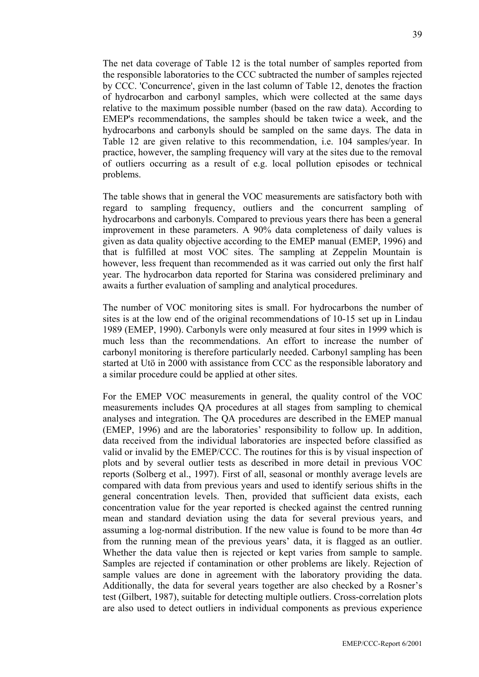The net data coverage of Table 12 is the total number of samples reported from the responsible laboratories to the CCC subtracted the number of samples rejected by CCC. 'Concurrence', given in the last column of Table 12, denotes the fraction of hydrocarbon and carbonyl samples, which were collected at the same days relative to the maximum possible number (based on the raw data). According to EMEP's recommendations, the samples should be taken twice a week, and the hydrocarbons and carbonyls should be sampled on the same days. The data in Table 12 are given relative to this recommendation, i.e. 104 samples/year. In practice, however, the sampling frequency will vary at the sites due to the removal of outliers occurring as a result of e.g. local pollution episodes or technical problems.

The table shows that in general the VOC measurements are satisfactory both with regard to sampling frequency, outliers and the concurrent sampling of hydrocarbons and carbonyls. Compared to previous years there has been a general improvement in these parameters. A 90% data completeness of daily values is given as data quality objective according to the EMEP manual (EMEP, 1996) and that is fulfilled at most VOC sites. The sampling at Zeppelin Mountain is however, less frequent than recommended as it was carried out only the first half year. The hydrocarbon data reported for Starina was considered preliminary and awaits a further evaluation of sampling and analytical procedures.

The number of VOC monitoring sites is small. For hydrocarbons the number of sites is at the low end of the original recommendations of 10-15 set up in Lindau 1989 (EMEP, 1990). Carbonyls were only measured at four sites in 1999 which is much less than the recommendations. An effort to increase the number of carbonyl monitoring is therefore particularly needed. Carbonyl sampling has been started at Utö in 2000 with assistance from CCC as the responsible laboratory and a similar procedure could be applied at other sites.

For the EMEP VOC measurements in general, the quality control of the VOC measurements includes QA procedures at all stages from sampling to chemical analyses and integration. The QA procedures are described in the EMEP manual (EMEP, 1996) and are the laboratories' responsibility to follow up. In addition, data received from the individual laboratories are inspected before classified as valid or invalid by the EMEP/CCC. The routines for this is by visual inspection of plots and by several outlier tests as described in more detail in previous VOC reports (Solberg et al., 1997). First of all, seasonal or monthly average levels are compared with data from previous years and used to identify serious shifts in the general concentration levels. Then, provided that sufficient data exists, each concentration value for the year reported is checked against the centred running mean and standard deviation using the data for several previous years, and assuming a log-normal distribution. If the new value is found to be more than  $4\sigma$ from the running mean of the previous years' data, it is flagged as an outlier. Whether the data value then is rejected or kept varies from sample to sample. Samples are rejected if contamination or other problems are likely. Rejection of sample values are done in agreement with the laboratory providing the data. Additionally, the data for several years together are also checked by a Rosner's test (Gilbert, 1987), suitable for detecting multiple outliers. Cross-correlation plots are also used to detect outliers in individual components as previous experience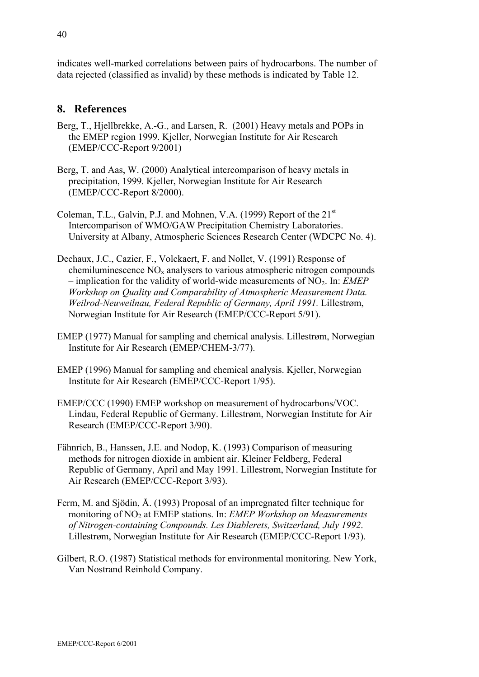indicates well-marked correlations between pairs of hydrocarbons. The number of data rejected (classified as invalid) by these methods is indicated by Table 12.

### **8. References**

- Berg, T., Hjellbrekke, A.-G., and Larsen, R. (2001) Heavy metals and POPs in the EMEP region 1999. Kjeller, Norwegian Institute for Air Research (EMEP/CCC-Report 9/2001)
- Berg, T. and Aas, W. (2000) Analytical intercomparison of heavy metals in precipitation, 1999. Kjeller, Norwegian Institute for Air Research (EMEP/CCC-Report 8/2000).
- Coleman, T.L., Galvin, P.J. and Mohnen, V.A. (1999) Report of the 21<sup>st</sup> Intercomparison of WMO/GAW Precipitation Chemistry Laboratories. University at Albany, Atmospheric Sciences Research Center (WDCPC No. 4).
- Dechaux, J.C., Cazier, F., Volckaert, F. and Nollet, V. (1991) Response of chemiluminescence  $NO<sub>x</sub>$  analysers to various atmospheric nitrogen compounds  $-$  implication for the validity of world-wide measurements of NO<sub>2</sub>. In: *EMEP Workshop on Quality and Comparability of Atmospheric Measurement Data. Weilrod-Neuweilnau, Federal Republic of Germany, April 1991.* Lillestrøm, Norwegian Institute for Air Research (EMEP/CCC-Report 5/91).
- EMEP (1977) Manual for sampling and chemical analysis. Lillestrøm, Norwegian Institute for Air Research (EMEP/CHEM-3/77).
- EMEP (1996) Manual for sampling and chemical analysis. Kjeller, Norwegian Institute for Air Research (EMEP/CCC-Report 1/95).
- EMEP/CCC (1990) EMEP workshop on measurement of hydrocarbons/VOC. Lindau, Federal Republic of Germany. Lillestrøm, Norwegian Institute for Air Research (EMEP/CCC-Report 3/90).
- Fähnrich, B., Hanssen, J.E. and Nodop, K. (1993) Comparison of measuring methods for nitrogen dioxide in ambient air. Kleiner Feldberg, Federal Republic of Germany, April and May 1991. Lillestrøm, Norwegian Institute for Air Research (EMEP/CCC-Report 3/93).
- Ferm, M. and Sjödin, Å. (1993) Proposal of an impregnated filter technique for monitoring of NO<sub>2</sub> at EMEP stations. In: *EMEP Workshop on Measurements of Nitrogen-containing Compounds. Les Diablerets, Switzerland, July 1992*. Lillestrøm, Norwegian Institute for Air Research (EMEP/CCC-Report 1/93).
- Gilbert, R.O. (1987) Statistical methods for environmental monitoring. New York, Van Nostrand Reinhold Company.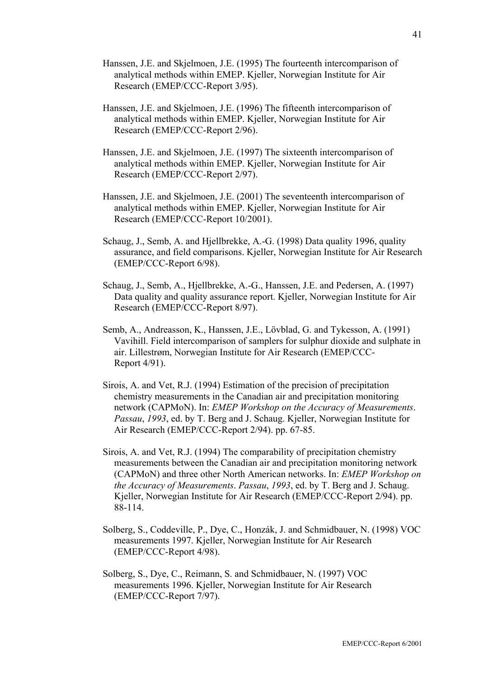- Hanssen, J.E. and Skjelmoen, J.E. (1995) The fourteenth intercomparison of analytical methods within EMEP. Kjeller, Norwegian Institute for Air Research (EMEP/CCC-Report 3/95).
- Hanssen, J.E. and Skjelmoen, J.E. (1996) The fifteenth intercomparison of analytical methods within EMEP. Kjeller, Norwegian Institute for Air Research (EMEP/CCC-Report 2/96).
- Hanssen, J.E. and Skjelmoen, J.E. (1997) The sixteenth intercomparison of analytical methods within EMEP. Kjeller, Norwegian Institute for Air Research (EMEP/CCC-Report 2/97).
- Hanssen, J.E. and Skjelmoen, J.E. (2001) The seventeenth intercomparison of analytical methods within EMEP. Kjeller, Norwegian Institute for Air Research (EMEP/CCC-Report 10/2001).
- Schaug, J., Semb, A. and Hjellbrekke, A.-G. (1998) Data quality 1996, quality assurance, and field comparisons. Kjeller, Norwegian Institute for Air Research (EMEP/CCC-Report 6/98).
- Schaug, J., Semb, A., Hjellbrekke, A.-G., Hanssen, J.E. and Pedersen, A. (1997) Data quality and quality assurance report. Kjeller, Norwegian Institute for Air Research (EMEP/CCC-Report 8/97).
- Semb, A., Andreasson, K., Hanssen, J.E., Lövblad, G. and Tykesson, A. (1991) Vavihill. Field intercomparison of samplers for sulphur dioxide and sulphate in air. Lillestrøm, Norwegian Institute for Air Research (EMEP/CCC-Report 4/91).
- Sirois, A. and Vet, R.J. (1994) Estimation of the precision of precipitation chemistry measurements in the Canadian air and precipitation monitoring network (CAPMoN). In: *EMEP Workshop on the Accuracy of Measurements*. *Passau*, *1993*, ed. by T. Berg and J. Schaug. Kjeller, Norwegian Institute for Air Research (EMEP/CCC-Report 2/94). pp. 67-85.
- Sirois, A. and Vet, R.J. (1994) The comparability of precipitation chemistry measurements between the Canadian air and precipitation monitoring network (CAPMoN) and three other North American networks. In: *EMEP Workshop on the Accuracy of Measurements*. *Passau*, *1993*, ed. by T. Berg and J. Schaug. Kjeller, Norwegian Institute for Air Research (EMEP/CCC-Report 2/94). pp. 88-114.
- Solberg, S., Coddeville, P., Dye, C., Honzák, J. and Schmidbauer, N. (1998) VOC measurements 1997. Kjeller, Norwegian Institute for Air Research (EMEP/CCC-Report 4/98).
- Solberg, S., Dye, C., Reimann, S. and Schmidbauer, N. (1997) VOC measurements 1996. Kjeller, Norwegian Institute for Air Research (EMEP/CCC-Report 7/97).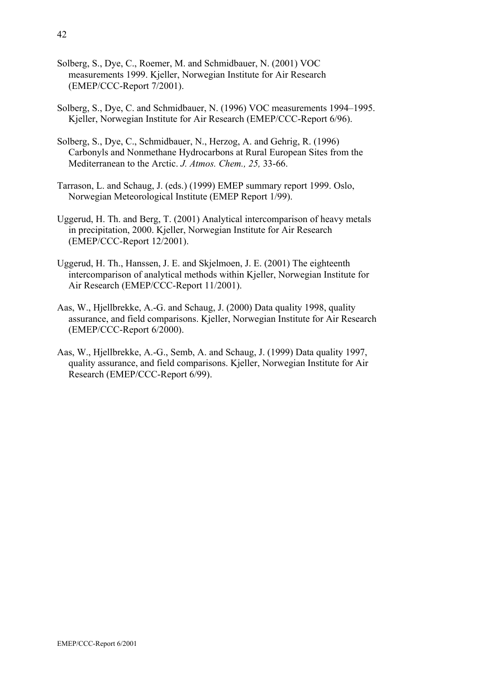- Solberg, S., Dye, C., Roemer, M. and Schmidbauer, N. (2001) VOC measurements 1999. Kjeller, Norwegian Institute for Air Research (EMEP/CCC-Report 7/2001).
- Solberg, S., Dye, C. and Schmidbauer, N. (1996) VOC measurements 1994–1995. Kjeller, Norwegian Institute for Air Research (EMEP/CCC-Report 6/96).
- Solberg, S., Dye, C., Schmidbauer, N., Herzog, A. and Gehrig, R. (1996) Carbonyls and Nonmethane Hydrocarbons at Rural European Sites from the Mediterranean to the Arctic. *J. Atmos. Chem., 25,* 33-66.
- Tarrason, L. and Schaug, J. (eds.) (1999) EMEP summary report 1999. Oslo, Norwegian Meteorological Institute (EMEP Report 1/99).
- Uggerud, H. Th. and Berg, T. (2001) Analytical intercomparison of heavy metals in precipitation, 2000. Kjeller, Norwegian Institute for Air Research (EMEP/CCC-Report 12/2001).
- Uggerud, H. Th., Hanssen, J. E. and Skjelmoen, J. E. (2001) The eighteenth intercomparison of analytical methods within Kjeller, Norwegian Institute for Air Research (EMEP/CCC-Report 11/2001).
- Aas, W., Hjellbrekke, A.-G. and Schaug, J. (2000) Data quality 1998, quality assurance, and field comparisons. Kjeller, Norwegian Institute for Air Research (EMEP/CCC-Report 6/2000).
- Aas, W., Hjellbrekke, A.-G., Semb, A. and Schaug, J. (1999) Data quality 1997, quality assurance, and field comparisons. Kjeller, Norwegian Institute for Air Research (EMEP/CCC-Report 6/99).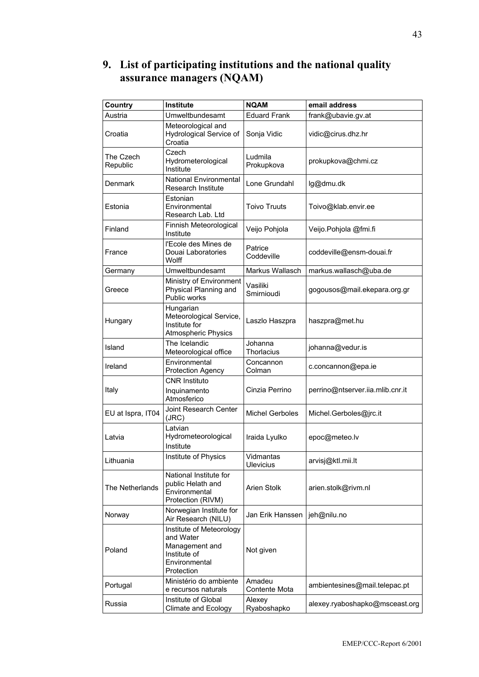## **9. List of participating institutions and the national quality assurance managers (NQAM)**

| Country               | Institute                                                                                              | <b>NQAM</b>                   | email address                    |
|-----------------------|--------------------------------------------------------------------------------------------------------|-------------------------------|----------------------------------|
| Austria               | Umweltbundesamt                                                                                        | <b>Eduard Frank</b>           | frank@ubavie.gv.at               |
| Croatia               | Meteorological and<br>Hydrological Service of<br>Croatia                                               | Sonja Vidic                   | vidic@cirus.dhz.hr               |
| The Czech<br>Republic | Czech<br>Hydrometerological<br>Institute                                                               | Ludmila<br>Prokupkova         | prokupkova@chmi.cz               |
| Denmark               | <b>National Environmental</b><br>Research Institute                                                    | Lone Grundahl                 | lg@dmu.dk                        |
| Estonia               | Estonian<br>Environmental<br>Research Lab. Ltd                                                         | <b>Toivo Truuts</b>           | Toivo@klab.envir.ee              |
| Finland               | Finnish Meteorological<br>Institute                                                                    | Veijo Pohjola                 | Veijo.Pohjola @fmi.fi            |
| France                | l'Ecole des Mines de<br>Douai Laboratories<br>Wolff                                                    | Patrice<br>Coddeville         | coddeville@ensm-douai.fr         |
| Germany               | Umweltbundesamt                                                                                        | Markus Wallasch               | markus.wallasch@uba.de           |
| Greece                | Ministry of Environment<br>Physical Planning and<br>Public works                                       | Vasiliki<br>Smirnioudi        | gogousos@mail.ekepara.org.gr     |
| Hungary               | Hungarian<br>Meteorological Service,<br>Institute for<br><b>Atmospheric Physics</b>                    | Laszlo Haszpra                | haszpra@met.hu                   |
| Island                | The Icelandic<br>Meteorological office                                                                 | Johanna<br>Thorlacius         | johanna@vedur.is                 |
| Ireland               | Environmental<br><b>Protection Agency</b>                                                              | Concannon<br>Colman           | c.concannon@epa.ie               |
| Italy                 | <b>CNR Instituto</b><br>Inquinamento<br>Atmosferico                                                    | Cinzia Perrino                | perrino@ntserver.iia.mlib.cnr.it |
| EU at Ispra, IT04     | Joint Research Center<br>(JRC)                                                                         | <b>Michel Gerboles</b>        | Michel.Gerboles@jrc.it           |
| Latvia                | Latvian<br>Hydrometeorological<br>Institute                                                            | Iraida Lyulko                 | epoc@meteo.lv                    |
| Lithuania             | Institute of Physics                                                                                   | Vidmantas<br><b>Ulevicius</b> | arvisj@ktl.mii.lt                |
| The Netherlands       | National Institute for<br>public Helath and<br>Environmental<br>Protection (RIVM)                      | Arien Stolk                   | arien.stolk@rivm.nl              |
| Norway                | Norwegian Institute for<br>Air Research (NILU)                                                         | Jan Erik Hanssen              | jeh@nilu.no                      |
| Poland                | Institute of Meteorology<br>and Water<br>Management and<br>Institute of<br>Environmental<br>Protection | Not given                     |                                  |
| Portugal              | Ministério do ambiente<br>e recursos naturals                                                          | Amadeu<br>Contente Mota       | ambientesines@mail.telepac.pt    |
| Russia                | Institute of Global<br>Climate and Ecology                                                             | Alexey<br>Ryaboshapko         | alexey.ryaboshapko@msceast.org   |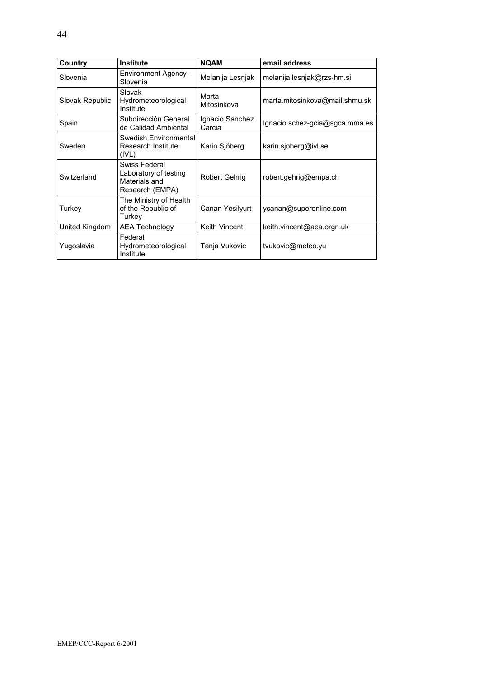| Country         | <b>Institute</b>                                                           | <b>NQAM</b>               | email address                  |
|-----------------|----------------------------------------------------------------------------|---------------------------|--------------------------------|
| Slovenia        | <b>Environment Agency -</b><br>Slovenia                                    | Melanija Lesnjak          | melanija.lesnjak@rzs-hm.si     |
| Slovak Republic | Slovak<br>Hydrometeorological<br>Institute                                 | Marta<br>Mitosinkova      | marta.mitosinkova@mail.shmu.sk |
| Spain           | Subdirección General<br>de Calidad Ambiental                               | Ignacio Sanchez<br>Carcia | Ignacio.schez-gcia@sgca.mma.es |
| Sweden          | Swedish Environmental<br>Research Institute<br>(IVL)                       | Karin Sjöberg             | karin.sjoberg@ivl.se           |
| Switzerland     | Swiss Federal<br>Laboratory of testing<br>Materials and<br>Research (EMPA) | Robert Gehrig             | robert.gehrig@empa.ch          |
| Turkey          | The Ministry of Health<br>of the Republic of<br>Turkey                     | Canan Yesilyurt           | ycanan@superonline.com         |
| United Kingdom  | AEA Technology                                                             | Keith Vincent             | keith.vincent@aea.orgn.uk      |
| Yugoslavia      | Federal<br>Hydrometeorological<br>Institute                                | Tanja Vukovic             | tvukovic@meteo.yu              |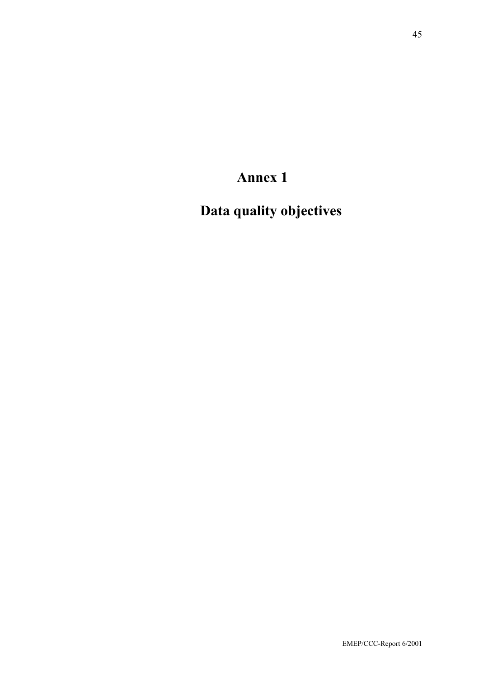**Annex 1** 

**Data quality objectives**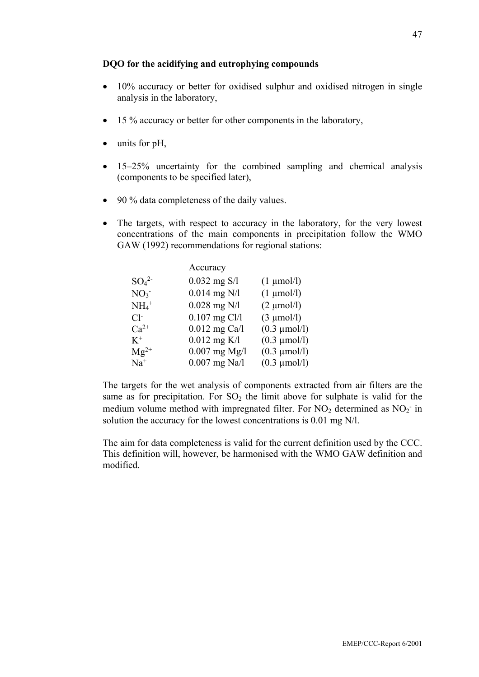#### **DQO for the acidifying and eutrophying compounds**

- 10% accuracy or better for oxidised sulphur and oxidised nitrogen in single analysis in the laboratory,
- 15 % accuracy or better for other components in the laboratory,
- units for pH,
- 15–25% uncertainty for the combined sampling and chemical analysis (components to be specified later),
- 90 % data completeness of the daily values.
- The targets, with respect to accuracy in the laboratory, for the very lowest concentrations of the main components in precipitation follow the WMO GAW (1992) recommendations for regional stations:

|                     | Accuracy        |                                |
|---------------------|-----------------|--------------------------------|
| $SO_4^2$            | $0.032$ mg S/l  | $(1 \text{ \mu} \text{mol/l})$ |
| NO <sub>3</sub>     | $0.014$ mg N/l  | $(1 \text{ \mu} \text{mol/l})$ |
| $NH_4$ <sup>+</sup> | $0.028$ mg N/l  | $(2 \mu mol/l)$                |
| $Cl-$               | $0.107$ mg Cl/l | $(3 \mu mol/l)$                |
| $Ca^{2+}$           | $0.012$ mg Ca/l | $(0.3 \mu \text{mol/l})$       |
| $K^+$               | $0.012$ mg K/l  | $(0.3 \mu \text{mol/l})$       |
| $Mg^{2+}$           | $0.007$ mg Mg/l | $(0.3 \mu \text{mol/l})$       |
| $Na+$               | $0.007$ mg Na/l | $(0.3 \mu \text{mol/l})$       |

The targets for the wet analysis of components extracted from air filters are the same as for precipitation. For  $SO_2$  the limit above for sulphate is valid for the medium volume method with impregnated filter. For  $NO<sub>2</sub>$  determined as  $NO<sub>2</sub>$  in solution the accuracy for the lowest concentrations is 0.01 mg N/l.

The aim for data completeness is valid for the current definition used by the CCC. This definition will, however, be harmonised with the WMO GAW definition and modified.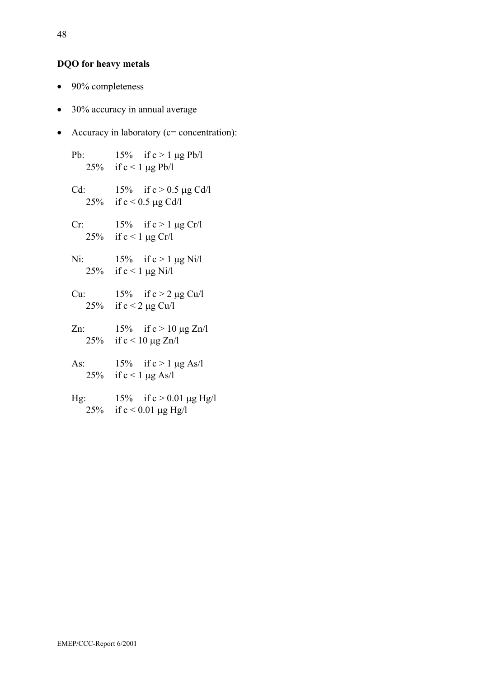### **DQO for heavy metals**

- 90% completeness
- 30% accuracy in annual average
- Accuracy in laboratory (c= concentration):

Pb:  $15\%$  if  $c > 1 \mu g$  Pb/l 25% if  $c < 1 \mu g$  Pb/l Cd:  $15\%$  if  $c > 0.5 \mu g$  Cd/l 25% if  $c < 0.5 \mu g \text{ Cd/l}$ Cr:  $15\%$  if  $c > 1 \mu g$  Cr/l 25% if  $c < 1 \mu g Cr/l$ Ni:  $15\%$  if  $c > 1 \mu g$  Ni/l 25% if  $c < 1 \mu g$  Ni/l Cu:  $15\%$  if  $c > 2 \mu g$  Cu/l 25% if  $c < 2 \mu g$  Cu/l Zn:  $15\%$  if  $c > 10 \mu g Zn/l$ 25% if  $c < 10 \mu g Zn/l$ As:  $15\%$  if  $c > 1 \mu g$  As/l 25% if  $c < 1 \mu g$  As/l Hg:  $15\%$  if  $c > 0.01 \,\mu g$  Hg/l 25% if  $c < 0.01 \mu g Hg/l$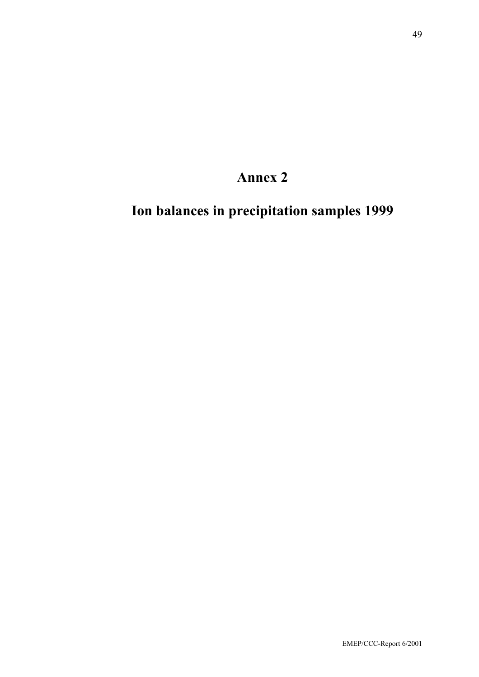# **Annex 2**

**Ion balances in precipitation samples 1999**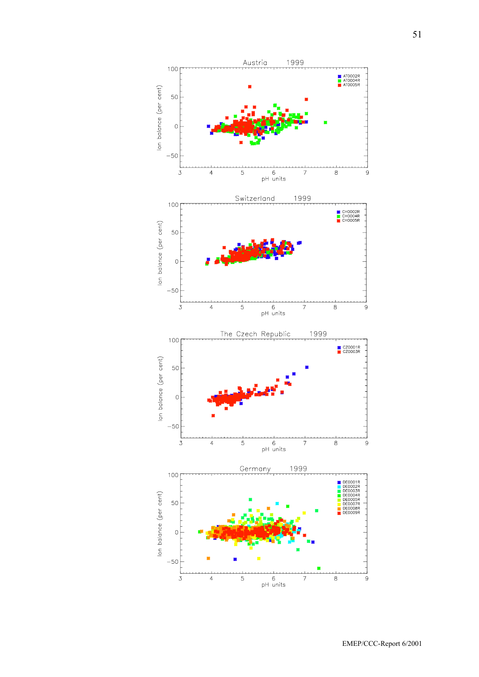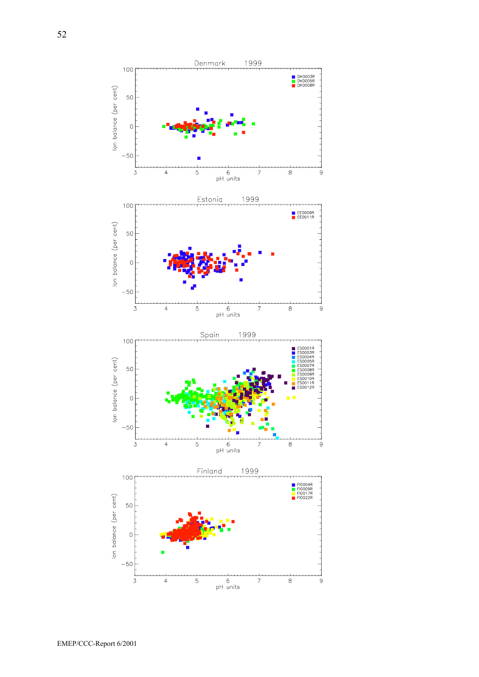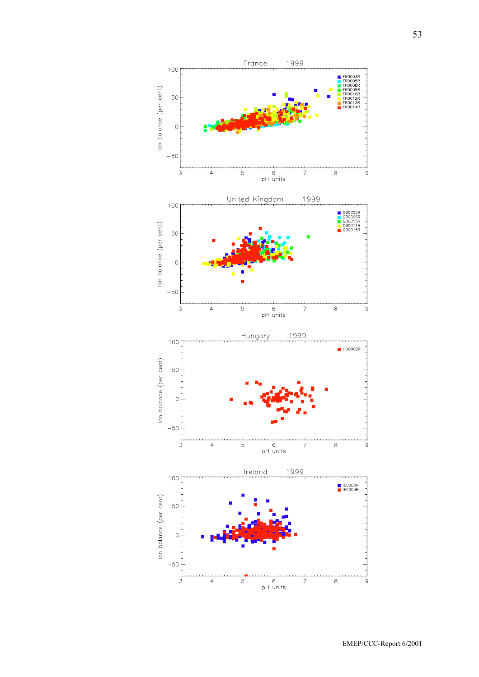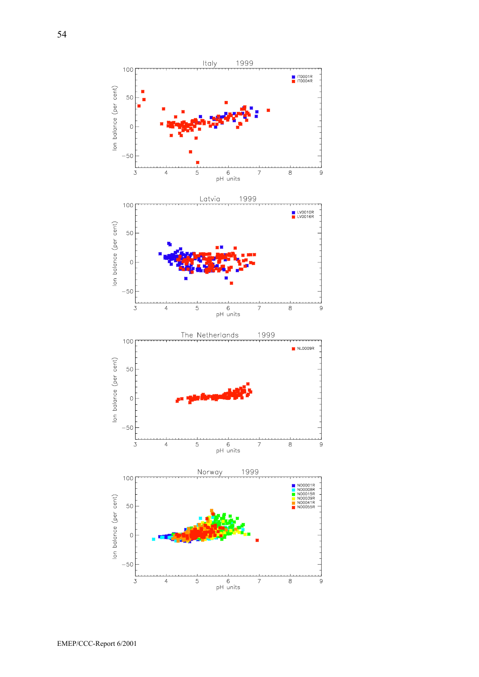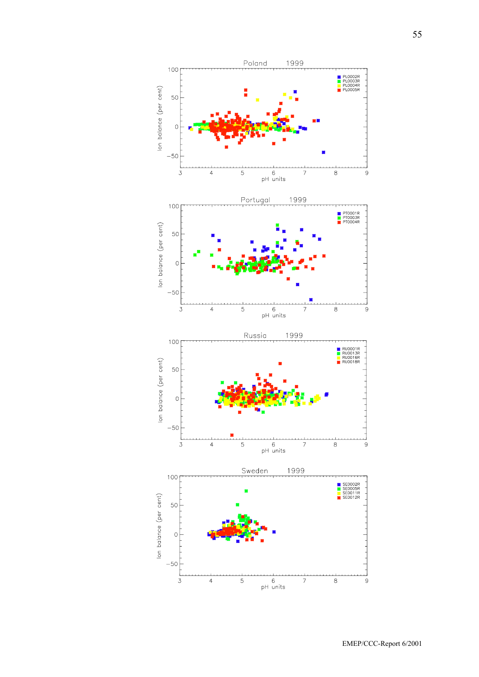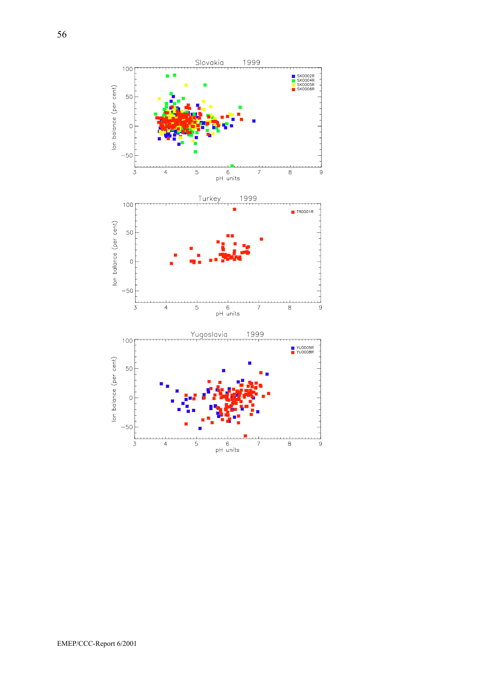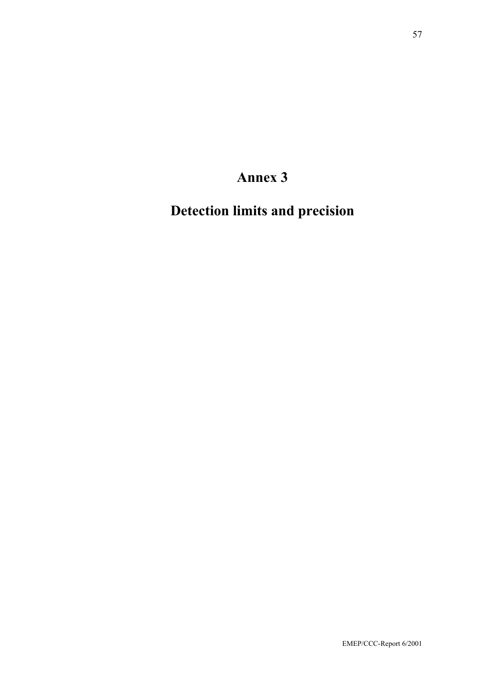# **Annex 3**

**Detection limits and precision**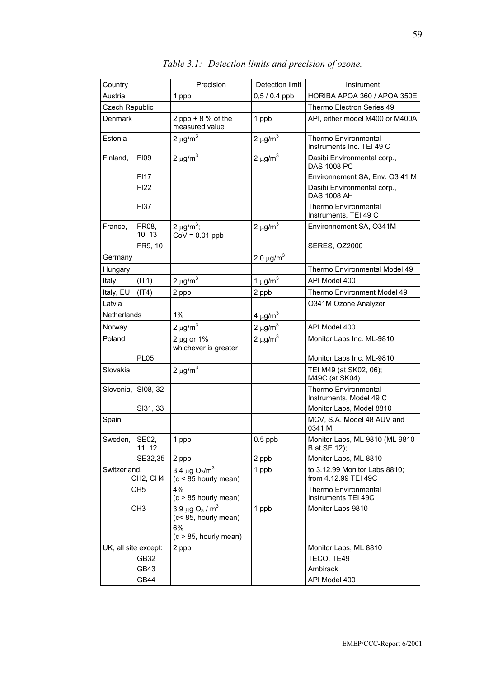| Country              |                                   | Precision                                                            | Detection limit            | Instrument                                            |
|----------------------|-----------------------------------|----------------------------------------------------------------------|----------------------------|-------------------------------------------------------|
| Austria              |                                   | 1 ppb                                                                | $0,5/0,4$ ppb              | HORIBA APOA 360 / APOA 350E                           |
| Czech Republic       |                                   |                                                                      |                            | Thermo Electron Series 49                             |
| Denmark              |                                   | 2 ppb + $8%$ of the                                                  | 1 ppb                      | API, either model M400 or M400A                       |
|                      |                                   | measured value                                                       |                            |                                                       |
| Estonia              |                                   | $2 \mu g/m^3$                                                        | $2 \mu g/m^3$              | Thermo Environmental                                  |
|                      |                                   |                                                                      |                            | Instruments Inc. TEI 49 C                             |
| Finland,             | <b>FI09</b>                       | $2 \mu g/m^3$                                                        | $2 \mu g/m^3$              | Dasibi Environmental corp.,<br><b>DAS 1008 PC</b>     |
|                      | <b>FI17</b>                       |                                                                      |                            | Environnement SA, Env. O3 41 M                        |
|                      | <b>FI22</b>                       |                                                                      |                            | Dasibi Environmental corp.,<br><b>DAS 1008 AH</b>     |
|                      | <b>FI37</b>                       |                                                                      |                            | <b>Thermo Environmental</b><br>Instruments, TEI 49 C  |
| France,              | FR08,<br>10, 13                   | 2 $\mu$ g/m <sup>3</sup> ;<br>$CoV = 0.01$ ppb                       | $2 \mu g/m^3$              | Environnement SA, O341M                               |
|                      | FR9, 10                           |                                                                      |                            | <b>SERES, OZ2000</b>                                  |
| Germany              |                                   |                                                                      | 2.0 $\mu$ g/m <sup>3</sup> |                                                       |
| Hungary              |                                   |                                                                      |                            | Thermo Environmental Model 49                         |
| Italy                | (IT1)                             | $2 \mu g/m^3$                                                        | 1 $\mu$ g/m <sup>3</sup>   | API Model 400                                         |
| Italy, EU            | (IT4)                             | 2 ppb                                                                | 2 ppb                      | Thermo Environment Model 49                           |
| Latvia               |                                   |                                                                      |                            | O341M Ozone Analyzer                                  |
| Netherlands          |                                   | 1%                                                                   | 4 $\mu$ g/m <sup>3</sup>   |                                                       |
| Norway               |                                   | $2 \mu g/m^3$                                                        | $2 \mu g/m^3$              | API Model 400                                         |
| Poland               |                                   | $2 \mu g$ or 1%<br>whichever is greater                              | $2 \mu g/m^3$              | Monitor Labs Inc. ML-9810                             |
|                      | <b>PL05</b>                       |                                                                      |                            | Monitor Labs Inc. ML-9810                             |
| Slovakia             |                                   | $2 \mu g/m^3$                                                        |                            | TEI M49 (at SK02, 06);<br>M49C (at SK04)              |
| Slovenia, SI08, 32   |                                   |                                                                      |                            | Thermo Environmental<br>Instruments, Model 49 C       |
|                      | SI31, 33                          |                                                                      |                            | Monitor Labs, Model 8810                              |
| Spain                |                                   |                                                                      |                            | MCV, S.A. Model 48 AUV and<br>0341 M                  |
| Sweden,              | SE02,<br>11, 12                   | 1 ppb                                                                | $0.5$ ppb                  | Monitor Labs, ML 9810 (ML 9810<br>B at SE 12);        |
|                      | SE32,35                           | 2 ppb                                                                | 2 ppb                      | Monitor Labs, ML 8810                                 |
| Switzerland,         | CH <sub>2</sub> , CH <sub>4</sub> | 3.4 $\mu$ g O <sub>3</sub> /m <sup>3</sup><br>$(c < 85$ hourly mean) | 1 ppb                      | to 3.12.99 Monitor Labs 8810;<br>from 4.12.99 TEI 49C |
|                      | CH <sub>5</sub>                   | 4%<br>$(c > 85$ hourly mean)                                         |                            | Thermo Environmental<br>Instruments TEI 49C           |
|                      | CH <sub>3</sub>                   | 3.9 µg O <sub>3</sub> / m <sup>3</sup>                               | 1 ppb                      | Monitor Labs 9810                                     |
|                      |                                   | (c<85, hourly mean)<br>6%<br>$(c > 85$ , hourly mean)                |                            |                                                       |
| UK, all site except: |                                   | 2 ppb                                                                |                            | Monitor Labs, ML 8810                                 |
|                      | GB32                              |                                                                      |                            | TECO, TE49                                            |
|                      | GB43                              |                                                                      |                            | Ambirack                                              |
|                      | GB44                              |                                                                      |                            | API Model 400                                         |

*Table 3.1: Detection limits and precision of ozone.*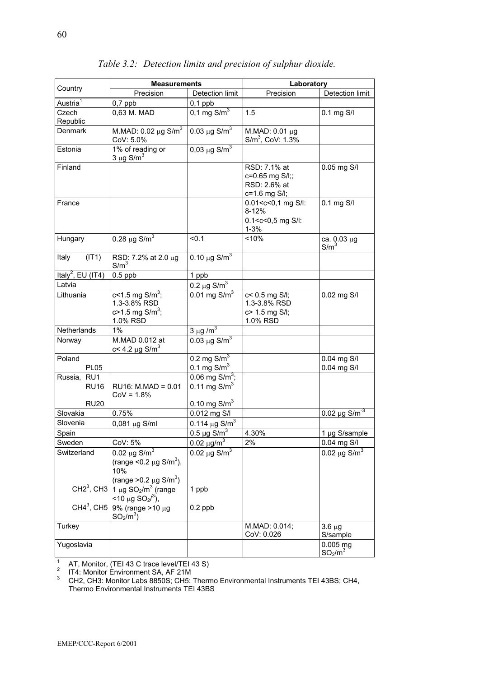|                               | <b>Measurements</b>                                                                                                         |                                                | Laboratory                                                                                                                        |                                |  |
|-------------------------------|-----------------------------------------------------------------------------------------------------------------------------|------------------------------------------------|-----------------------------------------------------------------------------------------------------------------------------------|--------------------------------|--|
| Country                       | Precision                                                                                                                   | Detection limit                                | Precision                                                                                                                         | Detection limit                |  |
| Austria <sup>1</sup>          | $0,7$ ppb                                                                                                                   | $0,1$ ppb                                      |                                                                                                                                   |                                |  |
| Czech                         | 0,63 M. MAD                                                                                                                 | 0,1 mg $\text{S/m}^3$                          | 1.5                                                                                                                               | 0.1 mg S/I                     |  |
| Republic                      |                                                                                                                             |                                                |                                                                                                                                   |                                |  |
| Denmark                       | M.MAD: $0.02 \mu g S/m^3$<br>CoV: 5.0%                                                                                      | 0.03 $\mu$ g S/m <sup>3</sup>                  | M.MAD: 0.01 μg<br>$S/m^3$ , CoV: 1.3%                                                                                             |                                |  |
| Estonia                       | 1% of reading or<br>$3 \mu g$ S/m <sup>3</sup>                                                                              | 0,03 $\mu$ g S/m <sup>3</sup>                  |                                                                                                                                   |                                |  |
| Finland                       |                                                                                                                             |                                                | RSD: 7.1% at<br>c=0.65 mg S/l;;<br>RSD: 2.6% at<br>c=1.6 mg S/I;                                                                  | 0.05 mg S/I                    |  |
| France                        |                                                                                                                             |                                                | 0.01 <c<0,1 l:<br="" mg="" s=""><math>8 - 12%</math><br/><math>0.1 &lt; c &lt; 0.5</math> mg S/I:<br/><math>1 - 3%</math></c<0,1> | $0.1$ mg $S/I$                 |  |
| Hungary                       | $0.28 \,\mu g \,\text{S/m}^3$                                                                                               | < 0.1                                          | < 10%                                                                                                                             | ca. 0.03 µg<br>$S/m^3$         |  |
| (IT1)<br>Italy                | RSD: 7.2% at 2.0 µg<br>$S/m^3$                                                                                              | 0.10 $\mu$ g S/m <sup>3</sup>                  |                                                                                                                                   |                                |  |
| Italy <sup>2</sup> , EU (IT4) | $0.5$ ppb                                                                                                                   | 1 ppb                                          |                                                                                                                                   |                                |  |
| Latvia                        |                                                                                                                             | $0.2 \,\mu$ g S/m <sup>3</sup>                 |                                                                                                                                   |                                |  |
| Lithuania                     | c<1.5 mg $S/m^3$ ;<br>1.3-3.8% RSD<br>$c > 1.5$ mg S/m <sup>3</sup> ;<br>1.0% RSD                                           | 0.01 mg $S/m^3$                                | c< 0.5 mg S/I;<br>1.3-3.8% RSD<br>c> 1.5 mg S/I;<br>1.0% RSD                                                                      | 0.02 mg S/I                    |  |
| Netherlands                   | $1\%$                                                                                                                       | $3 \mu g/m^3$                                  |                                                                                                                                   |                                |  |
| Norway                        | M.MAD 0.012 at<br>c< 4.2 $\mu$ g S/m <sup>3</sup>                                                                           | $0.03 \mu g S/m^3$                             |                                                                                                                                   |                                |  |
| Poland<br><b>PL05</b>         |                                                                                                                             | 0.2 mg $\text{S/m}^3$<br>0.1 mg $\text{S/m}^3$ |                                                                                                                                   | 0.04 mg S/I<br>0.04 mg S/I     |  |
| Russia, RU1<br><b>RU16</b>    | $RU16: M.MAD = 0.01$<br>$CoV = 1.8%$                                                                                        | 0.06 mg $S/m^3$ ;<br>0.11 mg $\text{S/m}^3$    |                                                                                                                                   |                                |  |
| <b>RU20</b>                   |                                                                                                                             | 0.10 mg $\text{S/m}^3$                         |                                                                                                                                   |                                |  |
| Slovakia                      | 0.75%                                                                                                                       | 0.012 mg S/I                                   |                                                                                                                                   | 0.02 $\mu$ g S/m <sup>-3</sup> |  |
| Slovenia                      | $0,081 \,\mu g$ S/ml                                                                                                        | 0.114 $\mu$ g S/m <sup>3</sup>                 |                                                                                                                                   |                                |  |
| Spain                         |                                                                                                                             | $0.5 \mu g$ S/m <sup>3</sup>                   | 4.30%                                                                                                                             | 1 µg S/sample                  |  |
| Sweden                        | CoV: 5%                                                                                                                     | $0.02 \ \mu g/m^3$                             | 2%                                                                                                                                | 0.04 mg S/I                    |  |
| Switzerland                   | 0.02 $\mu$ g S/m <sup>3</sup><br>(range < 0.2 $\mu$ g S/m <sup>3</sup> ),<br>10%<br>(range > 0.2 $\mu$ g S/m <sup>3</sup> ) | 0.02 $\mu$ g S/m <sup>3</sup>                  |                                                                                                                                   | 0.02 $\mu$ g S/m <sup>3</sup>  |  |
| $CH23$ , CH3<br>$CH43$ , CH5  | 1 $\mu$ g SO <sub>2</sub> /m <sup>3</sup> (range<br>$<$ 10 µg SO <sub>2</sub> / <sup>3</sup> ),<br>9% (range $>10 \mu g$    | 1 ppb<br>$0.2$ ppb                             |                                                                                                                                   |                                |  |
| Turkey                        | $SO_2/m^3$ )                                                                                                                |                                                | M.MAD: 0.014;                                                                                                                     | $3.6 \mu g$                    |  |
|                               |                                                                                                                             |                                                | CoV: 0.026                                                                                                                        | S/sample                       |  |
| Yugoslavia                    |                                                                                                                             |                                                |                                                                                                                                   | $0.005$ mg<br>$SO_2/m^3$       |  |

*Table 3.2: Detection limits and precision of sulphur dioxide.* 

1 AT, Monitor, (TEI 43 C trace level/TEI 43 S)<br><sup>2</sup> IT4: Monitor Environment SA, AF 21M<br><sup>3</sup> CH2, CH3: Monitor Labs 8850S; CH5: Thermo Environmental Instruments TEI 43BS; CH4, Thermo Environmental Instruments TEI 43BS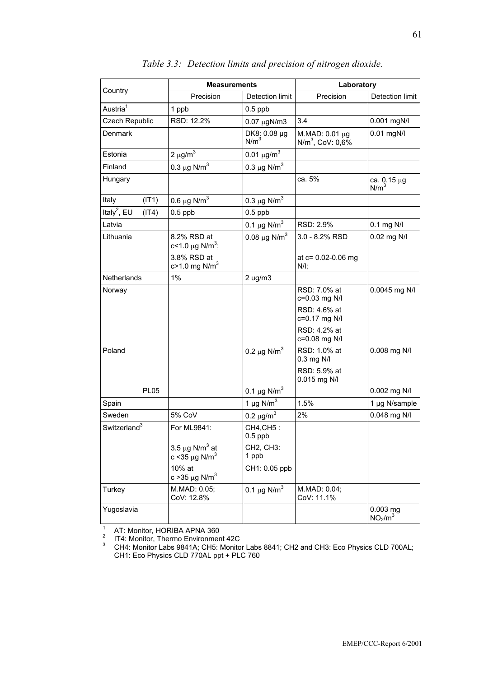|                                  | <b>Measurements</b>                                                |                                  | Laboratory                                     |                                               |  |
|----------------------------------|--------------------------------------------------------------------|----------------------------------|------------------------------------------------|-----------------------------------------------|--|
| Country                          | Precision                                                          | Detection limit                  | Precision                                      | Detection limit                               |  |
| Austria <sup>1</sup>             | 1 ppb                                                              | $0.5$ ppb                        |                                                |                                               |  |
| Czech Republic                   | RSD: 12.2%                                                         | $0.07 \mu gN/m3$                 | 3.4                                            | 0.001 mgN/l                                   |  |
| Denmark                          |                                                                    | DK8: 0.08 µg<br>N/m <sup>3</sup> | M.MAD: 0.01 µg<br>N/m <sup>3</sup> , CoV: 0,6% | $0.01$ mgN/l                                  |  |
| Estonia                          | $2 \mu g/m^3$                                                      | 0.01 $\mu$ g/m <sup>3</sup>      |                                                |                                               |  |
| Finland                          | 0.3 $\mu$ g N/m <sup>3</sup>                                       | 0.3 $\mu$ g N/m <sup>3</sup>     |                                                |                                               |  |
| Hungary                          |                                                                    |                                  | ca. 5%                                         | ca. 0.15 μg<br>N/m <sup>3</sup>               |  |
| Italy<br>(IT1)                   | 0.6 $\mu$ g N/m <sup>3</sup>                                       | 0.3 $\mu$ g N/m <sup>3</sup>     |                                                |                                               |  |
| Italy <sup>2</sup> , EU<br>(IT4) | $0.5$ ppb                                                          | $0.5$ ppb                        |                                                |                                               |  |
| Latvia                           |                                                                    | 0.1 $\mu$ g N/m <sup>3</sup>     | RSD: 2.9%                                      | $0.1$ mg N/I                                  |  |
| Lithuania                        | 8.2% RSD at<br>c<1.0 $\mu$ g N/m <sup>3</sup> ;                    | 0.08 $\mu$ g N/m <sup>3</sup>    | $3.0 - 8.2%$ RSD                               | 0.02 mg N/I                                   |  |
|                                  | 3.8% RSD at<br>$c > 1.0$ mg N/m <sup>3</sup>                       |                                  | at $c = 0.02 - 0.06$ mg<br>$N/I$ ;             |                                               |  |
| <b>Netherlands</b>               | $1\%$                                                              | $2 \text{ u}g/m3$                |                                                |                                               |  |
| Norway                           |                                                                    |                                  | RSD: 7.0% at<br>c=0.03 mg N/l                  | 0.0045 mg N/I                                 |  |
|                                  |                                                                    |                                  | RSD: 4.6% at<br>c=0.17 mg N/l                  |                                               |  |
|                                  |                                                                    |                                  | RSD: 4.2% at<br>c=0.08 mg N/I                  |                                               |  |
| Poland                           |                                                                    | 0.2 $\mu$ g N/m <sup>3</sup>     | RSD: 1.0% at<br>0.3 mg N/I                     | 0.008 mg N/I                                  |  |
|                                  |                                                                    |                                  | RSD: 5.9% at<br>$0.015$ mg N/I                 |                                               |  |
| <b>PL05</b>                      |                                                                    | 0.1 $\mu$ g N/m <sup>3</sup>     |                                                | 0.002 mg N/I                                  |  |
| Spain                            |                                                                    | 1 µg $N/m3$                      | 1.5%                                           | 1 µg N/sample                                 |  |
| Sweden                           | 5% CoV                                                             | 0.2 $\mu$ g/m <sup>3</sup>       | 2%                                             | 0.048 mg N/I                                  |  |
| Switzerland <sup>3</sup>         | For ML9841:                                                        | CH4, CH5:<br>$0.5$ ppb           |                                                |                                               |  |
|                                  | 3.5 $\mu$ g N/m <sup>3</sup> at<br>c < 35 $\mu$ g N/m <sup>3</sup> | CH2, CH3:<br>1 ppb               |                                                |                                               |  |
|                                  | 10% at<br>c > 35 $\mu$ g N/m <sup>3</sup>                          | CH1: 0.05 ppb                    |                                                |                                               |  |
| Turkey                           | M.MAD: 0.05;<br>CoV: 12.8%                                         | 0.1 $\mu$ g N/m <sup>3</sup>     | M.MAD: 0.04;<br>CoV: 11.1%                     |                                               |  |
| Yugoslavia                       |                                                                    |                                  |                                                | $0.003$ mg<br>NO <sub>2</sub> /m <sup>3</sup> |  |

*Table 3.3: Detection limits and precision of nitrogen dioxide.* 

<sup>1</sup> AT: Monitor, HORIBA APNA 360<br><sup>2</sup> IT4: Monitor, Thermo Environment 42C<br><sup>3</sup> CH4: Monitor Labs 9841A: CH5: Monitor

 CH4: Monitor Labs 9841A; CH5: Monitor Labs 8841; CH2 and CH3: Eco Physics CLD 700AL; CH1: Eco Physics CLD 770AL ppt + PLC 760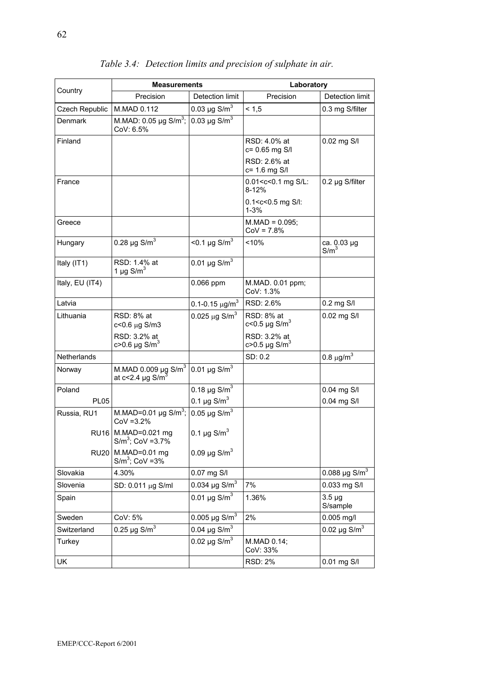|                    | <b>Measurements</b>                                                      |                                 | Laboratory                                                   |                                |  |
|--------------------|--------------------------------------------------------------------------|---------------------------------|--------------------------------------------------------------|--------------------------------|--|
| Country            | Precision                                                                | Detection limit                 | Precision                                                    | Detection limit                |  |
| Czech Republic     | M.MAD 0.112                                                              | 0.03 µg $S/m^3$                 | < 1.5                                                        | 0.3 mg S/filter                |  |
| Denmark            | M.MAD: 0.05 µg S/m <sup>3</sup> ;<br>CoV: 6.5%                           | 0.03 $\mu$ g S/m <sup>3</sup>   |                                                              |                                |  |
| Finland            |                                                                          |                                 | RSD: 4.0% at<br>c= 0.65 mg S/I                               | 0.02 mg S/I                    |  |
|                    |                                                                          |                                 | RSD: 2.6% at<br>c= 1.6 mg S/I                                |                                |  |
| France             |                                                                          |                                 | 0.01 <c<0.1 l:<br="" mg="" s=""><math>8 - 12%</math></c<0.1> | $0.2 \mu g$ S/filter           |  |
|                    |                                                                          |                                 | $0.1 < c < 0.5$ mg S/I:<br>$1 - 3%$                          |                                |  |
| Greece             |                                                                          |                                 | $M.MAD = 0.095$ ;<br>$COV = 7.8%$                            |                                |  |
| Hungary            | 0.28 $\mu$ g S/m <sup>3</sup>                                            | $<$ 0.1 µg S/m <sup>3</sup>     | <10%                                                         | ca. 0.03 µg<br>$S/m^3$         |  |
| Italy (IT1)        | RSD: 1.4% at<br>1 µg $\text{S/m}^3$                                      | 0.01 $\mu$ g S/m <sup>3</sup>   |                                                              |                                |  |
| Italy, EU (IT4)    |                                                                          | $0.066$ ppm                     | M.MAD. 0.01 ppm;<br>CoV: 1.3%                                |                                |  |
| Latvia             |                                                                          | 0.1-0.15 $\mu$ g/m <sup>3</sup> | RSD: 2.6%                                                    | $0.2$ mg $S/I$                 |  |
| Lithuania          | RSD: 8% at<br>$c < 0.6 \mu g S/m3$                                       | 0.025 $\mu$ g S/m <sup>3</sup>  | RSD: 8% at<br>c<0.5 µg S/m <sup>3</sup>                      | $0.02$ mg S/I                  |  |
|                    | RSD: 3.2% at<br>$c > 0.6$ µg S/m <sup>3</sup>                            |                                 | RSD: 3.2% at<br>c>0.5 µg S/m $^3$                            |                                |  |
| <b>Netherlands</b> |                                                                          |                                 | SD: 0.2                                                      | 0.8 $\mu$ g/m <sup>3</sup>     |  |
| Norway             | M.MAD 0.009 $\mu$ g S/m <sup>3</sup><br>at $c < 2.4$ µg S/m <sup>3</sup> | 0.01 $\mu$ g S/m <sup>3</sup>   |                                                              |                                |  |
| Poland             |                                                                          | 0.18 $\mu$ g S/m <sup>3</sup>   |                                                              | 0.04 mg S/I                    |  |
| PL <sub>05</sub>   |                                                                          | 0.1 $\mu$ g S/m <sup>3</sup>    |                                                              | 0.04 mg S/I                    |  |
| Russia, RU1        | M.MAD=0.01 $\mu$ g S/m <sup>3</sup> ;<br>$COV = 3.2%$                    | $0.05 \,\mu g \,\text{S/m}^3$   |                                                              |                                |  |
|                    | RU16   M.MAD=0.021 mg<br>$\text{S/m}^3$ ; CoV = 3.7%                     | 0.1 $\mu$ g S/m <sup>3</sup>    |                                                              |                                |  |
| <b>RU20</b>        | M.MAD=0.01 mg<br>$S/m^3$ ; CoV = 3%                                      | 0.09 $\mu$ g S/m <sup>3</sup>   |                                                              |                                |  |
| Slovakia           | 4.30%                                                                    | 0.07 mg S/I                     |                                                              | 0.088 $\mu$ g S/m <sup>3</sup> |  |
| Slovenia           | SD: 0.011 µg S/ml                                                        | 0.034 $\mu$ g S/m <sup>3</sup>  | 7%                                                           | 0.033 mg S/I                   |  |
| Spain              |                                                                          | 0.01 $\mu$ g S/m <sup>3</sup>   | 1.36%                                                        | $3.5 \mu g$<br>S/sample        |  |
| Sweden             | CoV: 5%                                                                  | 0.005 µg $S/m^3$                | 2%                                                           | $0.005$ mg/l                   |  |
| Switzerland        | 0.25 µg $S/m^3$                                                          | 0.04 $\mu$ g S/m <sup>3</sup>   |                                                              | 0.02 $\mu$ g S/m <sup>3</sup>  |  |
| Turkey             |                                                                          | $0.02 \,\mu g \,\text{S/m}^3$   | M.MAD 0.14;<br>CoV: 33%                                      |                                |  |
| UK                 |                                                                          |                                 | RSD: 2%                                                      | 0.01 mg S/I                    |  |

*Table 3.4: Detection limits and precision of sulphate in air.*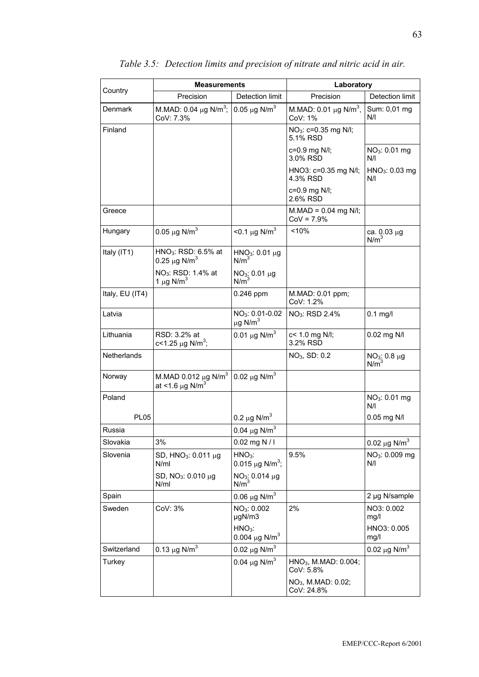|                    | <b>Measurements</b>                                                      |                                                         | Laboratory                                        |                                     |  |
|--------------------|--------------------------------------------------------------------------|---------------------------------------------------------|---------------------------------------------------|-------------------------------------|--|
| Country            | Precision                                                                | Detection limit                                         | Precision                                         | Detection limit                     |  |
| Denmark            | M.MAD: 0.04 $\mu$ g N/m <sup>3</sup> ;<br>CoV: 7.3%                      | 0.05 $\mu$ g N/m <sup>3</sup>                           | M.MAD: 0.01 $\mu$ g N/m <sup>3</sup> ,<br>CoV: 1% | Sum: 0,01 mg<br>N/I                 |  |
| Finland            |                                                                          |                                                         | NO <sub>3</sub> : c=0.35 mg N/l;<br>5.1% RSD      |                                     |  |
|                    |                                                                          |                                                         | c=0.9 mg N/I;<br>3.0% RSD                         | NO <sub>3</sub> : 0.01 mg<br>N/I    |  |
|                    |                                                                          |                                                         | HNO3: c=0.35 mg N/l;<br>4.3% RSD                  | HNO <sub>3</sub> : 0.03 mg<br>N/I   |  |
|                    |                                                                          |                                                         | c=0.9 mg N/I;<br>2.6% RSD                         |                                     |  |
| Greece             |                                                                          |                                                         | $M.MAD = 0.04$ mg N/I;<br>$CoV = 7.9%$            |                                     |  |
| Hungary            | 0.05 $\mu$ g N/m <sup>3</sup>                                            | $<$ 0.1 µg N/m <sup>3</sup>                             | < 10%                                             | ca. 0.03 µg<br>N/m <sup>3</sup>     |  |
| Italy $(IT1)$      | HNO <sub>3</sub> : RSD: $6.5\%$ at<br>0.25 $\mu$ g N/m <sup>3</sup>      | $HNO3: 0.01 \mu g$<br>N/m <sup>3</sup>                  |                                                   |                                     |  |
|                    | NO <sub>3</sub> : RSD: 1.4% at<br>1 $\mu$ g N/m <sup>3</sup>             | $NO3: 0.01 \mu g$<br>$N/m^3$                            |                                                   |                                     |  |
| Italy, EU (IT4)    |                                                                          | $0.246$ ppm                                             | M.MAD: 0.01 ppm;<br>CoV: 1.2%                     |                                     |  |
| Latvia             |                                                                          | NO <sub>3</sub> : 0.01-0.02<br>$\mu$ g N/m <sup>3</sup> | NO <sub>3</sub> : RSD 2.4%                        | $0.1$ mg/l                          |  |
| Lithuania          | RSD: 3.2% at<br>c<1.25 $\mu$ g N/m <sup>3</sup> ;                        | 0.01 $\mu$ g N/m <sup>3</sup>                           | c< 1.0 mg N/l;<br>3.2% RSD                        | 0.02 mg N/I                         |  |
| <b>Netherlands</b> |                                                                          |                                                         | NO <sub>3</sub> , SD: 0.2                         | $NO_3$ : 0.8 µg<br>N/m <sup>3</sup> |  |
| Norway             | M.MAD 0.012 $\mu$ g N/m <sup>3</sup><br>at <1.6 $\mu$ g N/m <sup>3</sup> | 0.02 $\mu$ g N/m <sup>3</sup>                           |                                                   |                                     |  |
| Poland             |                                                                          |                                                         |                                                   | NO <sub>3</sub> : 0.01 mg<br>N/I    |  |
| <b>PL05</b>        |                                                                          | 0.2 $\mu$ g N/m <sup>3</sup>                            |                                                   | $0.05$ mg N/I                       |  |
| Russia             |                                                                          | 0.04 $\mu$ g N/m <sup>3</sup>                           |                                                   |                                     |  |
| Slovakia           | 3%                                                                       | $0.02$ mg N / I                                         |                                                   | 0.02 $\mu$ g N/m <sup>3</sup>       |  |
| Slovenia           | SD, $HNO3: 0.011 µg$<br>N/ml                                             | $HNO3$ :<br>0.015 $\mu$ g N/m <sup>3</sup> ;            | 9.5%                                              | NO <sub>3</sub> : 0.009 mg<br>N/I   |  |
|                    | SD, $NO_3$ : 0.010 $\mu$ g<br>N/ml                                       | NO <sub>3</sub> : 0.014 µg<br>N/m <sup>3</sup>          |                                                   |                                     |  |
| Spain              |                                                                          | 0.06 $\mu$ g N/m <sup>3</sup>                           |                                                   | 2 µg N/sample                       |  |
| Sweden             | CoV: 3%                                                                  | NO <sub>3</sub> : 0.002<br>µgN/m3                       | 2%                                                | NO3: 0.002<br>mg/l                  |  |
|                    |                                                                          | $HNO3$ :<br>0.004 $\mu$ g N/m <sup>3</sup>              |                                                   | HNO3: 0.005<br>mg/l                 |  |
| Switzerland        | 0.13 $\mu$ g N/m <sup>3</sup>                                            | 0.02 $\mu$ g N/m <sup>3</sup>                           |                                                   | 0.02 $\mu$ g N/m <sup>3</sup>       |  |
| Turkey             |                                                                          | 0.04 $\mu$ g N/m <sup>3</sup>                           | $HNO3$ , M.MAD: 0.004;<br>CoV: 5.8%               |                                     |  |
|                    |                                                                          |                                                         | NO <sub>3</sub> , M.MAD: 0.02;<br>CoV: 24.8%      |                                     |  |

## *Table 3.5: Detection limits and precision of nitrate and nitric acid in air.*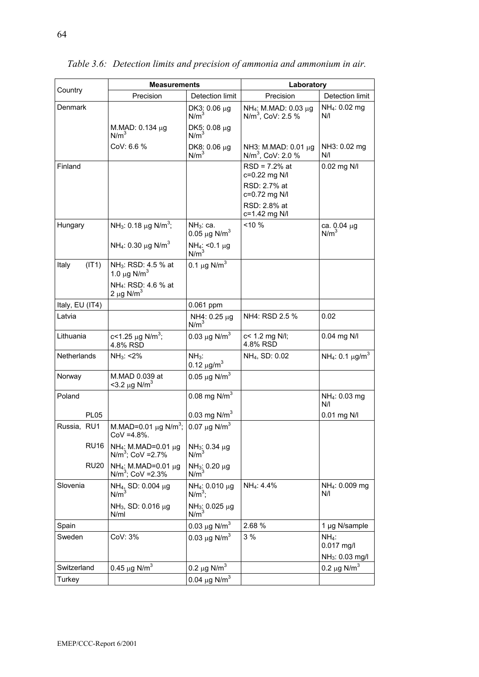|                 | Measurements                                                    |                                                | Laboratory                                              |                                              |  |
|-----------------|-----------------------------------------------------------------|------------------------------------------------|---------------------------------------------------------|----------------------------------------------|--|
| Country         | Precision                                                       | Detection limit                                | Precision                                               | Detection limit                              |  |
| Denmark         |                                                                 | DK3: 0.06 µg<br>N/m <sup>3</sup>               | NH <sub>4</sub> : M.MAD: 0.03 μg<br>$N/m3$ , CoV: 2.5 % | $NH_4$ : 0.02 mg<br>N/I                      |  |
|                 | M.MAD: 0.134 µg<br>N/m <sup>3</sup>                             | DK5: 0.08 µg<br>N/m <sup>3</sup>               |                                                         |                                              |  |
|                 | COV: 6.6 %                                                      | DK8: 0.06 µg<br>N/m <sup>3</sup>               | NH3: M.MAD: 0.01 μg<br>$N/m3$ , CoV: 2.0 %              | NH3: 0.02 mg<br>N/I                          |  |
| Finland         |                                                                 |                                                | $RSD = 7.2%$ at<br>c=0.22 mg N/l                        | 0.02 mg N/I                                  |  |
|                 |                                                                 |                                                | RSD: 2.7% at<br>c=0.72 mg N/I                           |                                              |  |
|                 |                                                                 |                                                | RSD: 2.8% at<br>c=1.42 mg N/I                           |                                              |  |
| Hungary         | NH <sub>3</sub> : 0.18 $\mu$ g N/m <sup>3</sup> ;               | $NH3:$ ca.<br>0.05 $\mu$ g N/m <sup>3</sup>    | $< 10 \%$                                               | ca. 0.04 µg<br>N/m <sup>3</sup>              |  |
|                 | NH <sub>4</sub> : 0.30 $\mu$ g N/m <sup>3</sup>                 | $NH_4$ : <0.1 µg<br>N/m <sup>3</sup>           |                                                         |                                              |  |
| Italy<br>(IT1)  | NH <sub>3</sub> : RSD: 4.5 % at<br>1.0 $\mu$ g N/m <sup>3</sup> | 0.1 $\mu$ g N/m <sup>3</sup>                   |                                                         |                                              |  |
|                 | NH <sub>4</sub> : RSD: 4.6 % at<br>2 $\mu$ g N/m <sup>3</sup>   |                                                |                                                         |                                              |  |
| Italy, EU (IT4) |                                                                 | 0.061 ppm                                      |                                                         |                                              |  |
| Latvia          |                                                                 | NH4: 0.25 µg<br>N/m <sup>3</sup>               | NH4: RSD 2.5 %                                          | 0.02                                         |  |
| Lithuania       | c<1.25 $\mu$ g N/m <sup>3</sup> ;<br>4.8% RSD                   | 0.03 $\mu$ g N/m <sup>3</sup>                  | c< 1.2 mg N/l;<br>4.8% RSD                              | $0.04$ mg N/I                                |  |
| Netherlands     | $NH_3: < 2\%$                                                   | $NH3$ :<br>0.12 $\mu$ g/m <sup>3</sup>         | NH <sub>4</sub> , SD: 0.02                              | NH <sub>4</sub> : 0.1 $\mu$ g/m <sup>3</sup> |  |
| Norway          | M.MAD 0.039 at<br>$<$ 3.2 µg N/m <sup>3</sup>                   | 0.05 $\mu$ g N/m <sup>3</sup>                  |                                                         |                                              |  |
| Poland          |                                                                 | 0.08 mg $N/m^3$                                |                                                         | NH <sub>4</sub> : 0.03 mg<br>N/I             |  |
| <b>PL05</b>     |                                                                 | 0.03 mg $N/m^3$                                |                                                         | 0.01 mg N/I                                  |  |
| Russia, RU1     | M.MAD=0.01 $\mu$ g N/m <sup>3</sup> ;<br>$COV = 4.8\%$ .        | 0.07 $\mu$ g N/m <sup>3</sup>                  |                                                         |                                              |  |
| <b>RU16</b>     | NH <sub>4</sub> : M.MAD=0.01 μg<br>$N/m^3$ ; CoV = 2.7%         | $NH_3$ : 0.34 µg<br>N/m <sup>3</sup>           |                                                         |                                              |  |
| <b>RU20</b>     | NH <sub>4</sub> : M.MAD=0.01 $\mu$ g<br>$N/m^3$ ; CoV = 2.3%    | $NH_3$ : 0.20 µg<br>N/m <sup>3</sup>           |                                                         |                                              |  |
| Slovenia        | NH <sub>4</sub> , SD: 0.004 μg<br>N/m <sup>3</sup>              | NH <sub>4</sub> : 0.010 µg<br>$N/m^3$ ;        | NH <sub>4</sub> : 4.4%                                  | NH <sub>4</sub> : 0.009 mg<br>N/I            |  |
|                 | NH <sub>3</sub> , SD: 0.016 µg<br>N/ml                          | NH <sub>3</sub> : 0.025 μg<br>N/m <sup>3</sup> |                                                         |                                              |  |
| Spain           |                                                                 | 0.03 $\mu$ g N/m <sup>3</sup>                  | 2.68 %                                                  | 1 µg N/sample                                |  |
| Sweden          | CoV: 3%                                                         | 0.03 $\mu$ g N/m <sup>3</sup>                  | 3%                                                      | $NH_4$ :<br>$0.017$ mg/l                     |  |
|                 |                                                                 |                                                |                                                         | $NH_3$ : 0.03 mg/l                           |  |
| Switzerland     | 0.45 $\mu$ g N/m <sup>3</sup>                                   | 0.2 $\mu$ g N/m <sup>3</sup>                   |                                                         | 0.2 $\mu$ g N/m <sup>3</sup>                 |  |
| Turkey          |                                                                 | 0.04 $\mu$ g N/m <sup>3</sup>                  |                                                         |                                              |  |

*Table 3.6: Detection limits and precision of ammonia and ammonium in air.*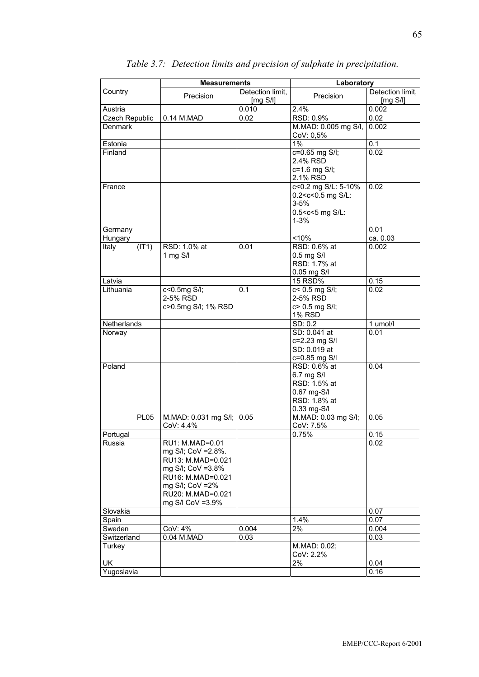|                                         | <b>Measurements</b>                                                                                                                                                  |                              | Laboratory                                                                                                                                  |                              |
|-----------------------------------------|----------------------------------------------------------------------------------------------------------------------------------------------------------------------|------------------------------|---------------------------------------------------------------------------------------------------------------------------------------------|------------------------------|
| Country                                 | Precision                                                                                                                                                            | Detection limit,<br>[mg S/l] | Precision                                                                                                                                   | Detection limit,<br>[mg S/I] |
| Austria                                 |                                                                                                                                                                      | 0.010                        | 2.4%                                                                                                                                        | 0.002                        |
| Czech Republic                          | 0.14 M.MAD                                                                                                                                                           | 0.02                         | RSD: 0.9%                                                                                                                                   | 0.02                         |
| Denmark                                 |                                                                                                                                                                      |                              | M.MAD: 0.005 mg S/I,<br>CoV: 0,5%                                                                                                           | 0.002                        |
| Estonia                                 |                                                                                                                                                                      |                              | $1\%$                                                                                                                                       | 0.1                          |
| Finland                                 |                                                                                                                                                                      |                              | c=0.65 mg S/I;<br>2.4% RSD<br>c=1.6 mg S/I;<br>2.1% RSD                                                                                     | 0.02                         |
| France                                  |                                                                                                                                                                      |                              | c<0.2 mg S/L: 5-10%<br>0.2 <c<0.5 l:<br="" mg="" s=""><math>3 - 5%</math><br/>0.5<c<5 l:<br="" mg="" s=""><math>1 - 3%</math></c<5></c<0.5> | 0.02                         |
| Germany                                 |                                                                                                                                                                      |                              |                                                                                                                                             | 0.01                         |
| Hungary                                 |                                                                                                                                                                      |                              | < 10%                                                                                                                                       | ca. 0.03                     |
| Italy<br>(IT1)                          | RSD: 1.0% at<br>1 mg S/I                                                                                                                                             | 0.01                         | RSD: 0.6% at<br>$0.5$ mg S/I<br>RSD: 1.7% at<br>0.05 mg S/I                                                                                 | 0.002                        |
| Latvia                                  |                                                                                                                                                                      |                              | 15 RSD%                                                                                                                                     | 0.15                         |
| Lithuania                               | c<0.5mg S/I;<br>2-5% RSD<br>c>0.5mg S/l; 1% RSD                                                                                                                      | 0.1                          | c< 0.5 mg S/I;<br>2-5% RSD<br>c> 0.5 mg S/I;<br><b>1% RSD</b>                                                                               | 0.02                         |
| Netherlands                             |                                                                                                                                                                      |                              | SD: 0.2                                                                                                                                     | 1 umol/l                     |
| Norway                                  |                                                                                                                                                                      |                              | SD: 0.041 at<br>c=2.23 mg S/I<br>SD: 0.019 at<br>c=0.85 mg S/I                                                                              | 0.01                         |
| Poland                                  |                                                                                                                                                                      |                              | RSD: 0.6% at<br>6.7 mg S/I<br>RSD: 1.5% at<br>0.67 mg-S/l<br>RSD: 1.8% at<br>0.33 mg-S/I                                                    | 0.04                         |
| <b>PL05</b>                             | M.MAD: 0.031 mg S/l;<br>CoV: 4.4%                                                                                                                                    | 0.05                         | M.MAD: 0.03 mg S/I;<br>CoV: 7.5%                                                                                                            | 0.05                         |
| Portugal                                |                                                                                                                                                                      |                              | 0.75%                                                                                                                                       | 0.15                         |
| Russia                                  | RU1: M.MAD=0.01<br>mg S/I; CoV = 2.8%.<br>RU13: M.MAD=0.021<br>mg S/I; CoV = 3.8%<br>RU16: M.MAD=0.021<br>mg S/I; CoV = 2%<br>RU20: M.MAD=0.021<br>mg S/I CoV = 3.9% |                              |                                                                                                                                             | 0.02                         |
| Slovakia                                |                                                                                                                                                                      |                              |                                                                                                                                             | 0.07                         |
| Spain                                   |                                                                                                                                                                      |                              | 1.4%                                                                                                                                        | 0.07                         |
| Sweden                                  | CoV: 4%                                                                                                                                                              | 0.004                        | $2\%$                                                                                                                                       | 0.004                        |
| Switzerland                             | 0.04 M.MAD                                                                                                                                                           | 0.03                         |                                                                                                                                             | 0.03                         |
| Turkey                                  |                                                                                                                                                                      |                              | M.MAD: 0.02;<br>CoV: 2.2%                                                                                                                   |                              |
| $\overline{\mathsf{U}}$ K<br>Yugoslavia |                                                                                                                                                                      |                              | 2%                                                                                                                                          | 0.04<br>0.16                 |

## *Table 3.7: Detection limits and precision of sulphate in precipitation.*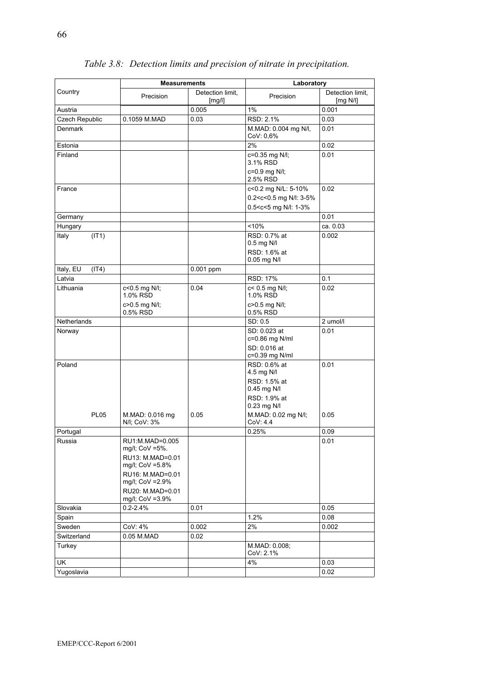|                    | <b>Measurements</b>                                                      |                            | Laboratory                                                                                             |                              |
|--------------------|--------------------------------------------------------------------------|----------------------------|--------------------------------------------------------------------------------------------------------|------------------------------|
| Country            | Precision                                                                | Detection limit,<br>[mg/l] | Precision                                                                                              | Detection limit,<br>[mg N/l] |
| Austria            |                                                                          | 0.005                      | $1\%$                                                                                                  | 0.001                        |
| Czech Republic     | 0.1059 M.MAD                                                             | 0.03                       | RSD: 2.1%                                                                                              | 0.03                         |
| <b>Denmark</b>     |                                                                          |                            | M.MAD: 0.004 ma N/I.<br>CoV: 0.6%                                                                      | 0.01                         |
| Estonia            |                                                                          |                            | 2%                                                                                                     | 0.02                         |
| Finland            |                                                                          |                            | c=0.35 mg N/l;<br>3.1% RSD                                                                             | 0.01                         |
|                    |                                                                          |                            | c=0.9 mg N/I;<br>2.5% RSD                                                                              |                              |
| France             |                                                                          |                            | c<0.2 mg N/L: 5-10%                                                                                    | 0.02                         |
|                    |                                                                          |                            | 0.2 <c<0.5 3-5%<br="" l:="" mg="" n="">0.5<c<5 1-3%<="" l:="" mg="" n="" td=""><td></td></c<5></c<0.5> |                              |
| Germany            |                                                                          |                            |                                                                                                        | 0.01                         |
| Hungary            |                                                                          |                            | $10\%$                                                                                                 | ca. 0.03                     |
| Italy<br>(IT1)     |                                                                          |                            | RSD: 0.7% at<br>$0.5$ mg N/I                                                                           | 0.002                        |
|                    |                                                                          |                            | RSD: 1.6% at<br>0.05 mg N/l                                                                            |                              |
| Italy, EU<br>(IT4) |                                                                          | $0.001$ ppm                |                                                                                                        |                              |
| Latvia             |                                                                          |                            | <b>RSD: 17%</b>                                                                                        | 0.1                          |
| Lithuania          | c<0.5 mg N/l;<br>1.0% RSD                                                | 0.04                       | c< 0.5 mg N/l;<br>1.0% RSD                                                                             | 0.02                         |
|                    | c>0.5 mg N/l;<br>0.5% RSD                                                |                            | c>0.5 mg N/l;<br>0.5% RSD                                                                              |                              |
| Netherlands        |                                                                          |                            | SD: 0.5                                                                                                | 2 umol/l                     |
| Norway             |                                                                          |                            | SD: 0.023 at<br>c=0.86 mg N/ml                                                                         | 0.01                         |
|                    |                                                                          |                            | SD: 0.016 at<br>c=0.39 mg N/ml                                                                         |                              |
| Poland             |                                                                          |                            | RSD: 0.6% at<br>4.5 mg N/I                                                                             | 0.01                         |
|                    |                                                                          |                            | RSD: 1.5% at<br>0.45 mg N/I                                                                            |                              |
|                    |                                                                          |                            | RSD: 1.9% at<br>0.23 mg N/I                                                                            |                              |
| <b>PL05</b>        | M.MAD: 0.016 mg<br>N/I; CoV: 3%                                          | 0.05                       | M.MAD: 0.02 mg N/l;<br>CoV: 4.4                                                                        | 0.05                         |
| Portugal           |                                                                          |                            | 0.25%                                                                                                  | 0.09                         |
| Russia             | RU1:M.MAD=0.005<br>mg/l; CoV =5%.<br>RU13: M.MAD=0.01<br>mg/l; CoV =5.8% |                            |                                                                                                        | 0.01                         |
|                    | RU16: M.MAD=0.01<br>mg/l; CoV = 2.9%                                     |                            |                                                                                                        |                              |
|                    | RU20: M.MAD=0.01<br>mg/l; CoV =3.9%                                      |                            |                                                                                                        |                              |
| Slovakia           | $0.2 - 2.4%$                                                             | 0.01                       |                                                                                                        | 0.05                         |
| Spain              |                                                                          |                            | 1.2%                                                                                                   | 0.08                         |
| Sweden             | CoV: 4%                                                                  | 0.002                      | 2%                                                                                                     | 0.002                        |
| Switzerland        | 0.05 M.MAD                                                               | 0.02                       |                                                                                                        |                              |
| Turkey             |                                                                          |                            | M.MAD: 0.008;<br>CoV: 2.1%                                                                             |                              |
| UK                 |                                                                          |                            | 4%                                                                                                     | 0.03                         |
| Yugoslavia         |                                                                          |                            |                                                                                                        | 0.02                         |

*Table 3.8: Detection limits and precision of nitrate in precipitation.*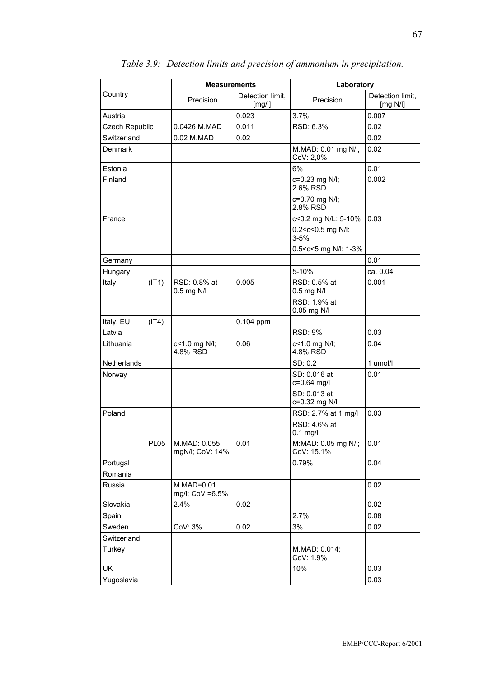|                    | <b>Measurements</b>             |                            | Laboratory                                                 |                                 |
|--------------------|---------------------------------|----------------------------|------------------------------------------------------------|---------------------------------|
| Country            | Precision                       | Detection limit,<br>[mg/l] | Precision                                                  | Detection limit,<br>[ $mg$ N/I] |
| Austria            |                                 | 0.023                      | 3.7%                                                       | 0.007                           |
| Czech Republic     | 0.0426 M.MAD                    | 0.011                      | RSD: 6.3%                                                  | 0.02                            |
| Switzerland        | 0.02 M.MAD                      | 0.02                       |                                                            | 0.02                            |
| Denmark            |                                 |                            | M.MAD: 0.01 mg N/l,<br>CoV: 2,0%                           | 0.02                            |
| Estonia            |                                 |                            | 6%                                                         | 0.01                            |
| Finland            |                                 |                            | c=0.23 mg N/l;<br>2.6% RSD                                 | 0.002                           |
|                    |                                 |                            | c=0.70 mg N/l;<br>2.8% RSD                                 |                                 |
| France             |                                 |                            | c<0.2 mg N/L: 5-10%                                        | 0.03                            |
|                    |                                 |                            | 0.2 <c<0.5 l:<br="" mg="" n=""><math>3 - 5%</math></c<0.5> |                                 |
|                    |                                 |                            | 0.5 <c<5 1-3%<="" l:="" mg="" n="" td=""><td></td></c<5>   |                                 |
| Germany            |                                 |                            |                                                            | 0.01                            |
| Hungary            |                                 |                            | 5-10%                                                      | ca. 0.04                        |
| (IT1)<br>Italy     | RSD: 0.8% at<br>0.5 mg N/I      | 0.005                      | RSD: 0.5% at<br>0.5 mg N/I                                 | 0.001                           |
|                    |                                 |                            | RSD: 1.9% at<br>0.05 mg N/I                                |                                 |
| Italy, EU<br>(IT4) |                                 | 0.104 ppm                  |                                                            |                                 |
| Latvia             |                                 |                            | <b>RSD: 9%</b>                                             | 0.03                            |
| Lithuania          | c<1.0 mg N/l;<br>4.8% RSD       | 0.06                       | c<1.0 mg N/l;<br>4.8% RSD                                  | 0.04                            |
| <b>Netherlands</b> |                                 |                            | SD: 0.2                                                    | 1 umol/l                        |
| Norway             |                                 |                            | SD: 0.016 at<br>c=0.64 mg/l                                | 0.01                            |
|                    |                                 |                            | SD: 0.013 at<br>c=0.32 mg N/I                              |                                 |
| Poland             |                                 |                            | RSD: 2.7% at 1 mg/l                                        | 0.03                            |
|                    |                                 |                            | RSD: 4.6% at<br>$0.1$ mg/l                                 |                                 |
| <b>PL05</b>        | M.MAD: 0.055<br>mgN/l; CoV: 14% | 0.01                       | M:MAD: 0.05 mg N/l;<br>CoV: 15.1%                          | 0.01                            |
| Portugal           |                                 |                            | 0.79%                                                      | 0.04                            |
| Romania            |                                 |                            |                                                            |                                 |
| Russia             | $M.MAD=0.01$<br>mg/l; CoV =6.5% |                            |                                                            | 0.02                            |
| Slovakia           | 2.4%                            | 0.02                       |                                                            | 0.02                            |
| Spain              |                                 |                            | 2.7%                                                       | 0.08                            |
| Sweden             | CoV: 3%                         | 0.02                       | 3%                                                         | 0.02                            |
| Switzerland        |                                 |                            |                                                            |                                 |
| Turkey             |                                 |                            | M.MAD: 0.014;<br>CoV: 1.9%                                 |                                 |
| <b>UK</b>          |                                 |                            | 10%                                                        | 0.03                            |
| Yugoslavia         |                                 |                            |                                                            | 0.03                            |

*Table 3.9: Detection limits and precision of ammonium in precipitation.*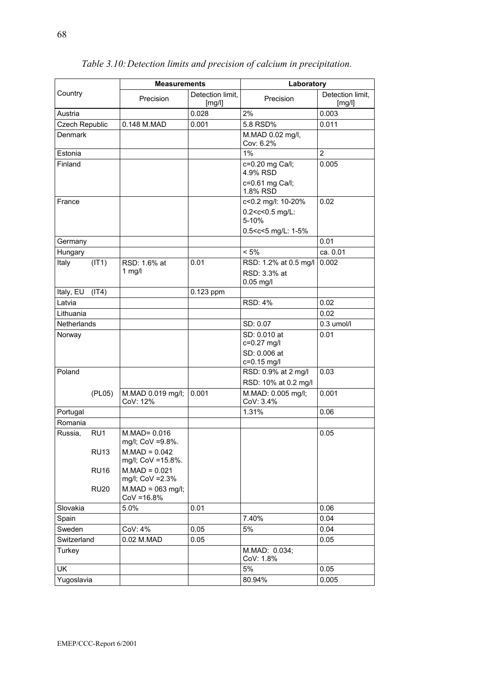|                    |                 | <b>Measurements</b>                  |                            | Laboratory                                           |                            |
|--------------------|-----------------|--------------------------------------|----------------------------|------------------------------------------------------|----------------------------|
| Country            |                 | Precision                            | Detection limit,<br>[mg/l] | Precision                                            | Detection limit,<br>[mg/l] |
| Austria            |                 |                                      | 0.028                      | 2%                                                   | 0.003                      |
| Czech Republic     |                 | 0.148 M.MAD                          | 0.001                      | 5.8 RSD%                                             | 0.011                      |
| Denmark            |                 |                                      |                            | M.MAD 0.02 mg/l,<br>Cov: 6.2%                        |                            |
| Estonia            |                 |                                      |                            | 1%                                                   | $\overline{2}$             |
| Finland            |                 |                                      |                            | c=0.20 mg Ca/l;<br>4.9% RSD<br>c=0.61 mg Ca/l;       | 0.005                      |
|                    |                 |                                      |                            | 1.8% RSD                                             |                            |
| France             |                 |                                      |                            | c<0.2 mg/l: 10-20%                                   | 0.02                       |
|                    |                 |                                      |                            | 0.2 <c<0.5 l:<br="" mg="">5-10%</c<0.5>              |                            |
|                    |                 |                                      |                            | 0.5 <c<5 1-5%<="" l:="" mg="" td=""><td></td></c<5>  |                            |
| Germany            |                 |                                      |                            |                                                      | 0.01                       |
| Hungary            |                 |                                      |                            | $< 5\%$                                              | ca. 0.01                   |
| Italy              | (IT1)           | RSD: 1.6% at<br>1 $mg/l$             | 0.01                       | RSD: 1.2% at 0.5 mg/l<br>RSD: 3.3% at<br>$0.05$ mg/l | 0.002                      |
| Italy, EU          | (IT4)           |                                      | $0.123$ ppm                |                                                      |                            |
| Latvia             |                 |                                      |                            | <b>RSD: 4%</b>                                       | 0.02                       |
| Lithuania          |                 |                                      |                            |                                                      | 0.02                       |
| <b>Netherlands</b> |                 |                                      |                            | SD: 0.07                                             | $0.3$ umol/l               |
| Norway             |                 |                                      |                            | SD: 0.010 at<br>c=0.27 mg/l<br>SD: 0.006 at          | 0.01                       |
|                    |                 |                                      |                            | c=0.15 mg/l                                          |                            |
| Poland             |                 |                                      |                            | RSD: 0.9% at 2 mg/l<br>RSD: 10% at 0.2 mg/l          | 0.03                       |
|                    | (PL05)          | M.MAD 0.019 mg/l;<br>CoV: 12%        | 0.001                      | M.MAD: 0.005 mg/l;<br>CoV: 3.4%                      | 0.001                      |
| Portugal           |                 |                                      |                            | 1.31%                                                | 0.06                       |
| Romania            |                 |                                      |                            |                                                      |                            |
| Russia.            | RU <sub>1</sub> | $M.MAD = 0.016$<br>mg/l; CoV =9.8%.  |                            |                                                      | 0.05                       |
|                    | <b>RU13</b>     | $M.MAD = 0.042$<br>mg/l; CoV =15.8%. |                            |                                                      |                            |
|                    | <b>RU16</b>     | $M.MAD = 0.021$<br>mg/l; CoV = 2.3%  |                            |                                                      |                            |
|                    | <b>RU20</b>     | $M.MAD = 063$ mg/l;<br>$COV = 16.8%$ |                            |                                                      |                            |
| Slovakia           |                 | 5.0%                                 | 0.01                       |                                                      | 0.06                       |
| Spain              |                 |                                      |                            | 7.40%                                                | 0.04                       |
| Sweden             |                 | CoV: 4%                              | 0.05                       | 5%                                                   | 0.04                       |
| Switzerland        |                 | 0.02 M.MAD                           | 0.05                       |                                                      | 0.05                       |
| Turkey             |                 |                                      |                            | M.MAD: 0.034;<br>CoV: 1.8%                           |                            |
| UK                 |                 |                                      |                            | 5%                                                   | 0.05                       |
| Yugoslavia         |                 |                                      |                            | 80.94%                                               | 0.005                      |
|                    |                 |                                      |                            |                                                      |                            |

*Table 3.10: Detection limits and precision of calcium in precipitation.*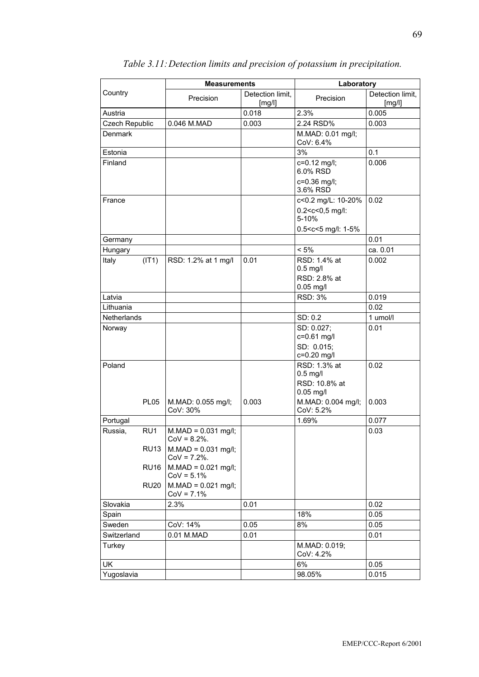|                |                                | <b>Measurements</b>                                              |                            | Laboratory                                                                                     |                            |
|----------------|--------------------------------|------------------------------------------------------------------|----------------------------|------------------------------------------------------------------------------------------------|----------------------------|
| Country        |                                | Precision                                                        | Detection limit,<br>[mg/l] | Precision                                                                                      | Detection limit,<br>[mg/l] |
| Austria        |                                |                                                                  | 0.018                      | 2.3%                                                                                           | 0.005                      |
| Czech Republic |                                | 0.046 M.MAD                                                      | 0.003                      | 2.24 RSD%                                                                                      | 0.003                      |
| Denmark        |                                |                                                                  |                            | M.MAD: 0.01 mg/l;<br>CoV: 6.4%                                                                 |                            |
| Estonia        |                                |                                                                  |                            | 3%                                                                                             | 0.1                        |
| Finland        |                                |                                                                  |                            | c=0.12 mg/l;<br>6.0% RSD<br>c=0.36 mg/l;                                                       | 0.006                      |
| France         |                                |                                                                  |                            | 3.6% RSD<br>c<0.2 mg/L: 10-20%                                                                 | 0.02                       |
|                |                                |                                                                  |                            | 0.2 <c<0,5 l:<br="" mg="">5-10%<br/>0.5<c<5 1-5%<="" l:="" mg="" td=""><td></td></c<5></c<0,5> |                            |
| Germany        |                                |                                                                  |                            |                                                                                                | 0.01                       |
| Hungary        |                                |                                                                  |                            | < 5%                                                                                           | ca. 0.01                   |
| Italy          | (IT1)                          | RSD: 1.2% at 1 mg/l                                              | 0.01                       | RSD: 1.4% at<br>$0.5$ mg/l<br>RSD: 2.8% at                                                     | 0.002                      |
| Latvia         |                                |                                                                  |                            | $0.05$ mg/l<br><b>RSD: 3%</b>                                                                  | 0.019                      |
| Lithuania      |                                |                                                                  |                            |                                                                                                | 0.02                       |
| Netherlands    |                                |                                                                  |                            | SD: 0.2                                                                                        | 1 umol/l                   |
| Norway         |                                |                                                                  |                            | SD: 0.027;<br>c=0.61 mg/l<br>SD: 0.015;<br>c=0.20 mg/l                                         | 0.01                       |
| Poland         | <b>PL05</b>                    | M.MAD: 0.055 mg/l;                                               | 0.003                      | RSD: 1.3% at<br>$0.5$ mg/l<br>RSD: 10.8% at<br>$0.05$ mg/l<br>M.MAD: 0.004 mg/l;               | 0.02<br>0.003              |
|                |                                | CoV: 30%                                                         |                            | CoV: 5.2%                                                                                      |                            |
| Portugal       |                                |                                                                  |                            | 1.69%                                                                                          | 0.077                      |
| Russia,        | RU <sub>1</sub><br><b>RU13</b> | $M.MAD = 0.031$ mg/l;<br>$COV = 8.2%$ .<br>$M.MAD = 0.031$ mg/l; |                            |                                                                                                | 0.03                       |
|                |                                | $CoV = 7.2%$ .                                                   |                            |                                                                                                |                            |
|                | <b>RU16</b>                    | $M.MAD = 0.021$ mg/l;<br>$CoV = 5.1%$                            |                            |                                                                                                |                            |
|                | <b>RU20</b>                    | $M.MAD = 0.021$ mg/l;<br>$CoV = 7.1%$                            |                            |                                                                                                |                            |
| Slovakia       |                                | 2.3%                                                             | 0.01                       |                                                                                                | 0.02                       |
| Spain          |                                |                                                                  |                            | 18%                                                                                            | 0.05                       |
| Sweden         |                                | CoV: 14%                                                         | 0.05                       | 8%                                                                                             | 0.05                       |
| Switzerland    |                                | 0.01 M.MAD                                                       | 0.01                       |                                                                                                | 0.01                       |
| Turkey         |                                |                                                                  |                            | M.MAD: 0.019;<br>CoV: 4.2%                                                                     |                            |
| UK             |                                |                                                                  |                            | 6%                                                                                             | 0.05                       |
| Yugoslavia     |                                |                                                                  |                            | 98.05%                                                                                         | 0.015                      |

*Table 3.11: Detection limits and precision of potassium in precipitation.*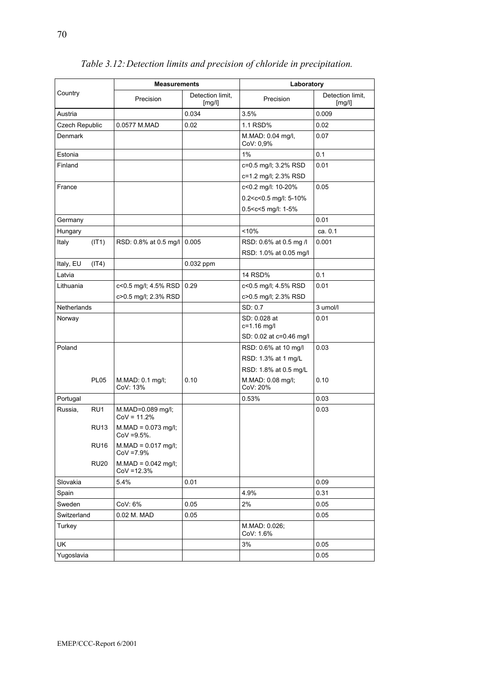|                    | <b>Measurements</b>                          |                            | Laboratory                                                                                                   |                            |
|--------------------|----------------------------------------------|----------------------------|--------------------------------------------------------------------------------------------------------------|----------------------------|
| Country            | Precision                                    | Detection limit,<br>[mg/l] | Precision                                                                                                    | Detection limit,<br>[mg/l] |
| Austria            |                                              | 0.034                      | 3.5%                                                                                                         | 0.009                      |
| Czech Republic     | 0.0577 M.MAD                                 | 0.02                       | 1.1 RSD%                                                                                                     | 0.02                       |
| Denmark            |                                              |                            | M.MAD: 0.04 mg/l,<br>CoV: 0,9%                                                                               | 0.07                       |
| Estonia            |                                              |                            | 1%                                                                                                           | 0.1                        |
| Finland            |                                              |                            | c=0.5 mg/l; 3.2% RSD<br>c=1.2 mg/l; 2.3% RSD                                                                 | 0.01                       |
| France             |                                              |                            | c<0.2 mg/l: 10-20%<br>$0.2 < c < 0.5$ mg/l: 5-10%<br>0.5 <c<5 1-5%<="" l:="" mg="" td=""><td>0.05</td></c<5> | 0.05                       |
| Germany            |                                              |                            |                                                                                                              | 0.01                       |
| Hungary            |                                              |                            | < 10%                                                                                                        | ca. 0.1                    |
| Italy<br>(IT1)     | RSD: 0.8% at 0.5 mg/l                        | 0.005                      | RSD: 0.6% at 0.5 mg /l<br>RSD: 1.0% at 0.05 mg/l                                                             | 0.001                      |
| Italy, EU<br>(IT4) |                                              | 0.032 ppm                  |                                                                                                              |                            |
| Latvia             |                                              |                            | <b>14 RSD%</b>                                                                                               | 0.1                        |
| Lithuania          | c<0.5 mg/l; 4.5% RSD<br>c>0.5 mg/l; 2.3% RSD | 0.29                       | c<0.5 mg/l; 4.5% RSD<br>c>0.5 mg/l; 2.3% RSD                                                                 | 0.01                       |
| <b>Netherlands</b> |                                              |                            | SD: 0.7                                                                                                      | 3 umol/l                   |
| Norway             |                                              |                            | SD: 0.028 at<br>c=1.16 mg/l                                                                                  | 0.01                       |
|                    |                                              |                            | SD: 0.02 at c=0.46 mg/l                                                                                      |                            |
| Poland             |                                              |                            | RSD: 0.6% at 10 mg/l                                                                                         | 0.03                       |
|                    |                                              |                            | RSD: 1.3% at 1 mg/L                                                                                          |                            |
|                    |                                              |                            | RSD: 1.8% at 0.5 mg/L                                                                                        |                            |
| <b>PL05</b>        | M.MAD: 0.1 mg/l;<br>CoV: 13%                 | 0.10                       | M.MAD: 0.08 mg/l;<br>CoV: 20%                                                                                | 0.10                       |
| Portugal           |                                              |                            | 0.53%                                                                                                        | 0.03                       |
| RU1<br>Russia,     | M.MAD=0.089 mg/l;<br>$Cov = 11.2%$           |                            |                                                                                                              | 0.03                       |
| <b>RU13</b>        | $M.MAD = 0.073$ mg/l;<br>$CoV = 9.5%$ .      |                            |                                                                                                              |                            |
| <b>RU16</b>        | $M.MAD = 0.017$ mg/l;<br>$COV = 7.9%$        |                            |                                                                                                              |                            |
| <b>RU20</b>        | $M.MAD = 0.042$ mg/l;<br>$CoV = 12.3%$       |                            |                                                                                                              |                            |
| Slovakia           | 5.4%                                         | 0.01                       |                                                                                                              | 0.09                       |
| Spain              |                                              |                            | 4.9%                                                                                                         | 0.31                       |
| Sweden             | CoV: 6%                                      | 0.05                       | 2%                                                                                                           | 0.05                       |
| Switzerland        | 0.02 M. MAD                                  | 0.05                       |                                                                                                              | 0.05                       |
| Turkey             |                                              |                            | M.MAD: 0.026;<br>CoV: 1.6%                                                                                   |                            |
| UK                 |                                              |                            | 3%                                                                                                           | 0.05                       |
| Yugoslavia         |                                              |                            |                                                                                                              | 0.05                       |

## *Table 3.12: Detection limits and precision of chloride in precipitation.*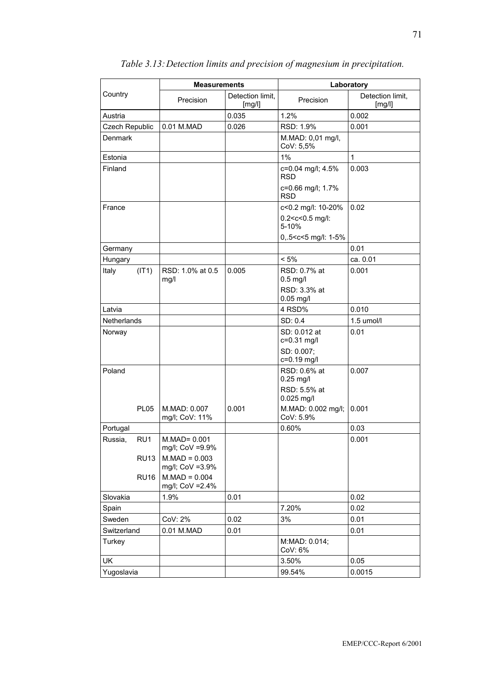|                |             | <b>Measurements</b>                 |                            |                                                      | Laboratory                 |
|----------------|-------------|-------------------------------------|----------------------------|------------------------------------------------------|----------------------------|
| Country        |             | Precision                           | Detection limit,<br>[mg/l] | Precision                                            | Detection limit,<br>[mg/l] |
| Austria        |             |                                     | 0.035                      | 1.2%                                                 | 0.002                      |
| Czech Republic |             | 0.01 M.MAD                          | 0.026                      | RSD: 1.9%                                            | 0.001                      |
| Denmark        |             |                                     |                            | M.MAD: 0,01 mg/l,<br>CoV: 5,5%                       |                            |
| Estonia        |             |                                     |                            | 1%                                                   | $\mathbf{1}$               |
| Finland        |             |                                     |                            | c=0.04 mg/l; 4.5%<br><b>RSD</b>                      | 0.003                      |
|                |             |                                     |                            | c=0.66 mg/l; 1.7%<br><b>RSD</b>                      |                            |
| France         |             |                                     |                            | c<0.2 mg/l: 10-20%                                   | 0.02                       |
|                |             |                                     |                            | 0.2 <c<0.5 l:<br="" mg="">5-10%</c<0.5>              |                            |
|                |             |                                     |                            | 0,.5 <c<5 1-5%<="" l:="" mg="" td=""><td></td></c<5> |                            |
| Germany        |             |                                     |                            |                                                      | 0.01                       |
| Hungary        |             |                                     |                            | $< 5\%$                                              | ca. 0.01                   |
| Italy          | (IT1)       | RSD: 1.0% at 0.5<br>mg/l            | 0.005                      | RSD: 0.7% at<br>$0.5$ mg/l                           | 0.001                      |
|                |             |                                     |                            | RSD: 3.3% at<br>$0.05$ mg/l                          |                            |
| Latvia         |             |                                     |                            | 4 RSD%                                               | 0.010                      |
| Netherlands    |             |                                     |                            | SD: 0.4                                              | 1.5 umol/l                 |
| Norway         |             |                                     |                            | SD: 0.012 at<br>c=0.31 mg/l                          | 0.01                       |
|                |             |                                     |                            | SD: 0.007;<br>c=0.19 mg/l                            |                            |
| Poland         |             |                                     |                            | RSD: 0.6% at<br>$0.25$ mg/l                          | 0.007                      |
|                |             |                                     |                            | RSD: 5.5% at<br>0.025 mg/l                           |                            |
|                | <b>PL05</b> | M.MAD: 0.007<br>mg/l; CoV: 11%      | 0.001                      | M.MAD: 0.002 mg/l;<br>CoV: 5.9%                      | 0.001                      |
| Portugal       |             |                                     |                            | 0.60%                                                | 0.03                       |
| Russia,        | RU1         | M.MAD= 0.001<br>mg/l; CoV =9.9%     |                            |                                                      | 0.001                      |
|                | <b>RU13</b> | $M.MAD = 0.003$<br>mg/l; CoV =3.9%  |                            |                                                      |                            |
|                | <b>RU16</b> | $M.MAD = 0.004$<br>mg/l; CoV = 2.4% |                            |                                                      |                            |
| Slovakia       |             | 1.9%                                | 0.01                       |                                                      | 0.02                       |
| Spain          |             |                                     |                            | 7.20%                                                | 0.02                       |
| Sweden         |             | CoV: 2%                             | 0.02                       | 3%                                                   | 0.01                       |
| Switzerland    |             | 0.01 M.MAD                          | 0.01                       |                                                      | 0.01                       |
| Turkey         |             |                                     |                            | M:MAD: 0.014;<br>CoV: 6%                             |                            |
| UK             |             |                                     |                            | 3.50%                                                | 0.05                       |
| Yugoslavia     |             |                                     |                            | 99.54%                                               | 0.0015                     |

## *Table 3.13: Detection limits and precision of magnesium in precipitation.*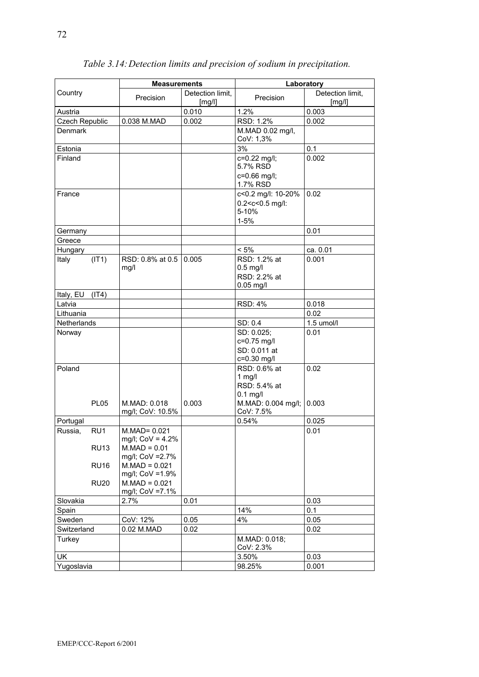|                       |                    | <b>Measurements</b>                                   |                            |                                                                                       | Laboratory                 |
|-----------------------|--------------------|-------------------------------------------------------|----------------------------|---------------------------------------------------------------------------------------|----------------------------|
| Country               |                    | Precision                                             | Detection limit,<br>[mg/l] | Precision                                                                             | Detection limit,<br>[mg/l] |
| Austria               |                    |                                                       | 0.010                      | 1.2%                                                                                  | 0.003                      |
| <b>Czech Republic</b> |                    | 0.038 M.MAD                                           | 0.002                      | RSD: 1.2%                                                                             | 0.002                      |
| Denmark               |                    |                                                       |                            | M.MAD 0.02 mg/l,<br>CoV: 1,3%                                                         |                            |
| Estonia               |                    |                                                       |                            | 3%                                                                                    | 0.1                        |
| Finland               |                    |                                                       |                            | c=0.22 mg/l;<br>5.7% RSD<br>c=0.66 mg/l;<br>1.7% RSD                                  | 0.002                      |
| France                |                    |                                                       |                            | c<0.2 mg/l: 10-20%<br>0.2 <c<0.5 l:<br="" mg="">5-10%<br/><math>1 - 5%</math></c<0.5> | 0.02                       |
| Germany               |                    |                                                       |                            |                                                                                       | 0.01                       |
| Greece                |                    |                                                       |                            |                                                                                       |                            |
| Hungary               |                    |                                                       |                            | $< 5\%$                                                                               | ca. 0.01                   |
| Italy                 | (IT1)              | RSD: 0.8% at 0.5<br>mg/l                              | 0.005                      | RSD: 1.2% at<br>$0.5$ mg/l<br>RSD: 2.2% at<br>$0.05$ mg/l                             | 0.001                      |
| Italy, EU             | (IT4)              |                                                       |                            |                                                                                       |                            |
| Latvia                |                    |                                                       |                            | <b>RSD: 4%</b>                                                                        | 0.018                      |
| Lithuania             |                    |                                                       |                            |                                                                                       | 0.02                       |
| Netherlands           |                    |                                                       |                            | SD: 0.4                                                                               | 1.5 umol/l                 |
| Norway                |                    |                                                       |                            | SD: 0.025;<br>c=0.75 mg/l<br>SD: 0.011 at<br>c=0.30 mg/l                              | 0.01                       |
| Poland                |                    |                                                       |                            | RSD: 0.6% at<br>$1$ mg/l<br>RSD: 5.4% at<br>$0.1$ mg/l                                | 0.02                       |
|                       | <b>PL05</b>        | M.MAD: 0.018<br>mg/l; CoV: 10.5%                      | 0.003                      | M.MAD: 0.004 mg/l;<br>CoV: 7.5%                                                       | 0.003                      |
| Portugal              |                    |                                                       |                            | 0.54%                                                                                 | 0.025                      |
| Russia,               | RU1<br><b>RU13</b> | $M.MAD = 0.021$<br>mg/l; CoV = 4.2%<br>$M.MAD = 0.01$ |                            |                                                                                       | 0.01                       |
|                       | <b>RU16</b>        | mg/l; CoV = 2.7%<br>$M.MAD = 0.021$                   |                            |                                                                                       |                            |
|                       | <b>RU20</b>        | mg/l; CoV =1.9%<br>$M.MAD = 0.021$<br>mg/l; CoV =7.1% |                            |                                                                                       |                            |
| Slovakia              |                    | 2.7%                                                  | 0.01                       |                                                                                       | 0.03                       |
| Spain                 |                    |                                                       |                            | 14%                                                                                   | 0.1                        |
| Sweden                |                    | CoV: 12%                                              | 0.05                       | 4%                                                                                    | 0.05                       |
| Switzerland           |                    | 0.02 M.MAD                                            | 0.02                       |                                                                                       | 0.02                       |
| Turkey                |                    |                                                       |                            | M.MAD: 0.018;<br>CoV: 2.3%                                                            |                            |
| <b>UK</b>             |                    |                                                       |                            | 3.50%                                                                                 | 0.03                       |
| Yugoslavia            |                    |                                                       |                            | 98.25%                                                                                | 0.001                      |

## *Table 3.14: Detection limits and precision of sodium in precipitation.*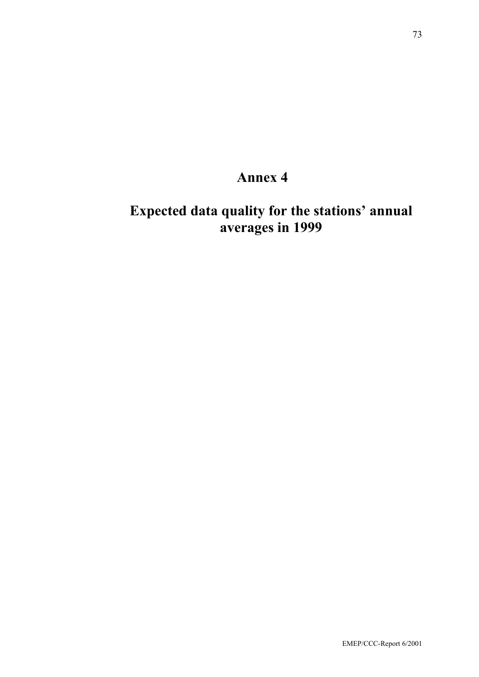## **Annex 4**

## **Expected data quality for the stations' annual averages in 1999**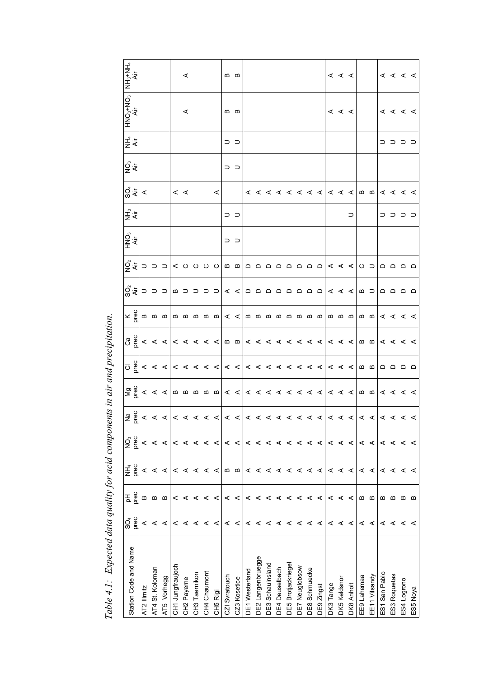| Station Code and Name   | prec<br>SO <sub>4</sub> | prec<br>공 | prec<br>NH <sub>4</sub> | prec<br>g | <b>Pa</b><br>Prec | $\frac{1}{2}$                                                                                                                                                                                                                                                                                                                                                                                                                                                                                                    | o<br>Dec                                                    | Ca<br>Drec                                                                       | $\times$ Plec              | SO <sub>2</sub>                                                                                                                                                                                                                                                                                                                                                                                                                                                                        | $\circledS\frac{1}{4}$ $\circledmath>$ | HNO <sub>3</sub> | NH <sub>3</sub> | $\frac{1}{2}$ $\frac{1}{2}$ | Q<br>Air | NH <sub>4</sub><br>Air | <b>AIR</b><br>BON+ <sup>6</sup> ONH | $\begin{array}{c}\n\mathsf{NH^{2+}NH^{4}} \\ \mathsf{Vir}\n\end{array}$ |
|-------------------------|-------------------------|-----------|-------------------------|-----------|-------------------|------------------------------------------------------------------------------------------------------------------------------------------------------------------------------------------------------------------------------------------------------------------------------------------------------------------------------------------------------------------------------------------------------------------------------------------------------------------------------------------------------------------|-------------------------------------------------------------|----------------------------------------------------------------------------------|----------------------------|----------------------------------------------------------------------------------------------------------------------------------------------------------------------------------------------------------------------------------------------------------------------------------------------------------------------------------------------------------------------------------------------------------------------------------------------------------------------------------------|----------------------------------------|------------------|-----------------|-----------------------------|----------|------------------------|-------------------------------------|-------------------------------------------------------------------------|
| AT2 Illmitz             | ⋖                       | ≃         | ⋖                       | ⋖         |                   |                                                                                                                                                                                                                                                                                                                                                                                                                                                                                                                  |                                                             |                                                                                  |                            |                                                                                                                                                                                                                                                                                                                                                                                                                                                                                        |                                        |                  |                 |                             |          |                        |                                     |                                                                         |
| AT4 St. Koloman         | ⋖                       | ≃         | ⋖                       | ⋖         |                   |                                                                                                                                                                                                                                                                                                                                                                                                                                                                                                                  |                                                             |                                                                                  |                            |                                                                                                                                                                                                                                                                                                                                                                                                                                                                                        |                                        |                  |                 |                             |          |                        |                                     |                                                                         |
| AT5 Vorhegg             | ⋖                       | ≃         | ⋖                       | ⋖         |                   |                                                                                                                                                                                                                                                                                                                                                                                                                                                                                                                  |                                                             |                                                                                  |                            |                                                                                                                                                                                                                                                                                                                                                                                                                                                                                        |                                        |                  |                 |                             |          |                        |                                     |                                                                         |
| CH1 Jungfraujoch        | ⋖                       | ⋖         | ⋖                       | ⋖         |                   | $\mathbb{R} \times \mathbb{R} \times \mathbb{R} \times \mathbb{R} \times \mathbb{R} \times \mathbb{R} \times \mathbb{R} \times \mathbb{R} \times \mathbb{R} \times \mathbb{R} \times \mathbb{R} \times \mathbb{R} \times \mathbb{R} \times \mathbb{R} \times \mathbb{R} \times \mathbb{R} \times \mathbb{R} \times \mathbb{R} \times \mathbb{R} \times \mathbb{R} \times \mathbb{R} \times \mathbb{R} \times \mathbb{R} \times \mathbb{R} \times \mathbb{R} \times \mathbb{R} \times \mathbb{R} \times \mathbb{$ | $4 < 4   4 < 4 < 4   4 < 4   4 < 4 < 4 < 4   4 < 4   2   3$ | $< < <  1 < < < <  m < <  m < <  m < <  m < <  m <>>$                            |                            | א >  ם מ מ מ מ מ מ מ  > >  כ כ כ כ מ  כ כ כ                                                                                                                                                                                                                                                                                                                                                                                                                                            |                                        |                  |                 | $\,<\,$ $\,<$               |          |                        |                                     |                                                                         |
| CH <sub>2</sub> Payerne | ⋖                       | ⋖         | ⋖                       | ⋖         |                   |                                                                                                                                                                                                                                                                                                                                                                                                                                                                                                                  |                                                             |                                                                                  |                            |                                                                                                                                                                                                                                                                                                                                                                                                                                                                                        |                                        |                  |                 |                             |          |                        | ≺                                   | ⋖                                                                       |
| CH3 Taernikon           | ⋖                       | ⋖         | ⋖                       | ⋖         |                   |                                                                                                                                                                                                                                                                                                                                                                                                                                                                                                                  |                                                             |                                                                                  |                            |                                                                                                                                                                                                                                                                                                                                                                                                                                                                                        |                                        |                  |                 |                             |          |                        |                                     |                                                                         |
| CH4 Chaumont            | ⋖                       | ⋖         | ⋖                       | ⋖         |                   |                                                                                                                                                                                                                                                                                                                                                                                                                                                                                                                  |                                                             |                                                                                  |                            |                                                                                                                                                                                                                                                                                                                                                                                                                                                                                        |                                        |                  |                 |                             |          |                        |                                     |                                                                         |
| CH5 Rigi                | ⋖                       | ⋖         | ⋖                       | ⋖         |                   |                                                                                                                                                                                                                                                                                                                                                                                                                                                                                                                  |                                                             |                                                                                  |                            |                                                                                                                                                                                                                                                                                                                                                                                                                                                                                        |                                        |                  |                 | $\prec$                     |          |                        |                                     |                                                                         |
| CZI Svratouch           | ⋖                       | ⋖         | m                       | ⋖         |                   |                                                                                                                                                                                                                                                                                                                                                                                                                                                                                                                  |                                                             |                                                                                  |                            |                                                                                                                                                                                                                                                                                                                                                                                                                                                                                        |                                        | ⊃                | ⊃⊃              |                             |          | ⊃                      | മമ                                  |                                                                         |
| CZ3 Kosetice            | ⋖                       | ⋖         | ≃                       | ⋖         |                   |                                                                                                                                                                                                                                                                                                                                                                                                                                                                                                                  |                                                             |                                                                                  |                            |                                                                                                                                                                                                                                                                                                                                                                                                                                                                                        |                                        | ⊃                |                 |                             | ⊃ ⊃      | ⊃                      |                                     | മമ                                                                      |
| DE1 Westerland          | ⋖                       | ⋖         | ⋖                       | ⋖         |                   |                                                                                                                                                                                                                                                                                                                                                                                                                                                                                                                  |                                                             |                                                                                  |                            |                                                                                                                                                                                                                                                                                                                                                                                                                                                                                        |                                        |                  |                 |                             |          |                        |                                     |                                                                         |
| DE2 Langenbruegge       | ⋖                       | ⋖         | ⋖                       | ⋖         |                   |                                                                                                                                                                                                                                                                                                                                                                                                                                                                                                                  |                                                             |                                                                                  |                            |                                                                                                                                                                                                                                                                                                                                                                                                                                                                                        |                                        |                  |                 |                             |          |                        |                                     |                                                                         |
| DE3 Schauinsland        | ⋖                       | ⋖         | ⋖                       | ⋖         |                   |                                                                                                                                                                                                                                                                                                                                                                                                                                                                                                                  |                                                             |                                                                                  |                            |                                                                                                                                                                                                                                                                                                                                                                                                                                                                                        |                                        |                  |                 |                             |          |                        |                                     |                                                                         |
| DE4 Deuselbach          | ⋖                       | ⋖         | ⋖                       | ⋖         |                   |                                                                                                                                                                                                                                                                                                                                                                                                                                                                                                                  |                                                             |                                                                                  |                            |                                                                                                                                                                                                                                                                                                                                                                                                                                                                                        |                                        |                  |                 |                             |          |                        |                                     |                                                                         |
| DE5 Brotjackriege       | ⋖                       | ⋖         | $\prec$                 | ⋖         |                   |                                                                                                                                                                                                                                                                                                                                                                                                                                                                                                                  |                                                             |                                                                                  |                            |                                                                                                                                                                                                                                                                                                                                                                                                                                                                                        |                                        |                  |                 |                             |          |                        |                                     |                                                                         |
| DE7 Neuglobsow          | ⋖                       | ⋖         | ⋖                       | ⋖         |                   |                                                                                                                                                                                                                                                                                                                                                                                                                                                                                                                  |                                                             |                                                                                  |                            |                                                                                                                                                                                                                                                                                                                                                                                                                                                                                        |                                        |                  |                 |                             |          |                        |                                     |                                                                         |
| DE8 Schmuecke           | ⋖                       | ⋖         | ∢ ∢                     | ⋖         |                   |                                                                                                                                                                                                                                                                                                                                                                                                                                                                                                                  |                                                             |                                                                                  |                            |                                                                                                                                                                                                                                                                                                                                                                                                                                                                                        |                                        |                  |                 |                             |          |                        |                                     |                                                                         |
| DE9 Zingst              | ⋖                       | ⋖         |                         | ⋖         |                   |                                                                                                                                                                                                                                                                                                                                                                                                                                                                                                                  |                                                             |                                                                                  |                            |                                                                                                                                                                                                                                                                                                                                                                                                                                                                                        |                                        |                  |                 |                             |          |                        |                                     |                                                                         |
| DK3 Tange               | ⋖                       | ⋖         | ⋖                       | ⋖         |                   |                                                                                                                                                                                                                                                                                                                                                                                                                                                                                                                  |                                                             |                                                                                  |                            |                                                                                                                                                                                                                                                                                                                                                                                                                                                                                        |                                        |                  |                 |                             |          |                        |                                     |                                                                         |
| DK5 Keldsnor            | ⋖                       | ⋖         | ⋖                       | ⋖         |                   |                                                                                                                                                                                                                                                                                                                                                                                                                                                                                                                  |                                                             |                                                                                  | മമമ                        |                                                                                                                                                                                                                                                                                                                                                                                                                                                                                        |                                        |                  |                 |                             |          |                        | $\leq$ $\leq$                       |                                                                         |
| DK8 Anholt              | ⋖                       | ⋖         | ⋖                       | ⋖         |                   |                                                                                                                                                                                                                                                                                                                                                                                                                                                                                                                  |                                                             |                                                                                  |                            |                                                                                                                                                                                                                                                                                                                                                                                                                                                                                        |                                        |                  | ⊃               |                             |          |                        |                                     | $\leq$ $\leq$ $\leq$                                                    |
| EE9 Lahemaa             | ⋖                       | ≃         | ⋖                       | ≺         |                   |                                                                                                                                                                                                                                                                                                                                                                                                                                                                                                                  |                                                             |                                                                                  |                            |                                                                                                                                                                                                                                                                                                                                                                                                                                                                                        |                                        |                  |                 |                             |          |                        |                                     |                                                                         |
| EE11 Vilsandy           | ⋖                       | ≃         | ⋖                       | ⋖         |                   |                                                                                                                                                                                                                                                                                                                                                                                                                                                                                                                  |                                                             |                                                                                  | $m$ $m$                    | $\begin{array}{c} \hbox{m} \end{array} \begin{array}{c} \hbox{=} \end{array}$                                                                                                                                                                                                                                                                                                                                                                                                          |                                        |                  |                 | $m$ $m$                     |          |                        |                                     |                                                                         |
| ES1 San Pablo           | ⋖                       | ≃         | ⋖                       | ⋖         |                   |                                                                                                                                                                                                                                                                                                                                                                                                                                                                                                                  |                                                             |                                                                                  |                            |                                                                                                                                                                                                                                                                                                                                                                                                                                                                                        |                                        |                  |                 |                             |          |                        |                                     |                                                                         |
| ES3 Roquetas            | ⋖                       | മ         | ⋖                       | ⋖         |                   |                                                                                                                                                                                                                                                                                                                                                                                                                                                                                                                  |                                                             |                                                                                  |                            |                                                                                                                                                                                                                                                                                                                                                                                                                                                                                        |                                        |                  |                 |                             |          |                        |                                     |                                                                         |
| ES4 Logrono             | ⋖                       | മ         | ⋖                       | ⋖         |                   | $\alpha$ $\alpha$ $\alpha$                                                                                                                                                                                                                                                                                                                                                                                                                                                                                       | ם ם ם ם                                                     | $\mathbb{C} \, \, \mathbb{C} \, \, \mathbb{C} \, \, \mathbb{C} \, \, \mathbb{C}$ | $\alpha$ $\alpha$ $\alpha$ | $\begin{array}{cccccccccccccc} \multicolumn{4}{c}{} & \multicolumn{4}{c}{} & \multicolumn{4}{c}{} & \multicolumn{4}{c}{} & \multicolumn{4}{c}{} & \multicolumn{4}{c}{} & \multicolumn{4}{c}{} & \multicolumn{4}{c}{} & \multicolumn{4}{c}{} & \multicolumn{4}{c}{} & \multicolumn{4}{c}{} & \multicolumn{4}{c}{} & \multicolumn{4}{c}{} & \multicolumn{4}{c}{} & \multicolumn{4}{c}{} & \multicolumn{4}{c}{} & \multicolumn{4}{c}{} & \multicolumn{4}{c}{} & \multicolumn{4}{c}{} & \$ |                                        |                  | <b>⊂ ⊂ ⊂</b> ⊂  | $\alpha$ $\alpha$ $\alpha$  |          | <b>D D D D</b>         | $\alpha$ $<$ $\alpha$ $<$ $<$       | $\alpha$ $\alpha$ $\alpha$                                              |
| ES5 Noya                | ⋖                       | മ         |                         | ⋖         |                   |                                                                                                                                                                                                                                                                                                                                                                                                                                                                                                                  |                                                             |                                                                                  |                            |                                                                                                                                                                                                                                                                                                                                                                                                                                                                                        |                                        |                  |                 |                             |          |                        |                                     |                                                                         |

Table 4.1: Expected data quality for acid components in air and precipitation.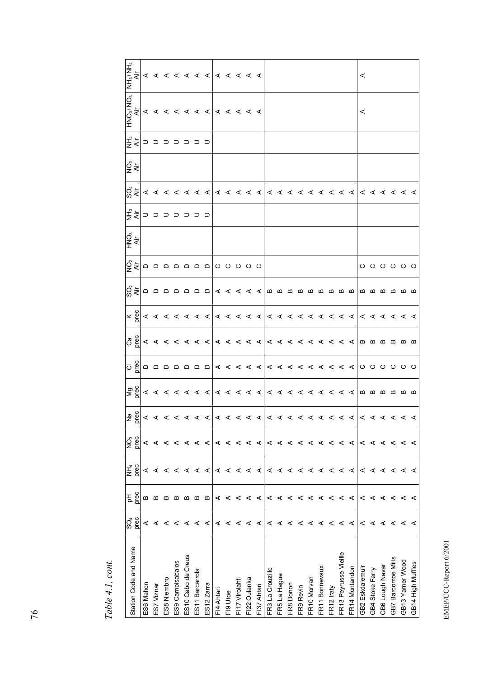| Station Code and Name  | င္တိ | 공    | ギミ   | g    |                                               |                                                                                                                                                                                         |               |                                                                                                                                                                                                                                                                                                                                                                                                    |                                                                                                                                                                                                                                                                                                                      |                                            | ਨੂੰ ਵੀ<br>ਨੂੰ |                                |                                                                                                                                                                                                                                                                                                                     | Q<br>Air | $\frac{\mathsf{HNO_3\text{+NO_3}}}{\mathsf{Air}}$ |   |
|------------------------|------|------|------|------|-----------------------------------------------|-----------------------------------------------------------------------------------------------------------------------------------------------------------------------------------------|---------------|----------------------------------------------------------------------------------------------------------------------------------------------------------------------------------------------------------------------------------------------------------------------------------------------------------------------------------------------------------------------------------------------------|----------------------------------------------------------------------------------------------------------------------------------------------------------------------------------------------------------------------------------------------------------------------------------------------------------------------|--------------------------------------------|---------------|--------------------------------|---------------------------------------------------------------------------------------------------------------------------------------------------------------------------------------------------------------------------------------------------------------------------------------------------------------------|----------|---------------------------------------------------|---|
|                        | prec | prec | prec | prec |                                               |                                                                                                                                                                                         |               |                                                                                                                                                                                                                                                                                                                                                                                                    |                                                                                                                                                                                                                                                                                                                      |                                            |               |                                |                                                                                                                                                                                                                                                                                                                     |          |                                                   |   |
| ES6 Mahon              | ⋖    | മ    | ⋖    | ⋖    |                                               |                                                                                                                                                                                         |               |                                                                                                                                                                                                                                                                                                                                                                                                    |                                                                                                                                                                                                                                                                                                                      |                                            |               |                                |                                                                                                                                                                                                                                                                                                                     |          |                                                   |   |
| ES7 Viznar             | ⋖    | ≃    | ⋖    | ⋖    |                                               |                                                                                                                                                                                         |               |                                                                                                                                                                                                                                                                                                                                                                                                    |                                                                                                                                                                                                                                                                                                                      |                                            |               |                                |                                                                                                                                                                                                                                                                                                                     |          |                                                   |   |
| ES8 Niembro            | ⋖    | ≃    |      |      |                                               |                                                                                                                                                                                         |               |                                                                                                                                                                                                                                                                                                                                                                                                    |                                                                                                                                                                                                                                                                                                                      |                                            |               |                                |                                                                                                                                                                                                                                                                                                                     |          |                                                   |   |
| ES9 Campisabalos       | ⋖    | ≃    | ⋖    | ⋖    |                                               |                                                                                                                                                                                         |               |                                                                                                                                                                                                                                                                                                                                                                                                    |                                                                                                                                                                                                                                                                                                                      |                                            |               |                                |                                                                                                                                                                                                                                                                                                                     |          |                                                   |   |
| ES10 Cabo de Creus     | ⋖    | മ    | ⋖    | ⋖    | $Z$ $\leq$ $\leq$ $\leq$ $\leq$ $\leq$ $\leq$ |                                                                                                                                                                                         |               |                                                                                                                                                                                                                                                                                                                                                                                                    |                                                                                                                                                                                                                                                                                                                      |                                            |               | د د د د د د د <mark>ځ</mark> څ |                                                                                                                                                                                                                                                                                                                     |          |                                                   |   |
| ES11 Barcarrola        | ⋖    | ≃    | ⋖    | ⋖    |                                               |                                                                                                                                                                                         |               |                                                                                                                                                                                                                                                                                                                                                                                                    |                                                                                                                                                                                                                                                                                                                      |                                            |               |                                |                                                                                                                                                                                                                                                                                                                     |          |                                                   |   |
| ES12 Zarra             | ⋖    | ≃    | ⋖    | ⋖    | ⋖                                             | $\sum_{i=1}^{\infty}$ $\left  \alpha \leq \alpha \leq \alpha \leq \alpha \right $ $\left  \alpha \leq \alpha \leq \alpha \leq \alpha \leq \alpha \leq \alpha \leq \alpha \right $ a a a | $\boxed{0.8}$ | $\mathbf{X}_{\mathbf{S}}$ $\mathbf{S}_{\mathbf{S}}$ $\mathbf{S}_{\mathbf{S}}$ $\mathbf{S}_{\mathbf{S}}$ $\mathbf{S}_{\mathbf{S}}$ $\mathbf{S}_{\mathbf{S}}$ $\mathbf{S}_{\mathbf{S}}$ $\mathbf{S}_{\mathbf{S}}$ $\mathbf{S}_{\mathbf{S}}$ $\mathbf{S}_{\mathbf{S}}$ $\mathbf{S}_{\mathbf{S}}$ $\mathbf{S}_{\mathbf{S}}$ $\mathbf{S}_{\mathbf{S}}$ $\mathbf{S}_{\mathbf{S}}$ $\mathbf{S}_{\mathbf{$ | $\frac{1}{2}$ $\frac{1}{2}$ o o o o o o o o $\frac{1}{2}$ $\frac{1}{2}$ $\frac{1}{2}$ $\frac{1}{2}$ $\frac{1}{2}$ $\frac{1}{2}$ $\frac{1}{2}$ $\frac{1}{2}$ $\frac{1}{2}$ $\frac{1}{2}$ $\frac{1}{2}$ $\frac{1}{2}$ $\frac{1}{2}$ $\frac{1}{2}$ $\frac{1}{2}$ $\frac{1}{2}$ $\frac{1}{2}$ $\frac{1}{2}$ $\frac{1}{2$ | $2\frac{3}{5}$   a a a a a a a   u u u u u |               |                                | $\frac{1}{2}$ $\frac{1}{2}$ $\frac{1}{2}$ $\frac{1}{2}$ $\frac{1}{2}$ $\frac{1}{2}$ $\frac{1}{2}$ $\frac{1}{2}$ $\frac{1}{2}$ $\frac{1}{2}$ $\frac{1}{2}$ $\frac{1}{2}$ $\frac{1}{2}$ $\frac{1}{2}$ $\frac{1}{2}$ $\frac{1}{2}$ $\frac{1}{2}$ $\frac{1}{2}$ $\frac{1}{2}$ $\frac{1}{2}$ $\frac{1}{2}$ $\frac{1}{2}$ |          | a a a a a a a a a a a a                           |   |
| FI4 Ahtari             | ⋖    | ⋖    | ⋖    | ⋖    | ⋖                                             |                                                                                                                                                                                         |               |                                                                                                                                                                                                                                                                                                                                                                                                    |                                                                                                                                                                                                                                                                                                                      |                                            |               |                                |                                                                                                                                                                                                                                                                                                                     |          |                                                   |   |
| Fig Utoe               | ⋖    | ⋖    | ⋖    | ⋖    |                                               |                                                                                                                                                                                         |               |                                                                                                                                                                                                                                                                                                                                                                                                    |                                                                                                                                                                                                                                                                                                                      |                                            |               |                                |                                                                                                                                                                                                                                                                                                                     |          |                                                   |   |
| F117 Virolahti         | ⋖    | ⋖    | ⋖    | ⋖    |                                               |                                                                                                                                                                                         |               |                                                                                                                                                                                                                                                                                                                                                                                                    |                                                                                                                                                                                                                                                                                                                      |                                            |               |                                |                                                                                                                                                                                                                                                                                                                     |          |                                                   |   |
| FI22 Oulanka           | ⋖    | ⋖    | ⋖    | ⋖    |                                               |                                                                                                                                                                                         |               |                                                                                                                                                                                                                                                                                                                                                                                                    |                                                                                                                                                                                                                                                                                                                      |                                            |               |                                |                                                                                                                                                                                                                                                                                                                     |          |                                                   |   |
| FI37 Ahtari            | ⋖    | ⋖    | ⋖    | ⋖    |                                               |                                                                                                                                                                                         |               |                                                                                                                                                                                                                                                                                                                                                                                                    |                                                                                                                                                                                                                                                                                                                      |                                            |               |                                |                                                                                                                                                                                                                                                                                                                     |          |                                                   |   |
| FR3 La Crouzille       | ⋖    | ⋖    | ⋖    | ⋖    |                                               |                                                                                                                                                                                         |               |                                                                                                                                                                                                                                                                                                                                                                                                    |                                                                                                                                                                                                                                                                                                                      |                                            |               |                                |                                                                                                                                                                                                                                                                                                                     |          |                                                   |   |
| FR5 La Hague           | ⋖    | ⋖    | ⋖    | ⋖    | 4 4 4 4 4 4 4                                 |                                                                                                                                                                                         |               |                                                                                                                                                                                                                                                                                                                                                                                                    |                                                                                                                                                                                                                                                                                                                      |                                            |               |                                |                                                                                                                                                                                                                                                                                                                     |          |                                                   |   |
| FR8 Donon              | ⋖    | ⋖    | ⋖    | ⋖    |                                               |                                                                                                                                                                                         |               |                                                                                                                                                                                                                                                                                                                                                                                                    |                                                                                                                                                                                                                                                                                                                      |                                            |               |                                |                                                                                                                                                                                                                                                                                                                     |          |                                                   |   |
| FR <sub>9</sub> Revin  | ⋖    | ⋖    | ⋖    | ⋖    | ⋖                                             |                                                                                                                                                                                         |               |                                                                                                                                                                                                                                                                                                                                                                                                    |                                                                                                                                                                                                                                                                                                                      |                                            |               |                                |                                                                                                                                                                                                                                                                                                                     |          |                                                   |   |
| FR10 Morvan            | ⋖    | ⋖    | ⋖    | ⋖    | ⋖                                             |                                                                                                                                                                                         |               |                                                                                                                                                                                                                                                                                                                                                                                                    |                                                                                                                                                                                                                                                                                                                      |                                            |               |                                |                                                                                                                                                                                                                                                                                                                     |          |                                                   |   |
| FR11 Bonnevaux         | ⋖    | ⋖    | ⋖    | ⋖    |                                               |                                                                                                                                                                                         |               |                                                                                                                                                                                                                                                                                                                                                                                                    |                                                                                                                                                                                                                                                                                                                      |                                            |               |                                |                                                                                                                                                                                                                                                                                                                     |          |                                                   |   |
| FR <sub>12</sub> Iraty | ⋖    | ⋖    | ⋖    | ⋖    | ⋖                                             |                                                                                                                                                                                         |               |                                                                                                                                                                                                                                                                                                                                                                                                    | മമ                                                                                                                                                                                                                                                                                                                   |                                            |               |                                |                                                                                                                                                                                                                                                                                                                     |          |                                                   |   |
| FR13 Peyrusse Vieille  | ⋖    | ⋖    | ⋖    | ⋖    |                                               |                                                                                                                                                                                         |               |                                                                                                                                                                                                                                                                                                                                                                                                    |                                                                                                                                                                                                                                                                                                                      |                                            |               |                                |                                                                                                                                                                                                                                                                                                                     |          |                                                   |   |
| FR14 Montandon         | ⋖    | ⋖    | ⋖    | ⋖    | ∢ ∢                                           |                                                                                                                                                                                         |               |                                                                                                                                                                                                                                                                                                                                                                                                    | $\mathbf{m}$                                                                                                                                                                                                                                                                                                         |                                            |               |                                |                                                                                                                                                                                                                                                                                                                     |          |                                                   |   |
| GB2 Eskdalemui         | ⋖    | ⋖    | ⋖    | ⋖    | ⋖                                             |                                                                                                                                                                                         |               |                                                                                                                                                                                                                                                                                                                                                                                                    |                                                                                                                                                                                                                                                                                                                      |                                            |               |                                |                                                                                                                                                                                                                                                                                                                     |          | ⋖                                                 | ⋖ |
| GB4 Stoke Ferry        | ⋖    | ⋖    | ⋖    | ⋖    | ⋖                                             |                                                                                                                                                                                         |               |                                                                                                                                                                                                                                                                                                                                                                                                    | $m$ $m$ $m$                                                                                                                                                                                                                                                                                                          |                                            |               |                                |                                                                                                                                                                                                                                                                                                                     |          |                                                   |   |
| GB6 Lough Navar        | ⋖    | ⋖    | ⋖    | ⋖    |                                               |                                                                                                                                                                                         |               |                                                                                                                                                                                                                                                                                                                                                                                                    |                                                                                                                                                                                                                                                                                                                      |                                            |               |                                |                                                                                                                                                                                                                                                                                                                     |          |                                                   |   |
| GB7 Barcombe Mills     | ⋖    | ⋖    | ⋖    | ⋖    |                                               | മമ                                                                                                                                                                                      |               |                                                                                                                                                                                                                                                                                                                                                                                                    | മമ                                                                                                                                                                                                                                                                                                                   |                                            |               |                                |                                                                                                                                                                                                                                                                                                                     |          |                                                   |   |
| GB13 Yarner Wood       | ⋖    | ⋖    | ⋖    | ⋖    |                                               |                                                                                                                                                                                         |               |                                                                                                                                                                                                                                                                                                                                                                                                    |                                                                                                                                                                                                                                                                                                                      | 000000                                     |               |                                |                                                                                                                                                                                                                                                                                                                     |          |                                                   |   |
| GB14 High Muffles      |      |      | ⋖    | ⋖    | $\alpha$ $\alpha$ $\alpha$ $\alpha$           | $\mathbf{m}$                                                                                                                                                                            |               |                                                                                                                                                                                                                                                                                                                                                                                                    | മ                                                                                                                                                                                                                                                                                                                    |                                            |               |                                |                                                                                                                                                                                                                                                                                                                     |          |                                                   |   |

Table 4.1, cont. *Table 4.1, cont.* 

EMEP/CCC-Report 6/2001 EMEP/CCC-Report 6/2001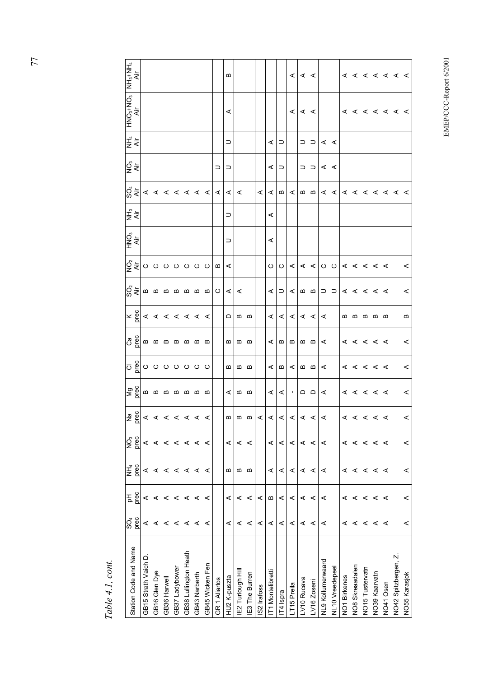|                          | prec<br>င္တီ | pec<br>A | NH <sub>4</sub><br>Dec | os<br>Des | $\frac{1}{2}$ $\frac{1}{2}$ $\frac{1}{2}$ $\frac{1}{2}$ $\frac{1}{2}$ $\frac{1}{2}$ | Mg<br>prec        | ဝာ <sup>မ္မို</sup> ပြ ပ ပ ပ ပ ပ ပ |                                   | $x \frac{60}{6}$ $4 4 4 4 4 4 4$ | $\stackrel{\sim}{\cal S}$ $\stackrel{\scriptscriptstyle \sim}{\scriptscriptstyle \sim}$ ( $\stackrel{\scriptscriptstyle \sim}{\scriptscriptstyle \sim}$ ) $\stackrel{\scriptscriptstyle \sim}{\scriptscriptstyle \sim}$ ( $\stackrel{\scriptscriptstyle \sim}{\scriptscriptstyle \sim}$ ) $\stackrel{\scriptscriptstyle \sim}{\scriptscriptstyle \sim}$ ( $\stackrel{\scriptscriptstyle \sim}{\scriptscriptstyle \sim}$ ) $\stackrel{\scriptscriptstyle \sim}{\scriptscriptstyle \sim}$ ) $\stackrel{\scriptscriptstyle \sim}{\scriptscriptstyle \sim}$ | $\frac{1}{2}$ و ځایو $\sim$ ه ده ده ده ده ا | oຶ<br>≩ ≑ | ਦੂੰ ਵੱ | $\int_{\alpha}^{\alpha} \frac{1}{4} < 4 < 4 < 4 < 4$ | g็ ่≂ั        | エ<br>ミミ     | HZ+%H3−<br>Air<br>Air |                 |
|--------------------------|--------------|----------|------------------------|-----------|-------------------------------------------------------------------------------------|-------------------|------------------------------------|-----------------------------------|----------------------------------|---------------------------------------------------------------------------------------------------------------------------------------------------------------------------------------------------------------------------------------------------------------------------------------------------------------------------------------------------------------------------------------------------------------------------------------------------------------------------------------------------------------------------------------------------------|---------------------------------------------|-----------|--------|------------------------------------------------------|---------------|-------------|-----------------------|-----------------|
| GB15 Strath Vaich D      | ⋖            | ⋖        | ⋖                      | ⋖         |                                                                                     |                   |                                    |                                   |                                  |                                                                                                                                                                                                                                                                                                                                                                                                                                                                                                                                                         |                                             |           |        |                                                      |               |             |                       |                 |
| GB16 Glen Dye            | ⋖            | ⋖        | ⋖                      | ⋖         |                                                                                     | <b>@@@@@@</b>     |                                    |                                   |                                  |                                                                                                                                                                                                                                                                                                                                                                                                                                                                                                                                                         |                                             |           |        |                                                      |               |             |                       |                 |
| GB36 Harwell             | ⋖            | ⋖        | ⋖                      | ⋖         |                                                                                     |                   |                                    |                                   |                                  |                                                                                                                                                                                                                                                                                                                                                                                                                                                                                                                                                         |                                             |           |        |                                                      |               |             |                       |                 |
| GB37 Ladybower           | ⋖            | ⋖        | ⋖                      | ⋖         |                                                                                     |                   |                                    |                                   |                                  |                                                                                                                                                                                                                                                                                                                                                                                                                                                                                                                                                         |                                             |           |        |                                                      |               |             |                       |                 |
| GB38 Lullington Heath    | ⋖            | $\prec$  | ⋖                      | ⋖         |                                                                                     |                   |                                    |                                   |                                  |                                                                                                                                                                                                                                                                                                                                                                                                                                                                                                                                                         |                                             |           |        |                                                      |               |             |                       |                 |
| GB43 Narberth            | ⋖            | ⋖        | ⋖                      | ⋖         |                                                                                     |                   |                                    |                                   |                                  |                                                                                                                                                                                                                                                                                                                                                                                                                                                                                                                                                         |                                             |           |        |                                                      |               |             |                       |                 |
| GB45 Wicken Fen          | ⋖            |          | ⋖                      | ⋖         |                                                                                     |                   |                                    |                                   |                                  |                                                                                                                                                                                                                                                                                                                                                                                                                                                                                                                                                         |                                             |           |        |                                                      |               |             |                       |                 |
| <b>GR1Aliartos</b>       |              |          |                        |           |                                                                                     |                   |                                    |                                   |                                  | $\circ$                                                                                                                                                                                                                                                                                                                                                                                                                                                                                                                                                 | $\Box$                                      |           |        |                                                      | ⊃             |             |                       |                 |
| <b>HU2 K-puszta</b>      | ⋖            | ⋖        | ≃                      | ⋖         |                                                                                     | ⋖                 | ≃                                  | ≃                                 | ≏                                | ⋖                                                                                                                                                                                                                                                                                                                                                                                                                                                                                                                                                       | $\prec$                                     | ⊃         | ⊃      | $\prec$                                              | $\supset$     | ⊃           | ⋖                     | B               |
| E2 Turlough Hill         | ⋖            | ⋖        | Б                      | ⋖         | $\omega$ $\omega$ $\omega$                                                          | മമ                | മ മ                                | മ മ                               | മമ                               | ⋖                                                                                                                                                                                                                                                                                                                                                                                                                                                                                                                                                       |                                             |           |        | ⋖                                                    |               |             |                       |                 |
| E3 The Burren            | ⋖            | ⋖        | ≃                      | ⋖         |                                                                                     |                   |                                    |                                   |                                  |                                                                                                                                                                                                                                                                                                                                                                                                                                                                                                                                                         |                                             |           |        |                                                      |               |             |                       |                 |
| S2 Irafoss               | ⋖            | ⋖        |                        |           | $\prec$                                                                             |                   |                                    |                                   |                                  |                                                                                                                                                                                                                                                                                                                                                                                                                                                                                                                                                         |                                             |           |        | ⋖                                                    |               |             |                       |                 |
| 1 Montelibrett           | ⋖            | Б        | ⋖                      | ⋖         |                                                                                     | ⋖                 | ⋖                                  | ⋖                                 | ⋖                                | ⋖                                                                                                                                                                                                                                                                                                                                                                                                                                                                                                                                                       | O                                           | ⋖         | ⋖      | $\prec$                                              | ⋖             | ⋖           |                       |                 |
| F4 Ispra                 | ⋖            | ⋖        | ⋖                      | ⋖         |                                                                                     | ⋖                 | $\boldsymbol{\underline{\omega}}$  | $\boldsymbol{\underline{\omega}}$ | ⋖                                | $\supset$                                                                                                                                                                                                                                                                                                                                                                                                                                                                                                                                               | $\circ$                                     |           |        | $\boldsymbol{\underline{\omega}}$                    | $\supset$     | $\supset$   |                       |                 |
| T15 Preila               | ⋖            | ⋖        | ⋖                      | ⋖         | $\leq$ $\leq$ $\leq$                                                                | $\blacksquare$    | ⋖                                  | ≃                                 | ⋖                                | ⋖                                                                                                                                                                                                                                                                                                                                                                                                                                                                                                                                                       | ⋖                                           |           |        | ⋖                                                    |               |             | ⋖                     | ⋖               |
| V10 Rucava               | $\prec$      | ⋖        | ⋖                      | ⋖         |                                                                                     | $\Omega$ $\Omega$ | മമ                                 | മമ                                |                                  | മമ                                                                                                                                                                                                                                                                                                                                                                                                                                                                                                                                                      |                                             |           |        | മമ                                                   | $\supset$     | $\supset$   | $\lt$ $\lt$           | $\lt$ $\lt$     |
| V <sub>16</sub> Zoseni   | ⋖            | ⋖        | ⋖                      | ⋖         | $\leq$ $\leq$                                                                       |                   |                                    |                                   | ∢ ∢                              |                                                                                                                                                                                                                                                                                                                                                                                                                                                                                                                                                         |                                             |           |        |                                                      | $\supset$     | $\supset$   |                       |                 |
| <b>VL9 Kollumerwaard</b> | ⋖            | ⋖        | ⋖                      | ⋖         | $\prec$                                                                             | ⋖                 | ⋖                                  | ⋖                                 | ⋖                                |                                                                                                                                                                                                                                                                                                                                                                                                                                                                                                                                                         |                                             |           |        |                                                      | $\leq$ $\leq$ | $\lt$ $\lt$ |                       |                 |
| <b>NL10</b> Vreedepeel   |              |          |                        |           |                                                                                     |                   |                                    |                                   |                                  | ⊃ ⊃                                                                                                                                                                                                                                                                                                                                                                                                                                                                                                                                                     |                                             |           |        | < < < < < < < < < <                                  |               |             |                       |                 |
| <b>VO1 Birkenes</b>      | ⋖            | ⋖        | ⋖                      | ⋖         |                                                                                     |                   |                                    |                                   |                                  | $\mathbf{A} \mathbf{A} \mathbf{B} \mathbf{A} \mathbf{C} \mathbf{A}$                                                                                                                                                                                                                                                                                                                                                                                                                                                                                     |                                             |           |        |                                                      |               |             |                       |                 |
| <b>VO8 Skreaadalen</b>   | ⋖            | ⋖        | ⋖                      | ⋖         | ∢ ∢ ∢ ∢ ∢                                                                           | 0 < 0 < 0         | 0 < 0 < 0                          | 0 < 0 < 0                         | മമമമമ                            |                                                                                                                                                                                                                                                                                                                                                                                                                                                                                                                                                         |                                             |           |        |                                                      |               |             |                       |                 |
| <b>NO15 Tustervatn</b>   |              | ∢ ∢      | ⋖                      | ⋖         |                                                                                     |                   |                                    |                                   |                                  |                                                                                                                                                                                                                                                                                                                                                                                                                                                                                                                                                         |                                             |           |        |                                                      |               |             |                       |                 |
| VO39 Kaarvatn            | ∢ ∢          |          | ⋖                      | ≺         |                                                                                     |                   |                                    |                                   |                                  |                                                                                                                                                                                                                                                                                                                                                                                                                                                                                                                                                         |                                             |           |        |                                                      |               |             |                       |                 |
| VO41 Osen                | ⋖            | $\prec$  | ⋖                      | ⋖         |                                                                                     |                   |                                    |                                   |                                  |                                                                                                                                                                                                                                                                                                                                                                                                                                                                                                                                                         |                                             |           |        |                                                      |               |             |                       |                 |
| VO42 Spitzbergen, Z.     |              |          |                        |           |                                                                                     |                   |                                    |                                   |                                  |                                                                                                                                                                                                                                                                                                                                                                                                                                                                                                                                                         |                                             |           |        |                                                      |               |             | <b>AAAAAAA</b>        | $4 4 4 4 4 4 4$ |
| <b>VO55 Karasjok</b>     | ⋖            | ⋖        | ⋖                      | ⋖         | $\prec$                                                                             | ⋖                 | ⋖                                  | ⋖                                 | ≃                                | ⋖                                                                                                                                                                                                                                                                                                                                                                                                                                                                                                                                                       | ⋖                                           |           |        |                                                      |               |             |                       |                 |

Table 4.1, cont. *Table 4.1, cont.* 

EMEP/CCC-Report 6/2001 EMEP/CCC-Report 6/2001

77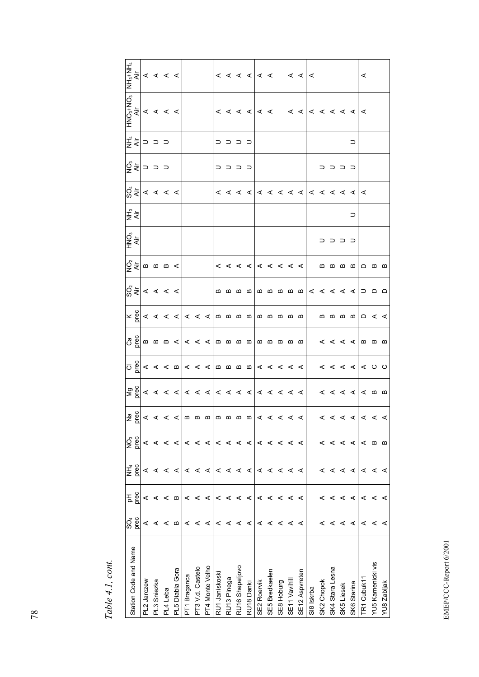| Station Code and Name | prec<br>SO <sub>4</sub> | prec<br>공 | prec<br>子<br>三 | prec<br>Q, | $\boxed{\frac{566}{266}} \leq \frac{1}{26} \leq \frac{1}{26} \leq \frac{1}{26} \leq \frac{1}{26} \leq \frac{1}{26} \leq \frac{1}{26} \leq \frac{1}{26} \leq \frac{1}{26} \leq \frac{1}{26} \leq \frac{1}{26} \leq \frac{1}{26} \leq \frac{1}{26} \leq \frac{1}{26} \leq \frac{1}{26} \leq \frac{1}{26} \leq \frac{1}{26} \leq \frac{1}{26} \leq \frac{1}{26} \leq \frac{1}{2$ | $\left  \frac{d}{d\theta} \right $ $\leq d$ $\leq d$ $\left  d \leq d \right $ $\leq d$ $\leq d$ $\leq d$ | $\overline{O}$ $\overline{g}$ $\propto$ $\propto$ $\alpha$ $\alpha$ $\propto$ $\propto$ $\alpha$ $\alpha$ $\alpha$ $\sim$ $\alpha$ $\sim$ $\alpha$ $\sim$ $\alpha$ $\sim$ $\alpha$ $\sim$ $\alpha$ $\sim$ $\alpha$ $\sim$ $\alpha$ $\sim$ $\alpha$ $\sim$ $\alpha$ $\sim$ $\alpha$ $\sim$ $\alpha$ $\sim$ $\alpha$ $\sim$ $\alpha$ $\sim$ $\alpha$ $\sim$ $\alpha$ $\sim$ | $\boxed{38}$ $\boxed{29}$ $\boxed{44}$ $\boxed{44}$ $\boxed{0}$ $\boxed{0}$ $\boxed{0}$ $\boxed{0}$ $\boxed{0}$ $\boxed{0}$ $\boxed{0}$ $\boxed{0}$ $\boxed{0}$ $\boxed{0}$ $\boxed{0}$ $\boxed{0}$ $\boxed{0}$ $\boxed{0}$ $\boxed{0}$ $\boxed{0}$ $\boxed{0}$ $\boxed{0}$ $\boxed{0}$ $\boxed{0}$ $\boxed{0}$ $\boxed{0}$ $\boxed{0}$ | $\times \frac{1}{6}$ $\times$ $\times$ $\times$ $\times$ $\times$ $\times$ | $ S \overline{S} $ < < < <                                                                                                                                                                                                                                                                                                                                                                                                                                                              | ु≃⊂ाँ एक खाद          | HNO <sub>3</sub><br>Air | NH <sub>3</sub><br>Äir | $\left \bigcirc_{\alpha}^{0}\xi\right $ $\leq$ $\leq$ $\leq$ $\leq$ |                | ਤੂੱ ਙ੍ਰ  ⊃ ⊃ ⊃ | $\begin{array}{c}\n\mathsf{HNO}_{3} + \mathsf{NO}_{3} \\ \mathsf{Air} \\ \mathsf{A}\n\end{array}$                                                                                                                                                                                                                                                                                                                                                                                                             | $\begin{array}{c c c c} \hline \text{NHE} & & & \text{if} & \text{if} & \text{if} & \text{if} & \text{if} & \text{if} & \text{if} & \text{if} & \text{if} & \text{if} & \text{if} & \text{if} & \text{if} & \text{if} & \text{if} & \text{if} & \text{if} & \text{if} & \text{if} & \text{if} & \text{if} & \text{if} & \text{if} & \text{if} & \text{if} & \text{if} & \text{if} & \text{if} & \text{if} & \text{if} & \text{if} & \text{if} & \text{$ |
|-----------------------|-------------------------|-----------|----------------|------------|-------------------------------------------------------------------------------------------------------------------------------------------------------------------------------------------------------------------------------------------------------------------------------------------------------------------------------------------------------------------------------|-----------------------------------------------------------------------------------------------------------|---------------------------------------------------------------------------------------------------------------------------------------------------------------------------------------------------------------------------------------------------------------------------------------------------------------------------------------------------------------------------|-----------------------------------------------------------------------------------------------------------------------------------------------------------------------------------------------------------------------------------------------------------------------------------------------------------------------------------------|----------------------------------------------------------------------------|-----------------------------------------------------------------------------------------------------------------------------------------------------------------------------------------------------------------------------------------------------------------------------------------------------------------------------------------------------------------------------------------------------------------------------------------------------------------------------------------|-----------------------|-------------------------|------------------------|---------------------------------------------------------------------|----------------|----------------|---------------------------------------------------------------------------------------------------------------------------------------------------------------------------------------------------------------------------------------------------------------------------------------------------------------------------------------------------------------------------------------------------------------------------------------------------------------------------------------------------------------|---------------------------------------------------------------------------------------------------------------------------------------------------------------------------------------------------------------------------------------------------------------------------------------------------------------------------------------------------------------------------------------------------------------------------------------------------------|
| PL2 Jarczew           | ⋖                       | ⋖         | ⋖              | ⋖          |                                                                                                                                                                                                                                                                                                                                                                               |                                                                                                           |                                                                                                                                                                                                                                                                                                                                                                           |                                                                                                                                                                                                                                                                                                                                         |                                                                            |                                                                                                                                                                                                                                                                                                                                                                                                                                                                                         |                       |                         |                        |                                                                     |                |                |                                                                                                                                                                                                                                                                                                                                                                                                                                                                                                               |                                                                                                                                                                                                                                                                                                                                                                                                                                                         |
| PL3 Sniezka           | ⋖                       | ⋖         | ⋖              | ⋖          |                                                                                                                                                                                                                                                                                                                                                                               |                                                                                                           |                                                                                                                                                                                                                                                                                                                                                                           |                                                                                                                                                                                                                                                                                                                                         |                                                                            |                                                                                                                                                                                                                                                                                                                                                                                                                                                                                         |                       |                         |                        |                                                                     |                |                |                                                                                                                                                                                                                                                                                                                                                                                                                                                                                                               |                                                                                                                                                                                                                                                                                                                                                                                                                                                         |
| PL4 Leba              | ⋖                       | ⋖         | ⋖              | ⋖          |                                                                                                                                                                                                                                                                                                                                                                               |                                                                                                           |                                                                                                                                                                                                                                                                                                                                                                           |                                                                                                                                                                                                                                                                                                                                         |                                                                            |                                                                                                                                                                                                                                                                                                                                                                                                                                                                                         |                       |                         |                        |                                                                     |                |                |                                                                                                                                                                                                                                                                                                                                                                                                                                                                                                               |                                                                                                                                                                                                                                                                                                                                                                                                                                                         |
| PL5 Diabla Gora       | m                       | m         | ⋖              | ⋖          |                                                                                                                                                                                                                                                                                                                                                                               |                                                                                                           |                                                                                                                                                                                                                                                                                                                                                                           |                                                                                                                                                                                                                                                                                                                                         |                                                                            |                                                                                                                                                                                                                                                                                                                                                                                                                                                                                         |                       |                         |                        |                                                                     |                |                |                                                                                                                                                                                                                                                                                                                                                                                                                                                                                                               |                                                                                                                                                                                                                                                                                                                                                                                                                                                         |
| PT1 Braganca          | ⋖                       | ⋖         | ⋖              | ⋖          |                                                                                                                                                                                                                                                                                                                                                                               |                                                                                                           |                                                                                                                                                                                                                                                                                                                                                                           |                                                                                                                                                                                                                                                                                                                                         |                                                                            |                                                                                                                                                                                                                                                                                                                                                                                                                                                                                         |                       |                         |                        |                                                                     |                |                |                                                                                                                                                                                                                                                                                                                                                                                                                                                                                                               |                                                                                                                                                                                                                                                                                                                                                                                                                                                         |
| PT3 V.d. Castelo      | ⋖                       | ⋖         | ⋖              | ⋖          |                                                                                                                                                                                                                                                                                                                                                                               |                                                                                                           |                                                                                                                                                                                                                                                                                                                                                                           |                                                                                                                                                                                                                                                                                                                                         |                                                                            |                                                                                                                                                                                                                                                                                                                                                                                                                                                                                         |                       |                         |                        |                                                                     |                |                |                                                                                                                                                                                                                                                                                                                                                                                                                                                                                                               |                                                                                                                                                                                                                                                                                                                                                                                                                                                         |
| PT4 Monte Velho       | ⋖                       | ⋖         | ⋖              | ⋖          |                                                                                                                                                                                                                                                                                                                                                                               |                                                                                                           |                                                                                                                                                                                                                                                                                                                                                                           |                                                                                                                                                                                                                                                                                                                                         |                                                                            |                                                                                                                                                                                                                                                                                                                                                                                                                                                                                         |                       |                         |                        |                                                                     |                |                |                                                                                                                                                                                                                                                                                                                                                                                                                                                                                                               |                                                                                                                                                                                                                                                                                                                                                                                                                                                         |
| RU1 Janiskoski        | ⋖                       | ⋖         | ⋖              | ⋖          |                                                                                                                                                                                                                                                                                                                                                                               |                                                                                                           |                                                                                                                                                                                                                                                                                                                                                                           |                                                                                                                                                                                                                                                                                                                                         |                                                                            | $\begin{array}{ccccccccccccccccc} \multicolumn{4}{c}{} & \multicolumn{4}{c}{} & \multicolumn{4}{c}{} & \multicolumn{4}{c}{} & \multicolumn{4}{c}{} & \multicolumn{4}{c}{} & \multicolumn{4}{c}{} & \multicolumn{4}{c}{} & \multicolumn{4}{c}{} & \multicolumn{4}{c}{} & \multicolumn{4}{c}{} & \multicolumn{4}{c}{} & \multicolumn{4}{c}{} & \multicolumn{4}{c}{} & \multicolumn{4}{c}{} & \multicolumn{4}{c}{} & \multicolumn{4}{c}{} & \multicolumn{4}{c}{} & \multicolumn{4}{c}{} &$ | 4 < 4 < 1   4 < 4 < 4 |                         |                        |                                                                     |                |                |                                                                                                                                                                                                                                                                                                                                                                                                                                                                                                               |                                                                                                                                                                                                                                                                                                                                                                                                                                                         |
| RU13 Pinega           | ⋖                       | ⋖         | ⋖              | ⋖          |                                                                                                                                                                                                                                                                                                                                                                               |                                                                                                           |                                                                                                                                                                                                                                                                                                                                                                           |                                                                                                                                                                                                                                                                                                                                         |                                                                            |                                                                                                                                                                                                                                                                                                                                                                                                                                                                                         |                       |                         |                        |                                                                     |                |                |                                                                                                                                                                                                                                                                                                                                                                                                                                                                                                               |                                                                                                                                                                                                                                                                                                                                                                                                                                                         |
| RU16 Shepeljovo       | ⋖                       | ⋖         | ⋖              | ⋖          |                                                                                                                                                                                                                                                                                                                                                                               |                                                                                                           |                                                                                                                                                                                                                                                                                                                                                                           |                                                                                                                                                                                                                                                                                                                                         |                                                                            |                                                                                                                                                                                                                                                                                                                                                                                                                                                                                         |                       |                         |                        |                                                                     | <b>⊂ ⊂ ⊂</b> ⊂ | <b>⊂ ⊂ ⊂</b> ⊂ |                                                                                                                                                                                                                                                                                                                                                                                                                                                                                                               |                                                                                                                                                                                                                                                                                                                                                                                                                                                         |
| RU18 Danki            | ⋖                       | ⋖         | ⋖              | ⋖          |                                                                                                                                                                                                                                                                                                                                                                               |                                                                                                           |                                                                                                                                                                                                                                                                                                                                                                           |                                                                                                                                                                                                                                                                                                                                         | $\omega$ $\omega$ $\omega$ $\omega$                                        |                                                                                                                                                                                                                                                                                                                                                                                                                                                                                         |                       |                         |                        |                                                                     |                |                |                                                                                                                                                                                                                                                                                                                                                                                                                                                                                                               |                                                                                                                                                                                                                                                                                                                                                                                                                                                         |
| SE2 Roervik           | ⋖                       | ⋖         | ⋖              | ⋖          |                                                                                                                                                                                                                                                                                                                                                                               |                                                                                                           |                                                                                                                                                                                                                                                                                                                                                                           |                                                                                                                                                                                                                                                                                                                                         | മമ                                                                         |                                                                                                                                                                                                                                                                                                                                                                                                                                                                                         |                       |                         |                        |                                                                     |                |                |                                                                                                                                                                                                                                                                                                                                                                                                                                                                                                               | 4 4 4 4 4 4                                                                                                                                                                                                                                                                                                                                                                                                                                             |
| SE5 Bredkaelen        | ⋖                       | ⋖         | ⋖              | ⋖          |                                                                                                                                                                                                                                                                                                                                                                               |                                                                                                           |                                                                                                                                                                                                                                                                                                                                                                           |                                                                                                                                                                                                                                                                                                                                         |                                                                            |                                                                                                                                                                                                                                                                                                                                                                                                                                                                                         |                       |                         |                        |                                                                     |                |                |                                                                                                                                                                                                                                                                                                                                                                                                                                                                                                               |                                                                                                                                                                                                                                                                                                                                                                                                                                                         |
| SE8 Hoburg            | ⋖                       | ⋖         | ⋖              | ⋖          |                                                                                                                                                                                                                                                                                                                                                                               |                                                                                                           |                                                                                                                                                                                                                                                                                                                                                                           |                                                                                                                                                                                                                                                                                                                                         | മ                                                                          |                                                                                                                                                                                                                                                                                                                                                                                                                                                                                         |                       |                         |                        |                                                                     |                |                |                                                                                                                                                                                                                                                                                                                                                                                                                                                                                                               |                                                                                                                                                                                                                                                                                                                                                                                                                                                         |
| SE11 Vavihil          | ⋖                       | ⋖         | ⋖              | ⋖          |                                                                                                                                                                                                                                                                                                                                                                               |                                                                                                           |                                                                                                                                                                                                                                                                                                                                                                           |                                                                                                                                                                                                                                                                                                                                         | മ മ                                                                        |                                                                                                                                                                                                                                                                                                                                                                                                                                                                                         |                       |                         |                        |                                                                     |                |                |                                                                                                                                                                                                                                                                                                                                                                                                                                                                                                               |                                                                                                                                                                                                                                                                                                                                                                                                                                                         |
| SE12 Aspvreten        | ⋖                       | ⋖         | ⋖              | ⋖          |                                                                                                                                                                                                                                                                                                                                                                               |                                                                                                           |                                                                                                                                                                                                                                                                                                                                                                           |                                                                                                                                                                                                                                                                                                                                         |                                                                            | മ മ മ മ മ                                                                                                                                                                                                                                                                                                                                                                                                                                                                               |                       |                         |                        |                                                                     |                |                |                                                                                                                                                                                                                                                                                                                                                                                                                                                                                                               | $\leq$                                                                                                                                                                                                                                                                                                                                                                                                                                                  |
| SI8 Iskrba            |                         |           |                |            |                                                                                                                                                                                                                                                                                                                                                                               |                                                                                                           |                                                                                                                                                                                                                                                                                                                                                                           |                                                                                                                                                                                                                                                                                                                                         |                                                                            |                                                                                                                                                                                                                                                                                                                                                                                                                                                                                         |                       |                         |                        |                                                                     |                |                | $\mathbb{R} \begin{array}{ll} \mathbb{R} \times \mathbb{R} \times \mathbb{R} \times \mathbb{R} \times \mathbb{R} \times \mathbb{R} \times \mathbb{R} \times \mathbb{R} \times \mathbb{R} \times \mathbb{R} \times \mathbb{R} \times \mathbb{R} \times \mathbb{R} \times \mathbb{R} \times \mathbb{R} \times \mathbb{R} \times \mathbb{R} \times \mathbb{R} \times \mathbb{R} \times \mathbb{R} \times \mathbb{R} \times \mathbb{R} \times \mathbb{R} \times \mathbb{R} \times \mathbb{R} \times \mathbb{R} \$ | ⋖                                                                                                                                                                                                                                                                                                                                                                                                                                                       |
| SK2 Chopok            | ⋖                       |           | ⋖              | ⋖          | $ \mathcal{A}  \mathcal{A} \mathcal{A} \mathcal{A}$                                                                                                                                                                                                                                                                                                                           | $  \mathbf{A}   \mathbf{A}   \mathbf{A}  $                                                                | $ \mathbf{x}  \leq \mathbf{x}$ $ \mathbf{x} $ $\mathbf{0}$ $\mathbf{0}$                                                                                                                                                                                                                                                                                                   |                                                                                                                                                                                                                                                                                                                                         |                                                                            | $\langle   \mathbf{c}   \mathbf{c}   \mathbf{c}   \mathbf{c}  $                                                                                                                                                                                                                                                                                                                                                                                                                         |                       |                         |                        |                                                                     |                |                |                                                                                                                                                                                                                                                                                                                                                                                                                                                                                                               |                                                                                                                                                                                                                                                                                                                                                                                                                                                         |
| SK4 Stara Lesna       | ⋖                       | ⋖         | ⋖              | ⋖          |                                                                                                                                                                                                                                                                                                                                                                               |                                                                                                           |                                                                                                                                                                                                                                                                                                                                                                           |                                                                                                                                                                                                                                                                                                                                         |                                                                            |                                                                                                                                                                                                                                                                                                                                                                                                                                                                                         |                       |                         |                        |                                                                     |                |                |                                                                                                                                                                                                                                                                                                                                                                                                                                                                                                               |                                                                                                                                                                                                                                                                                                                                                                                                                                                         |
| SK5 Liesek            | ⋖                       | ⋖         | ⋖              | ⋖          |                                                                                                                                                                                                                                                                                                                                                                               |                                                                                                           |                                                                                                                                                                                                                                                                                                                                                                           |                                                                                                                                                                                                                                                                                                                                         | മമമമ                                                                       |                                                                                                                                                                                                                                                                                                                                                                                                                                                                                         |                       | C C C C                 |                        |                                                                     | <b>O O O O</b> |                |                                                                                                                                                                                                                                                                                                                                                                                                                                                                                                               |                                                                                                                                                                                                                                                                                                                                                                                                                                                         |
| SK6 Starina           | ⋖                       | ⋖         | ⋖              | ⋖          |                                                                                                                                                                                                                                                                                                                                                                               |                                                                                                           |                                                                                                                                                                                                                                                                                                                                                                           |                                                                                                                                                                                                                                                                                                                                         |                                                                            |                                                                                                                                                                                                                                                                                                                                                                                                                                                                                         | മ മ മ മ   മ           |                         | ⊃                      |                                                                     |                | ⊃              |                                                                                                                                                                                                                                                                                                                                                                                                                                                                                                               |                                                                                                                                                                                                                                                                                                                                                                                                                                                         |
| TR1 Cubuk11           | ⋖                       | ⋖         | ⋖              | ⋖          |                                                                                                                                                                                                                                                                                                                                                                               |                                                                                                           |                                                                                                                                                                                                                                                                                                                                                                           |                                                                                                                                                                                                                                                                                                                                         | $\Box$                                                                     |                                                                                                                                                                                                                                                                                                                                                                                                                                                                                         |                       |                         |                        |                                                                     |                |                |                                                                                                                                                                                                                                                                                                                                                                                                                                                                                                               | ⋖                                                                                                                                                                                                                                                                                                                                                                                                                                                       |
| YU5 Kamenicki vis     | ⋖                       | ⋖         | ⋖              | ≃          |                                                                                                                                                                                                                                                                                                                                                                               | മമ                                                                                                        |                                                                                                                                                                                                                                                                                                                                                                           |                                                                                                                                                                                                                                                                                                                                         | ∢ ∢                                                                        | മ മ                                                                                                                                                                                                                                                                                                                                                                                                                                                                                     | മ മ                   |                         |                        |                                                                     |                |                |                                                                                                                                                                                                                                                                                                                                                                                                                                                                                                               |                                                                                                                                                                                                                                                                                                                                                                                                                                                         |
| YU8 Zabljak           | ⋖                       | ⋖         | ⋖              | ≃          |                                                                                                                                                                                                                                                                                                                                                                               |                                                                                                           |                                                                                                                                                                                                                                                                                                                                                                           |                                                                                                                                                                                                                                                                                                                                         |                                                                            |                                                                                                                                                                                                                                                                                                                                                                                                                                                                                         |                       |                         |                        |                                                                     |                |                |                                                                                                                                                                                                                                                                                                                                                                                                                                                                                                               |                                                                                                                                                                                                                                                                                                                                                                                                                                                         |

Table 4.1, cont. *Table 4.1, cont.* 

EMEP/CCC-Report 6/2001 EMEP/CCC-Report 6/2001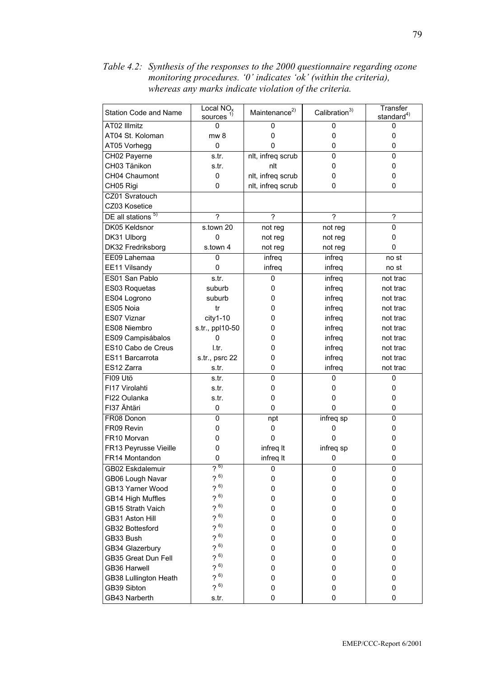Local NO<sub>x</sub> Transfer Maintenance<sup>2)</sup> Calibration<sup>3)</sup> Station Code and Name  $stat$ andard<sup>4)</sup> sources AT02 Illmitz  $\mathbf 0$  $\Omega$  $\Omega$ 0 AT04 St. Koloman  $mw 8$  $\overline{0}$  $\mathbf 0$  $\mathbf 0$  $\overline{0}$  $\mathbf 0$  $\mathbf 0$ AT05 Vorhegg  $\mathbf 0$ CH02 Payerne  $s.tr.$ nlt, infreq scrub  $\overline{0}$  $\overline{0}$ CH03 Tänikon  $\mathbf 0$  $\mathbf 0$ s.tr. nlt CH04 Chaumont  $\mathbf{0}$ nlt, infreg scrub  $\Omega$  $\mathbf{0}$ nlt, infreq scrub CH05 Rigi  $\overline{0}$  $\overline{0}$  $\mathbf{0}$ CZ01 Svratouch CZ03 Kosetice DE all stations<sup>5</sup>  $\overline{?}$  $\overline{?}$  $\overline{?}$ DK05 Keldsnor s.town 20  $\overline{0}$ not rea not reg  $\mathbf 0$  $\Omega$ DK31 Ulborg not reg not reg DK32 Fredriksborg s town 4  $\Omega$ not reg not reg  $\overline{0}$ EE09 Lahemaa infreq infreq no st  $\Omega$ EE11 Vilsandy infreq infreq  $no<sub>st</sub>$ ES01 San Pablo  $s.tr.$  $\overline{0}$ infreq not trac ES03 Roquetas suburb  $\mathbf 0$ not trac infreq ES04 Logrono suburb  $\overline{0}$ infreq not trac ES05 Noia  $\overline{0}$ not trac  $tr$ infreq ES07 Viznar  $city1-10$  $\mathbf 0$ infreq not trac s.tr., ppl10-50 ES08 Niembro  $\overline{0}$ infreq not trac ES09 Campisábalos  $\mathbf 0$  $\mathbf 0$ infreq not trac ES10 Cabo de Creus I.tr.  $\overline{0}$ infreg not trac ES11 Barcarrota s.tr., psrc 22  $\overline{0}$ not trac infrea ES12 Zarra s.tr.  $\mathbf{0}$ infreg not trac **FI09 Utö**  $\overline{0}$  $\overline{0}$  $\overline{0}$ s fr FI17 Virolahti s.tr.  $\mathbf 0$  $\mathsf 0$  $\mathbf{0}$ FI22 Oulanka s.tr.  $\Omega$  $\Omega$  $\Omega$ FI37 Ähtäri  $\mathbf 0$  $\mathbf 0$  $\mathbf{0}$  $\pmb{0}$ FR08 Donon  $\overline{0}$ infreq sp  $\overline{0}$  $npt$ FR09 Revin  $\mathbf{0}$  $\mathbf{0}$  $\mathbf{0}$  $\mathbf{0}$  $\Omega$  $\Omega$  $\Omega$  $\Omega$ FR10 Morvan  $\mathbf 0$  $\mathbf 0$ FR13 Peyrusse Vieille infreg It infreq sp FR14 Montandon  $\mathbf{0}$ infreg It  $\mathbf{0}$  $\mathbf{0}$  $, 6)$ GB02 Eskdalemuir  $\mathbf 0$  $\mathbf{0}$  $\mathbf 0$  $?^{6)}$ GB06 Lough Navar  $\mathbf 0$  $\mathbf 0$  $\mathbf 0$  $2^{6}$ GB13 Yarner Wood  $\overline{0}$  $\overline{0}$  $\overline{0}$  $2^{6}$ **GB14 High Muffles**  $\mathbf{0}$  $\overline{0}$  $\mathbf 0$  $?^{6)}$ **GB15 Strath Vaich**  $\overline{0}$  $\overline{0}$  $\overline{0}$  $?^{6)}$ **GB31 Aston Hill**  $\overline{0}$  $\mathbf 0$  $\mathbf 0$  $?^{6)}$  $\mathbf 0$  $\mathbf 0$ **GB32 Bottesford**  $\mathbf 0$  $2^{6}$  $\mathbf 0$  $\mathbf 0$  $\Omega$ GB33 Bush  $7^{6}$ GB34 Glazerbury  $\mathbf 0$  $\mathbf 0$  $\mathbf 0$  $?^{6)}$ **GB35 Great Dun Fell**  $\mathbf 0$  $\mathbf 0$  $\mathbf 0$  $2^{6}$  $\overline{0}$ **GB36 Harwell**  $\mathbf 0$  $\Omega$  $2^{6}$ **GB38 Lullington Heath**  $\overline{0}$  $\overline{0}$  $\overline{0}$  $2^{6}$ GB39 Sibton  $\Omega$  $\Omega$  $\Omega$ GB43 Narberth  $\mathbf{0}$ 0  $\overline{0}$ s.tr.

Table 4.2: Synthesis of the responses to the 2000 questionnaire regarding ozone monitoring procedures. '0' indicates 'ok' (within the criteria), whereas any marks indicate violation of the criteria.